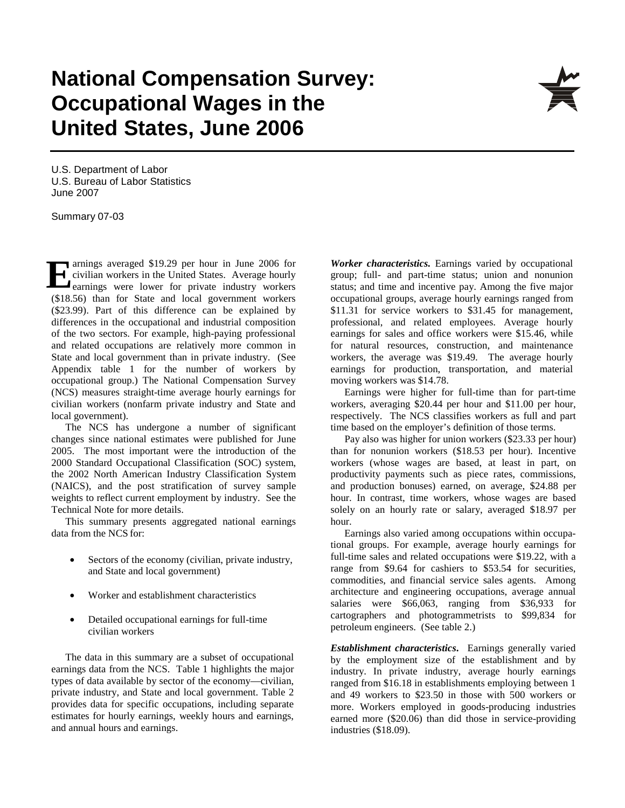## **National Compensation Survey: Occupational Wages in the United States, June 2006**

U.S. Department of Labor U.S. Bureau of Labor Statistics June 2007

Summary 07-03

arnings averaged \$19.29 per hour in June 2006 for civilian workers in the United States. Average hourly **Example 319.29** per hour in June 2006 for civilian workers in the United States. Average hourly containings were lower for private industry workers (\$18.56) than for State and local government workers (\$23.99). Part of this difference can be explained by differences in the occupational and industrial composition of the two sectors. For example, high-paying professional and related occupations are relatively more common in State and local government than in private industry. (See Appendix table 1 for the number of workers by occupational group.) The National Compensation Survey (NCS) measures straight-time average hourly earnings for civilian workers (nonfarm private industry and State and local government).

The NCS has undergone a number of significant changes since national estimates were published for June 2005. The most important were the introduction of the 2000 Standard Occupational Classification (SOC) system, the 2002 North American Industry Classification System (NAICS), and the post stratification of survey sample weights to reflect current employment by industry. See the Technical Note for more details.

This summary presents aggregated national earnings data from the NCS for:

- Sectors of the economy (civilian, private industry, and State and local government)
- Worker and establishment characteristics
- Detailed occupational earnings for full-time civilian workers

The data in this summary are a subset of occupational earnings data from the NCS. Table 1 highlights the major types of data available by sector of the economy—civilian, private industry, and State and local government. Table 2 provides data for specific occupations, including separate estimates for hourly earnings, weekly hours and earnings, and annual hours and earnings.

*Worker characteristics.* Earnings varied by occupational group; full- and part-time status; union and nonunion status; and time and incentive pay. Among the five major occupational groups, average hourly earnings ranged from \$11.31 for service workers to \$31.45 for management, professional, and related employees. Average hourly earnings for sales and office workers were \$15.46, while for natural resources, construction, and maintenance workers, the average was \$19.49. The average hourly earnings for production, transportation, and material moving workers was \$14.78.

Earnings were higher for full-time than for part-time workers, averaging \$20.44 per hour and \$11.00 per hour, respectively. The NCS classifies workers as full and part time based on the employer's definition of those terms.

Pay also was higher for union workers (\$23.33 per hour) than for nonunion workers (\$18.53 per hour). Incentive workers (whose wages are based, at least in part, on productivity payments such as piece rates, commissions, and production bonuses) earned, on average, \$24.88 per hour. In contrast, time workers, whose wages are based solely on an hourly rate or salary, averaged \$18.97 per hour.

Earnings also varied among occupations within occupational groups. For example, average hourly earnings for full-time sales and related occupations were \$19.22, with a range from \$9.64 for cashiers to \$53.54 for securities, commodities, and financial service sales agents. Among architecture and engineering occupations, average annual salaries were \$66,063, ranging from \$36,933 for cartographers and photogrammetrists to \$99,834 for petroleum engineers. (See table 2.)

*Establishment characteristics***.** Earnings generally varied by the employment size of the establishment and by industry. In private industry, average hourly earnings ranged from \$16.18 in establishments employing between 1 and 49 workers to \$23.50 in those with 500 workers or more. Workers employed in goods-producing industries earned more (\$20.06) than did those in service-providing industries (\$18.09).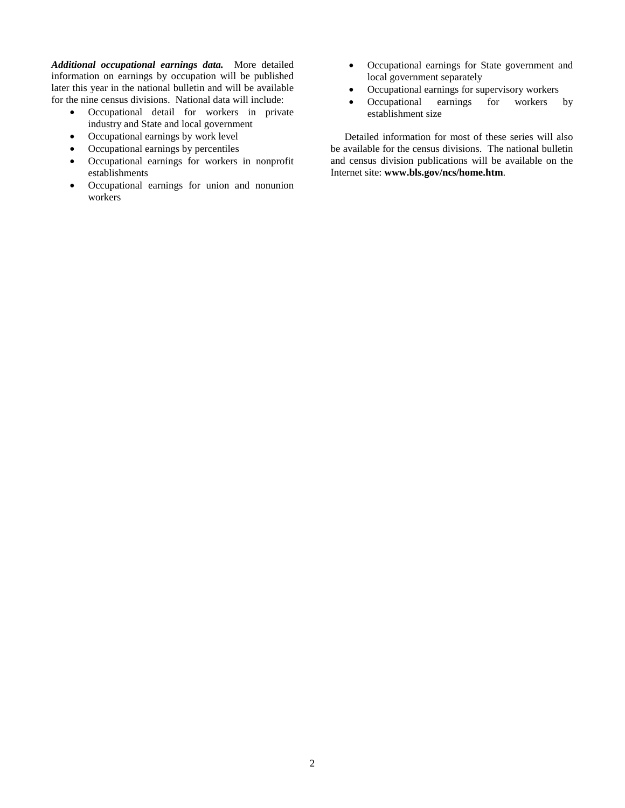*Additional occupational earnings data.* More detailed information on earnings by occupation will be published later this year in the national bulletin and will be available for the nine census divisions. National data will include:

- Occupational detail for workers in private industry and State and local government
- Occupational earnings by work level
- Occupational earnings by percentiles
- Occupational earnings for workers in nonprofit establishments
- Occupational earnings for union and nonunion workers
- Occupational earnings for State government and local government separately
- Occupational earnings for supervisory workers
- Occupational earnings for workers by establishment size

Detailed information for most of these series will also be available for the census divisions. The national bulletin and census division publications will be available on the Internet site: **www.bls.gov/ncs/home.htm**.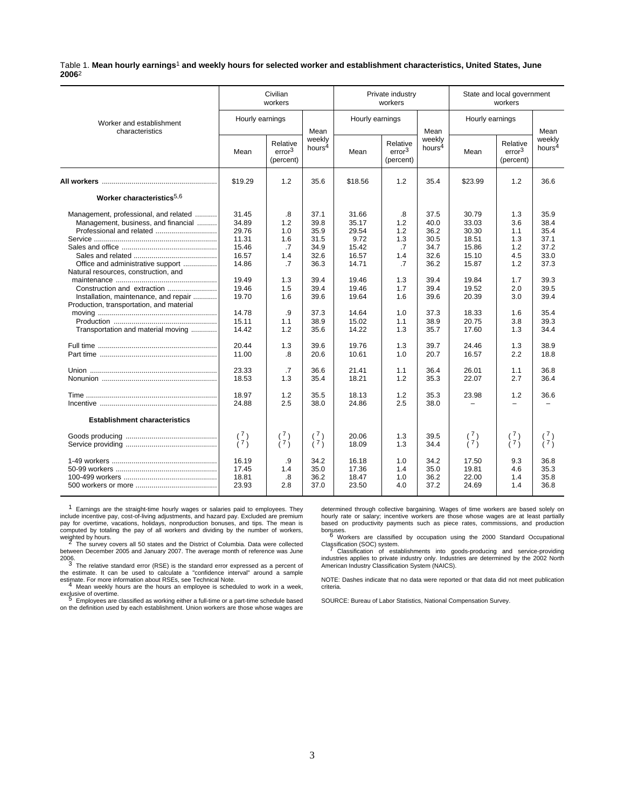Table 1. **Mean hourly earnings**1 **and weekly hours for selected worker and establishment characteristics, United States, June 2006**2

|                                                                                                                                                                                                                                                                                      |                                                                                                                                     | Civilian<br>workers                                                                              |                                                                                                                      |                                                                                                                                    | Private industry<br>workers                                                                        |                                                                                                                      |                                                                                                                                     | State and local government<br>workers                                                                 |                                                                                                                      |
|--------------------------------------------------------------------------------------------------------------------------------------------------------------------------------------------------------------------------------------------------------------------------------------|-------------------------------------------------------------------------------------------------------------------------------------|--------------------------------------------------------------------------------------------------|----------------------------------------------------------------------------------------------------------------------|------------------------------------------------------------------------------------------------------------------------------------|----------------------------------------------------------------------------------------------------|----------------------------------------------------------------------------------------------------------------------|-------------------------------------------------------------------------------------------------------------------------------------|-------------------------------------------------------------------------------------------------------|----------------------------------------------------------------------------------------------------------------------|
| Worker and establishment<br>characteristics                                                                                                                                                                                                                                          | Hourly earnings                                                                                                                     |                                                                                                  | Mean                                                                                                                 | Hourly earnings                                                                                                                    |                                                                                                    | Mean                                                                                                                 | Hourly earnings                                                                                                                     |                                                                                                       | Mean                                                                                                                 |
|                                                                                                                                                                                                                                                                                      | Mean                                                                                                                                | Relative<br>error <sup>3</sup><br>(percent)                                                      | weekly<br>hours <sup>4</sup>                                                                                         | Mean                                                                                                                               | Relative<br>error <sup>3</sup><br>(percent)                                                        | weekly<br>hours <sup>4</sup>                                                                                         | Mean                                                                                                                                | Relative<br>error <sup>3</sup><br>(percent)                                                           | weekly<br>hours <sup>4</sup>                                                                                         |
|                                                                                                                                                                                                                                                                                      | \$19.29                                                                                                                             | 1.2                                                                                              | 35.6                                                                                                                 | \$18.56                                                                                                                            | 1.2                                                                                                | 35.4                                                                                                                 | \$23.99                                                                                                                             | 1.2                                                                                                   | 36.6                                                                                                                 |
| Worker characteristics <sup>5,6</sup>                                                                                                                                                                                                                                                |                                                                                                                                     |                                                                                                  |                                                                                                                      |                                                                                                                                    |                                                                                                    |                                                                                                                      |                                                                                                                                     |                                                                                                       |                                                                                                                      |
| Management, professional, and related<br>Management, business, and financial<br>Office and administrative support<br>Natural resources, construction, and<br>Installation, maintenance, and repair<br>Production, transportation, and material<br>Transportation and material moving | 31.45<br>34.89<br>29.76<br>11.31<br>15.46<br>16.57<br>14.86<br>19.49<br>19.46<br>19.70<br>14.78<br>15.11<br>14.42<br>20.44<br>11.00 | .8<br>1.2<br>1.0<br>1.6<br>.7<br>1.4<br>.7<br>1.3<br>1.5<br>1.6<br>.9<br>1.1<br>1.2<br>1.3<br>.8 | 37.1<br>39.8<br>35.9<br>31.5<br>34.9<br>32.6<br>36.3<br>39.4<br>39.4<br>39.6<br>37.3<br>38.9<br>35.6<br>39.6<br>20.6 | 31.66<br>35.17<br>29.54<br>9.72<br>15.42<br>16.57<br>14.71<br>19.46<br>19.46<br>19.64<br>14.64<br>15.02<br>14.22<br>19.76<br>10.61 | .8<br>1.2<br>1.2<br>1.3<br>.7<br>1.4<br>.7<br>1.3<br>1.7<br>1.6<br>1.0<br>1.1<br>1.3<br>1.3<br>1.0 | 37.5<br>40.0<br>36.2<br>30.5<br>34.7<br>32.6<br>36.2<br>39.4<br>39.4<br>39.6<br>37.3<br>38.9<br>35.7<br>39.7<br>20.7 | 30.79<br>33.03<br>30.30<br>18.51<br>15.86<br>15.10<br>15.87<br>19.84<br>19.52<br>20.39<br>18.33<br>20.75<br>17.60<br>24.46<br>16.57 | 1.3<br>3.6<br>1.1<br>1.3<br>1.2<br>4.5<br>1.2<br>1.7<br>2.0<br>3.0<br>1.6<br>3.8<br>1.3<br>1.3<br>2.2 | 35.9<br>38.4<br>35.4<br>37.1<br>37.2<br>33.0<br>37.3<br>39.3<br>39.5<br>39.4<br>35.4<br>39.3<br>34.4<br>38.9<br>18.8 |
|                                                                                                                                                                                                                                                                                      | 23.33<br>18.53                                                                                                                      | .7<br>1.3                                                                                        | 36.6<br>35.4                                                                                                         | 21.41<br>18.21                                                                                                                     | 1.1<br>1.2                                                                                         | 36.4<br>35.3                                                                                                         | 26.01<br>22.07                                                                                                                      | 1.1<br>2.7                                                                                            | 36.8<br>36.4                                                                                                         |
|                                                                                                                                                                                                                                                                                      | 18.97<br>24.88                                                                                                                      | 1.2<br>2.5                                                                                       | 35.5<br>38.0                                                                                                         | 18.13<br>24.86                                                                                                                     | 1.2<br>2.5                                                                                         | 35.3<br>38.0                                                                                                         | 23.98                                                                                                                               | 1.2<br>÷,                                                                                             | 36.6                                                                                                                 |
| <b>Establishment characteristics</b>                                                                                                                                                                                                                                                 |                                                                                                                                     |                                                                                                  |                                                                                                                      |                                                                                                                                    |                                                                                                    |                                                                                                                      |                                                                                                                                     |                                                                                                       |                                                                                                                      |
|                                                                                                                                                                                                                                                                                      | $\binom{7}{7}$                                                                                                                      | $\binom{7}{7}$                                                                                   | $\binom{7}{7}$                                                                                                       | 20.06<br>18.09                                                                                                                     | 1.3<br>1.3                                                                                         | 39.5<br>34.4                                                                                                         | $\binom{7}{7}$                                                                                                                      | $\binom{7}{7}$                                                                                        | $\binom{7}{7}$                                                                                                       |
|                                                                                                                                                                                                                                                                                      | 16.19<br>17.45<br>18.81<br>23.93                                                                                                    | .9<br>1.4<br>.8<br>2.8                                                                           | 34.2<br>35.0<br>36.2<br>37.0                                                                                         | 16.18<br>17.36<br>18.47<br>23.50                                                                                                   | 1.0<br>1.4<br>1.0<br>4.0                                                                           | 34.2<br>35.0<br>36.2<br>37.2                                                                                         | 17.50<br>19.81<br>22.00<br>24.69                                                                                                    | 9.3<br>4.6<br>1.4<br>1.4                                                                              | 36.8<br>35.3<br>35.8<br>36.8                                                                                         |

1 Earnings are the straight-time hourly wages or salaries paid to employees. They include incentive pay, cost-of-living adjustments, and hazard pay. Excluded are premium pay for overtime, vacations, holidays, nonproduction bonuses, and tips. The mean is computed by totaling the pay of all workers and dividing by the number of workers,

weighted by hours.<br><sup>2</sup> The survey covers all 50 states and the District of Columbia. Data were collected between December 2005 and January 2007. The average month of reference was June

2006.<br><sup>3</sup> The relative standard error (RSE) is the standard error expressed as a percent of<br> $\frac{3}{2}$  The relative standard error (RSE) is the standard error expressed as a percent of the estimate. It can be used to calculate a "confidence interval" around a sample<br>estimate. For more information about RSEs, see Technical Note.<br><sup>4</sup> Mean weekly hours are the hours an employee is scheduled to work in a wee

exclusive of overtime. <sup>5</sup> Employees are classified as working either a full-time or a part-time schedule based on the definition used by each establishment. Union workers are those whose wages are determined through collective bargaining. Wages of time workers are based solely on hourly rate or salary; incentive workers are those whose wages are at least partially based on productivity payments such as piece rates, commissions, and production

bonuses.<br>
<sup>6</sup> Workers are classified by occupation using the 2000 Standard Occupational<br>
Classification (SOC) system.

Classification (SOC) system.<br>7 Classification of establishments into goods-producing and service-providing<br>industries applies to private industry only. Industries are determined by the 2002 North<br>American Industry Classifi

NOTE: Dashes indicate that no data were reported or that data did not meet publication criteria.

SOURCE: Bureau of Labor Statistics, National Compensation Survey.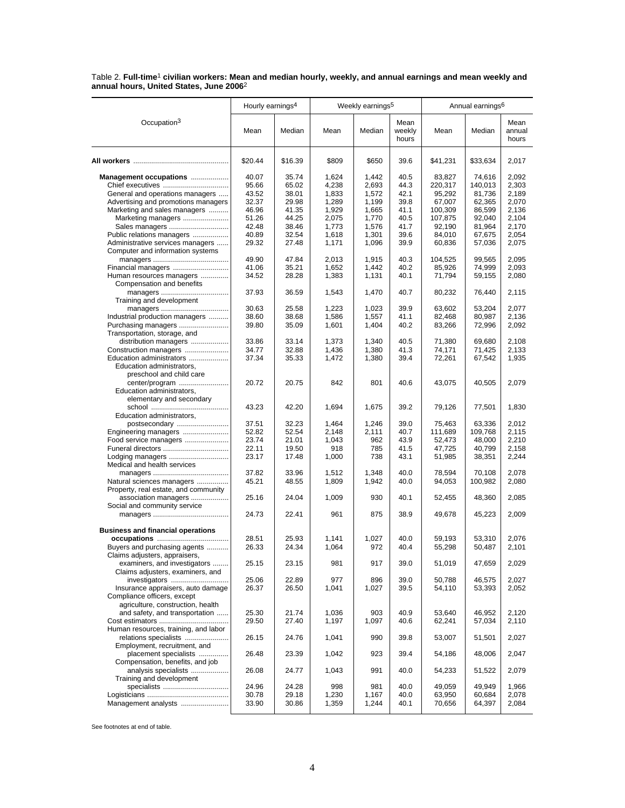|                                                       | Hourly earnings <sup>4</sup> |                |                | Weekly earnings <sup>5</sup> |                         |                  | Annual earnings <sup>6</sup> |                         |
|-------------------------------------------------------|------------------------------|----------------|----------------|------------------------------|-------------------------|------------------|------------------------------|-------------------------|
| Occupation <sup>3</sup>                               | Mean                         | Median         | Mean           | Median                       | Mean<br>weekly<br>hours | Mean             | Median                       | Mean<br>annual<br>hours |
|                                                       | \$20.44                      | \$16.39        | \$809          | \$650                        | 39.6                    | \$41,231         | \$33,634                     | 2,017                   |
| Management occupations                                | 40.07                        | 35.74          | 1,624          | 1,442                        | 40.5                    | 83,827           | 74,616                       | 2,092                   |
| Chief executives                                      | 95.66                        | 65.02          | 4,238          | 2,693                        | 44.3                    | 220,317          | 140,013                      | 2,303                   |
| General and operations managers                       | 43.52                        | 38.01          | 1,833          | 1,572                        | 42.1                    | 95,292           | 81,736                       | 2,189                   |
| Advertising and promotions managers                   | 32.37                        | 29.98          | 1,289          | 1,199                        | 39.8                    | 67,007           | 62,365                       | 2,070                   |
| Marketing and sales managers                          | 46.96                        | 41.35          | 1,929          | 1,665                        | 41.1                    | 100,309          | 86,599                       | 2,136                   |
| Marketing managers                                    | 51.26                        | 44.25          | 2,075          | 1,770                        | 40.5                    | 107,875          | 92,040                       | 2,104                   |
| Sales managers                                        | 42.48                        | 38.46          | 1,773          | 1.576                        | 41.7                    | 92,190           | 81,964                       | 2,170                   |
| Public relations managers                             | 40.89                        | 32.54          | 1,618          | 1,301                        | 39.6                    | 84,010           | 67,675                       | 2,054                   |
| Administrative services managers                      | 29.32                        | 27.48          | 1,171          | 1,096                        | 39.9                    | 60,836           | 57,036                       | 2,075                   |
| Computer and information systems                      |                              |                |                |                              |                         |                  |                              |                         |
|                                                       | 49.90<br>41.06               | 47.84<br>35.21 | 2,013<br>1,652 | 1,915<br>1,442               | 40.3<br>40.2            | 104,525          | 99,565<br>74,999             | 2,095<br>2,093          |
|                                                       | 34.52                        | 28.28          | 1,383          | 1,131                        | 40.1                    | 85,926<br>71,794 |                              | 2,080                   |
| Human resources managers<br>Compensation and benefits |                              |                |                |                              |                         |                  | 59,155                       |                         |
|                                                       | 37.93                        | 36.59          | 1,543          | 1,470                        | 40.7                    | 80,232           | 76,440                       | 2,115                   |
| Training and development                              |                              |                |                |                              |                         |                  |                              |                         |
|                                                       | 30.63                        | 25.58          | 1,223          | 1,023                        | 39.9                    | 63,602           | 53,204                       | 2,077                   |
| Industrial production managers                        | 38.60                        | 38.68          | 1,586          | 1,557                        | 41.1                    | 82,468           | 80,987                       | 2.136                   |
| Purchasing managers                                   | 39.80                        | 35.09          | 1,601          | 1,404                        | 40.2                    | 83,266           | 72,996                       | 2,092                   |
| Transportation, storage, and                          |                              |                |                |                              |                         |                  |                              |                         |
| distribution managers                                 | 33.86                        | 33.14          | 1,373          | 1,340                        | 40.5                    | 71,380           | 69,680                       | 2,108                   |
| Construction managers                                 | 34.77                        | 32.88          | 1,436          | 1,380                        | 41.3                    | 74,171           | 71,425                       | 2,133                   |
| Education administrators                              | 37.34                        | 35.33          | 1,472          | 1,380                        | 39.4                    | 72,261           | 67,542                       | 1,935                   |
| Education administrators,<br>preschool and child care |                              |                |                |                              |                         |                  |                              |                         |
| center/program                                        | 20.72                        | 20.75          | 842            | 801                          | 40.6                    | 43,075           | 40,505                       | 2,079                   |
| Education administrators,                             |                              |                |                |                              |                         |                  |                              |                         |
| elementary and secondary                              |                              |                |                |                              |                         |                  |                              |                         |
|                                                       | 43.23                        | 42.20          | 1,694          | 1,675                        | 39.2                    | 79,126           | 77,501                       | 1,830                   |
| Education administrators,                             |                              |                |                |                              |                         |                  |                              |                         |
| postsecondary                                         | 37.51                        | 32.23          | 1,464          | 1,246                        | 39.0                    | 75,463           | 63,336                       | 2,012                   |
| Engineering managers                                  | 52.82                        | 52.54          | 2,148          | 2,111                        | 40.7                    | 111,689          | 109,768                      | 2,115                   |
| Food service managers                                 | 23.74                        | 21.01          | 1,043          | 962                          | 43.9                    | 52,473           | 48,000                       | 2,210                   |
| Funeral directors                                     | 22.11                        | 19.50          | 918            | 785                          | 41.5                    | 47,725           | 40,799                       | 2,158                   |
| Lodging managers                                      | 23.17                        | 17.48          | 1,000          | 738                          | 43.1                    | 51,985           | 38,351                       | 2,244                   |
| Medical and health services                           |                              |                |                |                              |                         |                  |                              |                         |
|                                                       | 37.82                        | 33.96          | 1,512          | 1,348                        | 40.0                    | 78,594           | 70,108                       | 2,078                   |
| Natural sciences managers                             | 45.21                        | 48.55          | 1,809          | 1,942                        | 40.0                    | 94,053           | 100,982                      | 2,080                   |
| Property, real estate, and community                  |                              |                |                |                              |                         |                  |                              |                         |
| association managers                                  | 25.16                        | 24.04          | 1,009          | 930                          | 40.1                    | 52,455           | 48,360                       | 2,085                   |
| Social and community service                          | 24.73                        |                | 961            |                              | 38.9                    | 49,678           |                              |                         |
|                                                       |                              | 22.41          |                | 875                          |                         |                  | 45,223                       | 2,009                   |
| <b>Business and financial operations</b>              |                              |                |                |                              |                         |                  |                              |                         |
|                                                       | 28.51                        | 25.93          | 1,141          | 1,027                        | 40.0                    | 59,193           | 53,310                       | 2,076                   |
| Buyers and purchasing agents                          | 26.33                        | 24.34          | 1,064          | 972                          | 40.4                    | 55,298           | 50,487                       | 2,101                   |
| Claims adjusters, appraisers,                         |                              |                |                |                              |                         |                  |                              |                         |
| examiners, and investigators                          | 25.15                        | 23.15          | 981            | 917                          | 39.0                    | 51,019           | 47,659                       | 2,029                   |
| Claims adjusters, examiners, and<br>investigators     | 25.06                        | 22.89          | 977            | 896                          | 39.0                    | 50,788           | 46,575                       | 2,027                   |
| Insurance appraisers, auto damage                     | 26.37                        | 26.50          | 1,041          | 1,027                        | 39.5                    | 54,110           | 53,393                       | 2,052                   |
| Compliance officers, except                           |                              |                |                |                              |                         |                  |                              |                         |
| agriculture, construction, health                     |                              |                |                |                              |                         |                  |                              |                         |
| and safety, and transportation                        | 25.30                        | 21.74          | 1,036          | 903                          | 40.9                    | 53,640           | 46,952                       | 2,120                   |
|                                                       | 29.50                        | 27.40          | 1,197          | 1,097                        | 40.6                    | 62,241           | 57,034                       | 2,110                   |
| Human resources, training, and labor                  |                              |                |                |                              |                         |                  |                              |                         |
| relations specialists                                 | 26.15                        | 24.76          | 1,041          | 990                          | 39.8                    | 53,007           | 51,501                       | 2,027                   |
| Employment, recruitment, and                          |                              |                |                |                              |                         |                  |                              |                         |
| placement specialists                                 | 26.48                        | 23.39          | 1,042          | 923                          | 39.4                    | 54,186           | 48,006                       | 2,047                   |
| Compensation, benefits, and job                       |                              |                |                |                              |                         |                  |                              |                         |
| analysis specialists                                  | 26.08                        | 24.77          | 1,043          | 991                          | 40.0                    | 54,233           | 51,522                       | 2,079                   |
| Training and development                              |                              |                |                |                              |                         |                  |                              |                         |
|                                                       | 24.96                        | 24.28          | 998            | 981                          | 40.0                    | 49,059           | 49,949                       | 1,966                   |
|                                                       | 30.78                        | 29.18          | 1,230          | 1,167                        | 40.0                    | 63,950           | 60,684                       | 2,078                   |
| Management analysts                                   | 33.90                        | 30.86          | 1,359          | 1,244                        | 40.1                    | 70,656           | 64,397                       | 2,084                   |
|                                                       |                              |                |                |                              |                         |                  |                              |                         |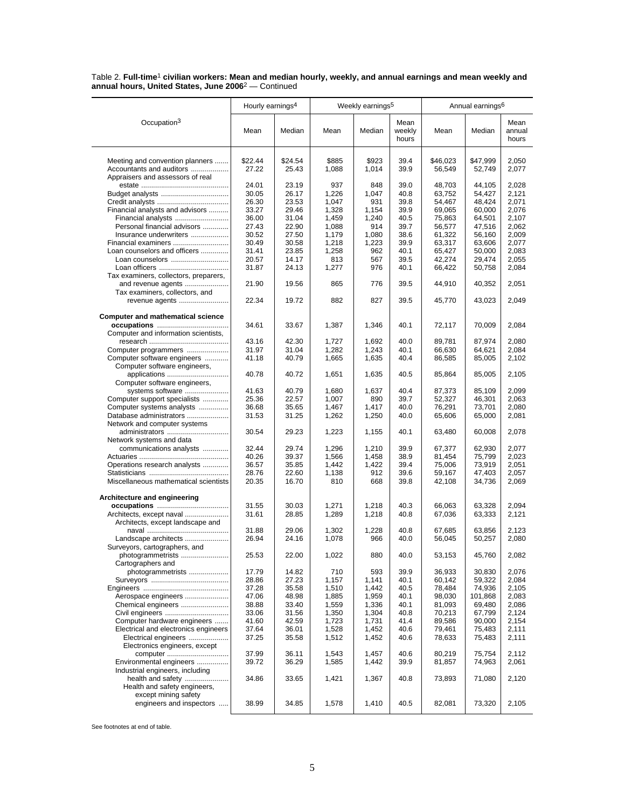|                                                                                  | Hourly earnings <sup>4</sup> |                |                | Weekly earnings <sup>5</sup> |                 |                  | Annual earnings <sup>6</sup> |                 |
|----------------------------------------------------------------------------------|------------------------------|----------------|----------------|------------------------------|-----------------|------------------|------------------------------|-----------------|
| Occupation <sup>3</sup>                                                          |                              |                |                |                              | Mean            |                  |                              | Mean            |
|                                                                                  | Mean                         | Median         | Mean           | Median                       | weekly<br>hours | Mean             | Median                       | annual<br>hours |
| Meeting and convention planners                                                  | \$22.44                      | \$24.54        | \$885          | \$923                        | 39.4            | \$46.023         | \$47,999                     | 2,050           |
| Accountants and auditors                                                         | 27.22                        | 25.43          | 1,088          | 1,014                        | 39.9            | 56,549           | 52,749                       | 2,077           |
| Appraisers and assessors of real                                                 |                              |                |                |                              |                 |                  |                              |                 |
|                                                                                  | 24.01                        | 23.19          | 937            | 848                          | 39.0            | 48,703           | 44,105                       | 2,028           |
|                                                                                  | 30.05<br>26.30               | 26.17<br>23.53 | 1,226<br>1,047 | 1,047<br>931                 | 40.8<br>39.8    | 63,752<br>54,467 | 54,427<br>48,424             | 2,121<br>2,071  |
| Financial analysts and advisors                                                  | 33.27                        | 29.46          | 1,328          | 1,154                        | 39.9            | 69,065           | 60,000                       | 2,076           |
| Financial analysts                                                               | 36.00                        | 31.04          | 1,459          | 1,240                        | 40.5            | 75,863           | 64,501                       | 2,107           |
| Personal financial advisors                                                      | 27.43                        | 22.90          | 1,088          | 914                          | 39.7            | 56,577           | 47,516                       | 2,062           |
| Insurance underwriters                                                           | 30.52                        | 27.50          | 1,179          | 1,080                        | 38.6            | 61,322           | 56,160                       | 2,009           |
| Financial examiners                                                              | 30.49                        | 30.58          | 1,218          | 1,223                        | 39.9            | 63,317           | 63,606                       | 2,077           |
| Loan counselors and officers                                                     | 31.41                        | 23.85          | 1,258          | 962                          | 40.1            | 65,427           | 50,000                       | 2,083           |
| Loan counselors                                                                  | 20.57                        | 14.17          | 813            | 567                          | 39.5            | 42,274           | 29,474                       | 2,055           |
|                                                                                  | 31.87                        | 24.13          | 1,277          | 976                          | 40.1            | 66,422           | 50,758                       | 2,084           |
| Tax examiners, collectors, preparers,                                            |                              |                |                |                              |                 |                  |                              |                 |
| and revenue agents<br>Tax examiners, collectors, and<br>revenue agents           | 21.90<br>22.34               | 19.56<br>19.72 | 865<br>882     | 776<br>827                   | 39.5<br>39.5    | 44,910<br>45,770 | 40,352<br>43,023             | 2,051<br>2,049  |
|                                                                                  |                              |                |                |                              |                 |                  |                              |                 |
| <b>Computer and mathematical science</b><br>Computer and information scientists, | 34.61                        | 33.67          | 1,387          | 1,346                        | 40.1            | 72,117           | 70,009                       | 2,084           |
|                                                                                  | 43.16                        | 42.30          | 1,727          | 1,692                        | 40.0            | 89,781           | 87.974                       | 2,080           |
| Computer programmers                                                             | 31.97                        | 31.04          | 1,282          | 1,243                        | 40.1            | 66,630           | 64,621                       | 2,084           |
| Computer software engineers                                                      | 41.18                        | 40.79          | 1,665          | 1,635                        | 40.4            | 86,585           | 85,005                       | 2,102           |
| Computer software engineers,<br>applications                                     | 40.78                        | 40.72          | 1,651          | 1,635                        | 40.5            | 85,864           | 85,005                       | 2,105           |
| Computer software engineers,                                                     |                              |                |                |                              |                 |                  |                              |                 |
| systems software                                                                 | 41.63                        | 40.79          | 1,680          | 1,637                        | 40.4            | 87,373           | 85,109                       | 2,099           |
| Computer support specialists                                                     | 25.36                        | 22.57          | 1,007          | 890                          | 39.7            | 52,327           | 46,301                       | 2,063           |
| Computer systems analysts                                                        | 36.68                        | 35.65          | 1,467          | 1,417                        | 40.0            | 76,291           | 73,701                       | 2,080           |
| Database administrators<br>Network and computer systems                          | 31.53                        | 31.25          | 1,262          | 1,250                        | 40.0            | 65,606           | 65,000                       | 2,081           |
| administrators<br>Network systems and data                                       | 30.54                        | 29.23          | 1,223          | 1,155                        | 40.1            | 63,480           | 60,008                       | 2,078           |
| communications analysts                                                          | 32.44                        | 29.74          | 1,296          | 1,210                        | 39.9            | 67,377           | 62,930                       | 2,077           |
|                                                                                  | 40.26                        | 39.37          | 1,566          | 1,458                        | 38.9            | 81,454           | 75,799                       | 2,023           |
| Operations research analysts                                                     | 36.57<br>28.76               | 35.85<br>22.60 | 1,442          | 1,422<br>912                 | 39.4<br>39.6    | 75,006           | 73,919                       | 2,051           |
| Miscellaneous mathematical scientists                                            | 20.35                        | 16.70          | 1,138<br>810   | 668                          | 39.8            | 59,167<br>42,108 | 47,403<br>34,736             | 2,057<br>2,069  |
| Architecture and engineering                                                     |                              |                |                |                              |                 |                  |                              |                 |
| Architects, except naval                                                         | 31.55<br>31.61               | 30.03<br>28.85 | 1,271<br>1,289 | 1,218<br>1,218               | 40.3<br>40.8    | 66,063<br>67,036 | 63,328                       | 2,094<br>2,121  |
| Architects, except landscape and                                                 | 31.88                        | 29.06          | 1,302          | 1,228                        | 40.8            | 67,685           | 63,333<br>63,856             | 2,123           |
| Landscape architects                                                             | 26.94                        | 24.16          | 1,078          | 966                          | 40.0            | 56,045           | 50,257                       | 2,080           |
| Surveyors, cartographers, and                                                    |                              |                |                |                              |                 |                  |                              |                 |
| photogrammetrists<br>Cartographers and                                           | 25.53                        | 22.00          | 1,022          | 880                          | 40.0            | 53,153           | 45,760                       | 2,082           |
| photogrammetrists                                                                | 17.79                        | 14.82          | 710            | 593                          | 39.9            | 36,933           | 30,830                       | 2,076           |
|                                                                                  | 28.86                        | 27.23          | 1,157          | 1,141                        | 40.1            | 60,142           | 59,322                       | 2,084           |
| Aerospace engineers                                                              | 37.28<br>47.06               | 35.58<br>48.98 | 1,510<br>1,885 | 1,442<br>1,959               | 40.5<br>40.1    | 78,484<br>98,030 | 74,936<br>101,868            | 2,105<br>2,083  |
| Chemical engineers                                                               | 38.88                        | 33.40          | 1,559          | 1,336                        | 40.1            | 81,093           | 69,480                       | 2,086           |
| Civil engineers                                                                  | 33.06                        | 31.56          | 1,350          | 1,304                        | 40.8            | 70,213           | 67,799                       | 2,124           |
| Computer hardware engineers                                                      | 41.60                        | 42.59          | 1,723          | 1,731                        | 41.4            | 89,586           | 90,000                       | 2,154           |
| Electrical and electronics engineers                                             | 37.64                        | 36.01          | 1,528          | 1,452                        | 40.6            | 79,461           | 75,483                       | 2,111           |
| Electrical engineers<br>Electronics engineers, except                            | 37.25                        | 35.58          | 1,512          | 1,452                        | 40.6            | 78,633           | 75,483                       | 2,111           |
| computer                                                                         | 37.99                        | 36.11          | 1,543          | 1,457                        | 40.6            | 80,219           | 75,754                       | 2,112           |
| Environmental engineers<br>Industrial engineers, including                       | 39.72                        | 36.29          | 1,585          | 1,442                        | 39.9            | 81,857           | 74,963                       | 2,061           |
| health and safety<br>Health and safety engineers,                                | 34.86                        | 33.65          | 1,421          | 1,367                        | 40.8            | 73,893           | 71,080                       | 2,120           |
| except mining safety<br>engineers and inspectors                                 | 38.99                        | 34.85          | 1,578          | 1,410                        | 40.5            | 82,081           | 73,320                       | 2,105           |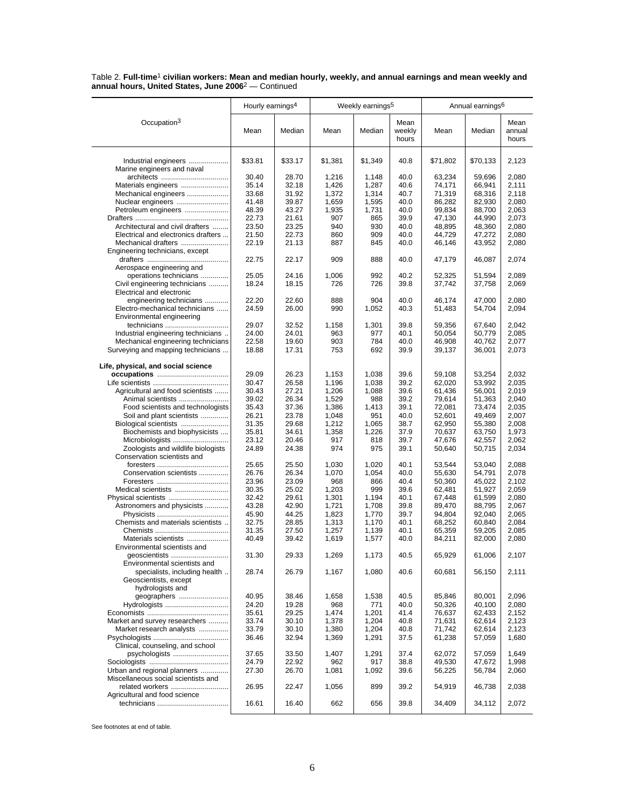|                                                                            | Hourly earnings <sup>4</sup> |                |            | Weekly earnings <sup>5</sup> |                         |                  | Annual earnings <sup>6</sup> |                         |
|----------------------------------------------------------------------------|------------------------------|----------------|------------|------------------------------|-------------------------|------------------|------------------------------|-------------------------|
| Occupation <sup>3</sup>                                                    | Mean                         | Median         | Mean       | Median                       | Mean<br>weekly<br>hours | Mean             | Median                       | Mean<br>annual<br>hours |
| Industrial engineers<br>Marine engineers and naval                         | \$33.81                      | \$33.17        | \$1,381    | \$1,349                      | 40.8                    | \$71,802         | \$70,133                     | 2,123                   |
|                                                                            | 30.40                        | 28.70          | 1,216      | 1,148                        | 40.0                    | 63,234           | 59,696                       | 2,080                   |
| Materials engineers                                                        | 35.14                        | 32.18          | 1,426      | 1,287                        | 40.6                    | 74,171           | 66,941                       | 2,111                   |
| Mechanical engineers                                                       | 33.68                        | 31.92          | 1,372      | 1,314                        | 40.7                    | 71,319           | 68,316                       | 2,118                   |
| Nuclear engineers                                                          | 41.48                        | 39.87          | 1,659      | 1,595                        | 40.0                    | 86,282           | 82,930                       | 2,080                   |
| Petroleum engineers                                                        | 48.39                        | 43.27          | 1,935      | 1,731                        | 40.0                    | 99,834           | 88,700                       | 2,063                   |
|                                                                            | 22.73                        | 21.61          | 907        | 865                          | 39.9                    | 47,130           | 44,990                       | 2,073                   |
| Architectural and civil drafters                                           | 23.50                        | 23.25          | 940        | 930                          | 40.0                    | 48,895           | 48,360                       | 2,080                   |
| Electrical and electronics drafters                                        | 21.50                        | 22.73          | 860        | 909                          | 40.0                    | 44,729           | 47,272                       | 2,080                   |
| Mechanical drafters                                                        | 22.19                        | 21.13          | 887        | 845                          | 40.0                    | 46,146           | 43,952                       | 2,080                   |
| Engineering technicians, except                                            |                              |                |            |                              |                         |                  |                              |                         |
| Aerospace engineering and                                                  | 22.75                        | 22.17          | 909        | 888                          | 40.0                    | 47,179           | 46,087                       | 2,074                   |
| operations technicians                                                     | 25.05                        | 24.16          | 1,006      | 992                          | 40.2                    | 52,325           | 51,594                       | 2,089                   |
| Civil engineering technicians<br>Electrical and electronic                 | 18.24                        | 18.15          | 726        | 726                          | 39.8                    | 37,742           | 37,758                       | 2,069                   |
| engineering technicians                                                    | 22.20                        | 22.60          | 888        | 904                          | 40.0                    | 46.174           | 47,000                       | 2,080                   |
| Electro-mechanical technicians                                             | 24.59                        | 26.00          | 990        | 1,052                        | 40.3                    | 51,483           | 54,704                       | 2,094                   |
| Environmental engineering                                                  |                              |                |            |                              |                         |                  |                              |                         |
| technicians                                                                | 29.07                        | 32.52          | 1,158      | 1,301                        | 39.8                    | 59,356           | 67,640                       | 2,042                   |
| Industrial engineering technicians                                         | 24.00                        | 24.01          | 963        | 977                          | 40.1                    | 50,054           | 50,779                       | 2,085                   |
| Mechanical engineering technicians                                         | 22.58                        | 19.60          | 903        | 784                          | 40.0                    | 46,908           | 40,762                       | 2,077                   |
| Surveying and mapping technicians                                          | 18.88                        | 17.31          | 753        | 692                          | 39.9                    | 39,137           | 36,001                       | 2,073                   |
| Life, physical, and social science                                         |                              |                |            |                              |                         |                  |                              |                         |
|                                                                            | 29.09                        | 26.23          | 1,153      | 1,038                        | 39.6                    | 59,108           | 53,254                       | 2,032                   |
|                                                                            | 30.47                        | 26.58          | 1,196      | 1,038                        | 39.2                    | 62,020           | 53,992                       | 2,035                   |
| Agricultural and food scientists                                           | 30.43                        | 27.21          | 1,206      | 1,088                        | 39.6                    | 61,436           | 56,001                       | 2,019                   |
| Animal scientists                                                          | 39.02                        | 26.34          | 1,529      | 988                          | 39.2                    | 79,614           | 51,363                       | 2,040                   |
| Food scientists and technologists                                          | 35.43                        | 37.36          | 1,386      | 1,413                        | 39.1                    | 72,081           | 73,474                       | 2,035                   |
| Soil and plant scientists                                                  | 26.21                        | 23.78          | 1,048      | 951                          | 40.0                    | 52,601           | 49,469                       | 2,007                   |
|                                                                            | 31.35                        | 29.68          | 1,212      | 1,065                        | 38.7                    | 62,950           | 55,380                       | 2,008                   |
| Biochemists and biophysicists                                              | 35.81                        | 34.61          | 1,358      | 1,226                        | 37.9                    | 70,637           | 63,750                       | 1,973                   |
| Microbiologists                                                            | 23.12<br>24.89               | 20.46<br>24.38 | 917<br>974 | 818<br>975                   | 39.7<br>39.1            | 47,676           | 42,557                       | 2,062                   |
| Zoologists and wildlife biologists<br>Conservation scientists and          | 25.65                        | 25.50          | 1,030      | 1,020                        | 40.1                    | 50,640<br>53,544 | 50,715<br>53,040             | 2,034<br>2,088          |
| Conservation scientists                                                    | 26.76                        | 26.34          | 1,070      | 1,054                        | 40.0                    | 55,630           | 54,791                       | 2,078                   |
|                                                                            | 23.96                        | 23.09          | 968        | 866                          | 40.4                    | 50,360           | 45,022                       | 2,102                   |
| Medical scientists                                                         | 30.35                        | 25.02          | 1,203      | 999                          | 39.6                    | 62,481           | 51,927                       | 2,059                   |
|                                                                            | 32.42                        | 29.61          | 1,301      | 1,194                        | 40.1                    | 67,448           | 61,599                       | 2,080                   |
| Astronomers and physicists                                                 | 43.28                        | 42.90          | 1,721      | 1,708                        | 39.8                    | 89,470           | 88,795                       | 2,067                   |
|                                                                            | 45.90                        | 44.25          | 1,823      | 1,770                        | 39.7                    | 94,804           | 92,040                       | 2,065                   |
| Chemists and materials scientists                                          | 32.75                        | 28.85          | 1,313      | 1,170                        | 40.1                    | 68,252           | 60,840                       | 2,084                   |
|                                                                            | 31.35                        | 27.50          | 1,257      | 1.139                        | 40.1                    | 65,359           | 59,205                       | 2,085                   |
| Materials scientists<br>Environmental scientists and                       | 40.49                        | 39.42          | 1,619      | 1,577                        | 40.0                    | 84,211           | 82,000                       | 2,080                   |
| geoscientists<br>Environmental scientists and                              | 31.30                        | 29.33          | 1,269      | 1,173                        | 40.5                    | 65,929           | 61,006                       | 2,107                   |
| specialists, including health<br>Geoscientists, except<br>hydrologists and | 28.74                        | 26.79          | 1,167      | 1,080                        | 40.6                    | 60,681           | 56,150                       | 2,111                   |
| geographers                                                                | 40.95                        | 38.46          | 1,658      | 1,538                        | 40.5                    | 85,846           | 80,001                       | 2,096                   |
| Hydrologists                                                               | 24.20                        | 19.28          | 968        | 771                          | 40.0                    | 50,326           | 40,100                       | 2,080                   |
|                                                                            | 35.61                        | 29.25          | 1,474      | 1,201                        | 41.4                    | 76,637           | 62,433                       | 2,152                   |
| Market and survey researchers                                              | 33.74                        | 30.10          | 1,378      | 1,204                        | 40.8                    | 71,631           | 62,614                       | 2,123                   |
| Market research analysts                                                   | 33.79                        | 30.10          | 1,380      | 1,204                        | 40.8                    | 71,742           | 62,614                       | 2,123                   |
| Clinical, counseling, and school                                           | 36.46                        | 32.94          | 1,369      | 1,291                        | 37.5                    | 61,238           | 57,059                       | 1,680                   |
| psychologists                                                              | 37.65                        | 33.50          | 1,407      | 1,291                        | 37.4                    | 62,072           | 57,059                       | 1,649                   |
|                                                                            | 24.79                        | 22.92          | 962        | 917                          | 38.8                    | 49,530           | 47,672                       | 1,998                   |
| Urban and regional planners<br>Miscellaneous social scientists and         | 27.30                        | 26.70          | 1,081      | 1,092                        | 39.6                    | 56,225           | 56,784                       | 2,060                   |
| related workers<br>Agricultural and food science                           | 26.95                        | 22.47          | 1,056      | 899                          | 39.2                    | 54,919           | 46,738                       | 2,038                   |
|                                                                            | 16.61                        | 16.40          | 662        | 656                          | 39.8                    | 34,409           | 34,112                       | 2,072                   |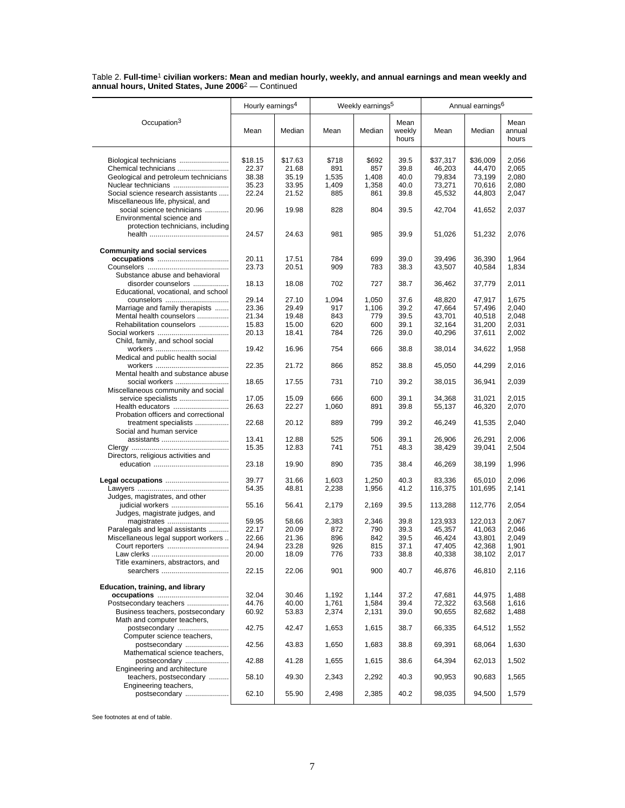|                                                            | Hourly earnings <sup>4</sup> |         |       | Weekly earnings <sup>5</sup> |                         |          | Annual earnings <sup>6</sup> |                         |
|------------------------------------------------------------|------------------------------|---------|-------|------------------------------|-------------------------|----------|------------------------------|-------------------------|
| Occupation <sup>3</sup>                                    | Mean                         | Median  | Mean  | Median                       | Mean<br>weekly<br>hours | Mean     | Median                       | Mean<br>annual<br>hours |
| Biological technicians                                     | \$18.15                      | \$17.63 | \$718 | \$692                        | 39.5                    | \$37,317 | \$36,009                     | 2,056                   |
| Chemical technicians                                       | 22.37                        | 21.68   | 891   | 857                          | 39.8                    | 46,203   | 44,470                       | 2,065                   |
| Geological and petroleum technicians                       | 38.38                        | 35.19   | 1,535 | 1,408                        | 40.0                    | 79,834   | 73,199                       | 2,080                   |
| Nuclear technicians                                        | 35.23                        | 33.95   | 1,409 | 1,358                        | 40.0                    | 73,271   | 70,616                       | 2,080                   |
| Social science research assistants                         | 22.24                        | 21.52   | 885   | 861                          | 39.8                    | 45,532   | 44,803                       | 2,047                   |
| Miscellaneous life, physical, and                          |                              |         |       |                              |                         |          |                              |                         |
| social science technicians<br>Environmental science and    | 20.96                        | 19.98   | 828   | 804                          | 39.5                    | 42,704   | 41,652                       | 2,037                   |
| protection technicians, including                          | 24.57                        | 24.63   | 981   | 985                          | 39.9                    | 51,026   | 51,232                       | 2,076                   |
| <b>Community and social services</b>                       |                              |         |       |                              |                         |          |                              |                         |
|                                                            | 20.11                        | 17.51   | 784   | 699                          | 39.0                    | 39,496   | 36,390                       | 1,964                   |
|                                                            | 23.73                        | 20.51   | 909   | 783                          | 38.3                    | 43,507   | 40,584                       | 1,834                   |
| Substance abuse and behavioral                             |                              |         |       |                              |                         |          |                              |                         |
| disorder counselors<br>Educational, vocational, and school | 18.13                        | 18.08   | 702   | 727                          | 38.7                    | 36,462   | 37,779                       | 2,011                   |
| counselors                                                 | 29.14                        | 27.10   | 1,094 | 1,050                        | 37.6                    | 48,820   | 47,917                       | 1.675                   |
| Marriage and family therapists                             | 23.36                        | 29.49   | 917   | 1,106                        | 39.2                    | 47,664   | 57,496                       | 2,040                   |
| Mental health counselors                                   | 21.34                        | 19.48   | 843   | 779                          | 39.5                    | 43,701   | 40,518                       | 2,048                   |
| Rehabilitation counselors                                  | 15.83                        | 15.00   | 620   | 600                          | 39.1                    | 32,164   | 31,200                       | 2,031                   |
| Child, family, and school social                           | 20.13                        | 18.41   | 784   | 726                          | 39.0                    | 40,296   | 37,611                       | 2,002                   |
| Medical and public health social                           | 19.42                        | 16.96   | 754   | 666                          | 38.8                    | 38,014   | 34,622                       | 1,958                   |
|                                                            | 22.35                        | 21.72   | 866   | 852                          | 38.8                    | 45,050   | 44,299                       | 2,016                   |
| Mental health and substance abuse<br>social workers        | 18.65                        | 17.55   | 731   | 710                          | 39.2                    | 38,015   | 36,941                       | 2,039                   |
| Miscellaneous community and social<br>service specialists  | 17.05                        | 15.09   | 666   | 600                          | 39.1                    | 34,368   | 31,021                       | 2,015                   |
| Health educators<br>Probation officers and correctional    | 26.63                        | 22.27   | 1,060 | 891                          | 39.8                    | 55,137   | 46,320                       | 2,070                   |
| treatment specialists<br>Social and human service          | 22.68                        | 20.12   | 889   | 799                          | 39.2                    | 46,249   | 41,535                       | 2,040                   |
|                                                            | 13.41                        | 12.88   | 525   | 506                          | 39.1                    | 26,906   | 26,291                       | 2,006                   |
|                                                            | 15.35                        | 12.83   | 741   | 751                          | 48.3                    | 38,429   | 39,041                       | 2,504                   |
| Directors, religious activities and                        |                              |         |       |                              |                         |          |                              |                         |
|                                                            | 23.18                        | 19.90   | 890   | 735                          | 38.4                    | 46,269   | 38,199                       | 1,996                   |
|                                                            | 39.77                        | 31.66   | 1,603 | 1,250                        | 40.3                    | 83,336   | 65,010                       | 2,096                   |
|                                                            | 54.35                        | 48.81   | 2,238 | 1,956                        | 41.2                    | 116,375  | 101,695                      | 2,141                   |
| Judges, magistrates, and other<br>judicial workers         | 55.16                        | 56.41   | 2,179 | 2,169                        | 39.5                    | 113,288  | 112,776                      | 2,054                   |
| Judges, magistrate judges, and                             |                              |         |       |                              |                         |          |                              |                         |
| magistrates                                                | 59.95                        | 58.66   | 2,383 | 2,346                        | 39.8                    | 123,933  | 122,013                      | 2,067                   |
| Paralegals and legal assistants                            | 22.17                        | 20.09   | 872   | 790                          | 39.3                    | 45,357   | 41,063                       | 2.046                   |
| Miscellaneous legal support workers                        | 22.66                        | 21.36   | 896   | 842                          | 39.5                    | 46,424   | 43,801                       | 2,049                   |
| Court reporters                                            | 24.94                        | 23.28   | 926   | 815                          | 37.1                    | 47,405   | 42,368                       | 1,901                   |
| Title examiners, abstractors, and                          | 20.00                        | 18.09   | 776   | 733                          | 38.8                    | 40,338   | 38,102                       | 2,017                   |
| searchers                                                  | 22.15                        | 22.06   | 901   | 900                          | 40.7                    | 46,876   | 46,810                       | 2,116                   |
| Education, training, and library                           |                              |         |       |                              |                         |          |                              |                         |
|                                                            | 32.04                        | 30.46   | 1,192 | 1,144                        | 37.2                    | 47,681   | 44,975                       | 1,488                   |
| Postsecondary teachers                                     | 44.76                        | 40.00   | 1,761 | 1,584                        | 39.4                    | 72,322   | 63,568                       | 1,616                   |
| Business teachers, postsecondary                           | 60.92                        | 53.83   | 2,374 | 2,131                        | 39.0                    | 90,655   | 82,682                       | 1,488                   |
| Math and computer teachers,<br>postsecondary               | 42.75                        | 42.47   | 1,653 | 1,615                        | 38.7                    | 66,335   | 64,512                       | 1,552                   |
| Computer science teachers,<br>postsecondary                | 42.56                        | 43.83   | 1,650 | 1,683                        | 38.8                    | 69,391   | 68,064                       | 1,630                   |
| Mathematical science teachers,                             |                              |         |       |                              |                         |          |                              |                         |
| postsecondary<br>Engineering and architecture              | 42.88                        | 41.28   | 1,655 | 1,615                        | 38.6                    | 64,394   | 62,013                       | 1,502                   |
| teachers, postsecondary<br>Engineering teachers,           | 58.10                        | 49.30   | 2,343 | 2,292                        | 40.3                    | 90,953   | 90,683                       | 1,565                   |
| postsecondary                                              | 62.10                        | 55.90   | 2,498 | 2,385                        | 40.2                    | 98,035   | 94,500                       | 1,579                   |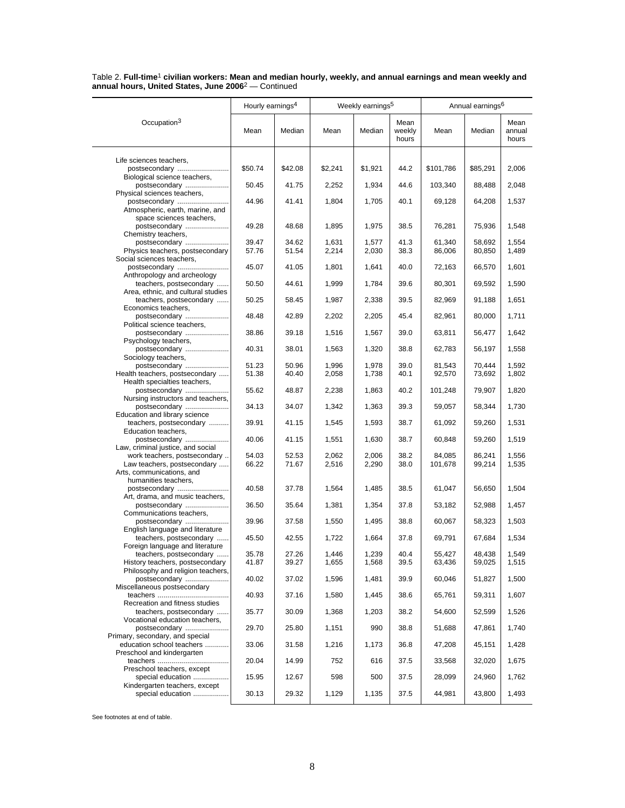|                                                             | Hourly earnings <sup>4</sup> |                |                | Weekly earnings <sup>5</sup> |                         |                   | Annual earnings <sup>6</sup> |                         |
|-------------------------------------------------------------|------------------------------|----------------|----------------|------------------------------|-------------------------|-------------------|------------------------------|-------------------------|
| Occupation <sup>3</sup>                                     | Mean                         | Median         | Mean           | Median                       | Mean<br>weekly<br>hours | Mean              | Median                       | Mean<br>annual<br>hours |
| Life sciences teachers,                                     |                              |                |                |                              |                         |                   |                              |                         |
| postsecondary                                               | \$50.74                      | \$42.08        | \$2,241        | \$1,921                      | 44.2                    | \$101,786         | \$85,291                     | 2,006                   |
| Biological science teachers,                                |                              |                |                |                              |                         |                   |                              |                         |
| postsecondary<br>Physical sciences teachers,                | 50.45                        | 41.75          | 2,252          | 1,934                        | 44.6                    | 103,340           | 88,488                       | 2,048                   |
| postsecondary                                               | 44.96                        | 41.41          | 1,804          | 1,705                        | 40.1                    | 69,128            | 64,208                       | 1,537                   |
| Atmospheric, earth, marine, and                             |                              |                |                |                              |                         |                   |                              |                         |
| space sciences teachers,                                    |                              |                |                |                              |                         |                   |                              |                         |
| postsecondary<br>Chemistry teachers,                        | 49.28                        | 48.68          | 1,895          | 1,975                        | 38.5                    | 76,281            | 75,936                       | 1,548                   |
| postsecondary                                               | 39.47                        | 34.62          | 1,631          | 1,577                        | 41.3                    | 61,340            | 58,692                       | 1,554                   |
| Physics teachers, postsecondary                             | 57.76                        | 51.54          | 2,214          | 2,030                        | 38.3                    | 86,006            | 80,850                       | 1,489                   |
| Social sciences teachers,                                   |                              |                |                |                              |                         |                   |                              |                         |
| postsecondary<br>Anthropology and archeology                | 45.07                        | 41.05          | 1,801          | 1,641                        | 40.0                    | 72,163            | 66,570                       | 1,601                   |
| teachers, postsecondary                                     | 50.50                        | 44.61          | 1,999          | 1,784                        | 39.6                    | 80,301            | 69,592                       | 1,590                   |
| Area, ethnic, and cultural studies                          |                              |                |                |                              |                         |                   |                              |                         |
| teachers, postsecondary                                     | 50.25                        | 58.45          | 1,987          | 2,338                        | 39.5                    | 82,969            | 91,188                       | 1,651                   |
| Economics teachers,<br>postsecondary                        | 48.48                        | 42.89          | 2,202          | 2,205                        | 45.4                    | 82,961            | 80,000                       | 1,711                   |
| Political science teachers,                                 |                              |                |                |                              |                         |                   |                              |                         |
| postsecondary                                               | 38.86                        | 39.18          | 1,516          | 1,567                        | 39.0                    | 63,811            | 56,477                       | 1,642                   |
| Psychology teachers,<br>postsecondary                       | 40.31                        | 38.01          | 1,563          | 1,320                        | 38.8                    | 62,783            | 56,197                       | 1,558                   |
| Sociology teachers,                                         |                              |                |                |                              |                         |                   |                              |                         |
| postsecondary                                               | 51.23                        | 50.96          | 1,996          | 1,978                        | 39.0                    | 81,543            | 70.444                       | 1,592                   |
| Health teachers, postsecondary                              | 51.38                        | 40.40          | 2,058          | 1,738                        | 40.1                    | 92,570            | 73,692                       | 1,802                   |
| Health specialties teachers,<br>postsecondary               | 55.62                        | 48.87          | 2,238          | 1,863                        | 40.2                    | 101,248           | 79,907                       | 1,820                   |
| Nursing instructors and teachers,                           |                              |                |                |                              |                         |                   |                              |                         |
| postsecondary                                               | 34.13                        | 34.07          | 1,342          | 1,363                        | 39.3                    | 59,057            | 58,344                       | 1,730                   |
| Education and library science<br>teachers, postsecondary    | 39.91                        | 41.15          | 1,545          | 1,593                        | 38.7                    | 61,092            | 59,260                       | 1,531                   |
| Education teachers,                                         |                              |                |                |                              |                         |                   |                              |                         |
| postsecondary                                               | 40.06                        | 41.15          | 1,551          | 1,630                        | 38.7                    | 60,848            | 59,260                       | 1,519                   |
| Law, criminal justice, and social                           |                              |                |                |                              |                         |                   |                              |                         |
| work teachers, postsecondary<br>Law teachers, postsecondary | 54.03<br>66.22               | 52.53<br>71.67 | 2,062<br>2,516 | 2,006<br>2,290               | 38.2<br>38.0            | 84,085<br>101,678 | 86,241<br>99,214             | 1,556<br>1,535          |
| Arts, communications, and                                   |                              |                |                |                              |                         |                   |                              |                         |
| humanities teachers,                                        |                              |                |                |                              |                         |                   |                              |                         |
| postsecondary                                               | 40.58                        | 37.78          | 1,564          | 1,485                        | 38.5                    | 61,047            | 56,650                       | 1,504                   |
| Art, drama, and music teachers,<br>postsecondary            | 36.50                        | 35.64          | 1,381          | 1,354                        | 37.8                    | 53,182            | 52,988                       | 1,457                   |
| Communications teachers,                                    |                              |                |                |                              |                         |                   |                              |                         |
| postsecondary                                               | 39.96                        | 37.58          | 1,550          | 1,495                        | 38.8                    | 60,067            | 58,323                       | 1,503                   |
| English language and literature                             |                              |                |                |                              |                         | 69.791            |                              |                         |
| teachers, postsecondary<br>Foreign language and literature  | 45.50                        | 42.55          | 1,722          | 1,664                        | 37.8                    |                   | 67,684                       | 1,534                   |
| teachers, postsecondary                                     | 35.78                        | 27.26          | 1,446          | 1,239                        | 40.4                    | 55,427            | 48,438                       | 1,549                   |
| History teachers, postsecondary                             | 41.87                        | 39.27          | 1,655          | 1,568                        | 39.5                    | 63,436            | 59,025                       | 1,515                   |
| Philosophy and religion teachers,                           |                              |                |                |                              |                         |                   |                              |                         |
| postsecondary<br>Miscellaneous postsecondary                | 40.02                        | 37.02          | 1,596          | 1,481                        | 39.9                    | 60,046            | 51,827                       | 1,500                   |
|                                                             | 40.93                        | 37.16          | 1,580          | 1,445                        | 38.6                    | 65,761            | 59,311                       | 1,607                   |
| Recreation and fitness studies                              |                              |                |                |                              |                         |                   |                              |                         |
| teachers, postsecondary<br>Vocational education teachers,   | 35.77                        | 30.09          | 1,368          | 1,203                        | 38.2                    | 54,600            | 52,599                       | 1,526                   |
| postsecondary                                               | 29.70                        | 25.80          | 1,151          | 990                          | 38.8                    | 51,688            | 47,861                       | 1,740                   |
| Primary, secondary, and special                             |                              |                |                |                              |                         |                   |                              |                         |
| education school teachers                                   | 33.06                        | 31.58          | 1,216          | 1,173                        | 36.8                    | 47,208            | 45,151                       | 1,428                   |
| Preschool and kindergarten                                  | 20.04                        | 14.99          | 752            | 616                          | 37.5                    | 33,568            | 32,020                       | 1,675                   |
| Preschool teachers, except                                  |                              |                |                |                              |                         |                   |                              |                         |
| special education                                           | 15.95                        | 12.67          | 598            | 500                          | 37.5                    | 28,099            | 24,960                       | 1,762                   |
| Kindergarten teachers, except                               |                              |                |                |                              |                         |                   |                              |                         |
| special education                                           | 30.13                        | 29.32          | 1,129          | 1,135                        | 37.5                    | 44,981            | 43,800                       | 1,493                   |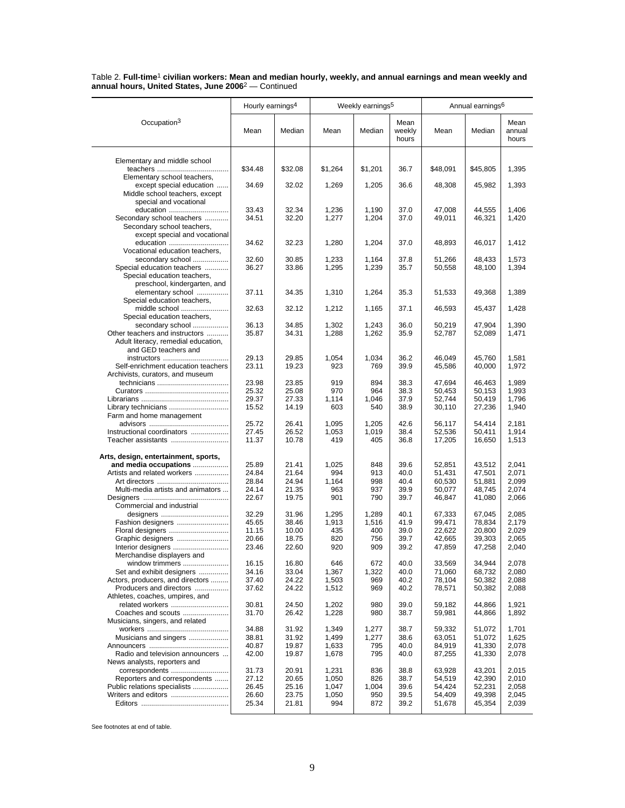|                                                             | Hourly earnings <sup>4</sup> |                |                | Weekly earnings <sup>5</sup> |                         |                  | Annual earnings <sup>6</sup> |                         |
|-------------------------------------------------------------|------------------------------|----------------|----------------|------------------------------|-------------------------|------------------|------------------------------|-------------------------|
| Occupation <sup>3</sup>                                     | Mean                         | Median         | Mean           | Median                       | Mean<br>weekly<br>hours | Mean             | Median                       | Mean<br>annual<br>hours |
| Elementary and middle school                                |                              |                |                |                              |                         |                  |                              |                         |
|                                                             | \$34.48                      | \$32.08        | \$1,264        | \$1,201                      | 36.7                    | \$48,091         | \$45,805                     | 1,395                   |
| Elementary school teachers,                                 |                              |                |                |                              |                         |                  |                              |                         |
| except special education                                    | 34.69                        | 32.02          | 1,269          | 1,205                        | 36.6                    | 48,308           | 45,982                       | 1,393                   |
| Middle school teachers, except                              |                              |                |                |                              |                         |                  |                              |                         |
| special and vocational<br>education                         | 33.43                        | 32.34          | 1,236          | 1,190                        | 37.0                    | 47,008           | 44,555                       | 1,406                   |
| Secondary school teachers                                   | 34.51                        | 32.20          | 1,277          | 1,204                        | 37.0                    | 49,011           | 46,321                       | 1,420                   |
| Secondary school teachers,                                  |                              |                |                |                              |                         |                  |                              |                         |
| except special and vocational                               |                              |                |                |                              |                         |                  |                              |                         |
| education                                                   | 34.62                        | 32.23          | 1,280          | 1,204                        | 37.0                    | 48,893           | 46,017                       | 1,412                   |
| Vocational education teachers,                              |                              |                |                |                              |                         |                  |                              |                         |
| secondary school                                            | 32.60                        | 30.85          | 1,233          | 1,164                        | 37.8                    | 51,266           | 48,433                       | 1,573                   |
| Special education teachers                                  | 36.27                        | 33.86          | 1,295          | 1,239                        | 35.7                    | 50,558           | 48,100                       | 1,394                   |
| Special education teachers,<br>preschool, kindergarten, and |                              |                |                |                              |                         |                  |                              |                         |
| elementary school                                           | 37.11                        | 34.35          | 1,310          | 1,264                        | 35.3                    | 51,533           | 49,368                       | 1,389                   |
| Special education teachers,                                 |                              |                |                |                              |                         |                  |                              |                         |
| middle school                                               | 32.63                        | 32.12          | 1,212          | 1,165                        | 37.1                    | 46,593           | 45,437                       | 1,428                   |
| Special education teachers.                                 |                              |                |                |                              |                         |                  |                              |                         |
| secondary school                                            | 36.13                        | 34.85          | 1.302          | 1,243                        | 36.0                    | 50,219           | 47,904                       | 1,390                   |
| Other teachers and instructors                              | 35.87                        | 34.31          | 1,288          | 1,262                        | 35.9                    | 52,787           | 52,089                       | 1,471                   |
| Adult literacy, remedial education,                         |                              |                |                |                              |                         |                  |                              |                         |
| and GED teachers and<br>instructors                         | 29.13                        | 29.85          | 1,054          | 1,034                        | 36.2                    | 46,049           | 45,760                       | 1,581                   |
| Self-enrichment education teachers                          | 23.11                        | 19.23          | 923            | 769                          | 39.9                    | 45,586           | 40,000                       | 1,972                   |
| Archivists, curators, and museum                            |                              |                |                |                              |                         |                  |                              |                         |
|                                                             | 23.98                        | 23.85          | 919            | 894                          | 38.3                    | 47.694           | 46,463                       | 1.989                   |
|                                                             | 25.32                        | 25.08          | 970            | 964                          | 38.3                    | 50,453           | 50,153                       | 1,993                   |
|                                                             | 29.37                        | 27.33          | 1,114          | 1,046                        | 37.9                    | 52,744           | 50,419                       | 1,796                   |
|                                                             | 15.52                        | 14.19          | 603            | 540                          | 38.9                    | 30,110           | 27,236                       | 1,940                   |
| Farm and home management                                    |                              |                |                |                              |                         |                  |                              |                         |
| Instructional coordinators                                  | 25.72<br>27.45               | 26.41<br>26.52 | 1,095<br>1,053 | 1,205<br>1,019               | 42.6<br>38.4            | 56,117<br>52,536 | 54,414<br>50,411             | 2,181<br>1,914          |
| Teacher assistants                                          | 11.37                        | 10.78          | 419            | 405                          | 36.8                    | 17,205           | 16,650                       | 1,513                   |
| Arts, design, entertainment, sports,                        |                              |                |                |                              |                         |                  |                              |                         |
| and media occupations                                       | 25.89                        | 21.41          | 1,025          | 848                          | 39.6                    | 52,851           | 43,512                       | 2,041                   |
| Artists and related workers                                 | 24.84                        | 21.64          | 994            | 913                          | 40.0                    | 51,431           | 47,501                       | 2,071                   |
|                                                             | 28.84                        | 24.94          | 1,164          | 998                          | 40.4                    | 60,530           | 51,881                       | 2,099                   |
| Multi-media artists and animators                           | 24.14                        | 21.35          | 963            | 937                          | 39.9                    | 50,077           | 48,745                       | 2,074                   |
|                                                             | 22.67                        | 19.75          | 901            | 790                          | 39.7                    | 46,847           | 41,080                       | 2,066                   |
| Commercial and industrial                                   |                              |                |                |                              |                         |                  |                              |                         |
| designers<br>Fashion designers                              | 32.29<br>45.65               | 31.96<br>38.46 | 1,295<br>1,913 | 1,289<br>1,516               | 40.1<br>41.9            | 67,333<br>99,471 | 67,045<br>78,834             | 2,085<br>2,179          |
| Floral designers                                            | 11.15                        | 10.00          | 435            | 400                          | 39.0                    | 22,622           | 20,800                       | 2,029                   |
| Graphic designers                                           | 20.66                        | 18.75          | 820            | 756                          | 39.7                    | 42,665           | 39,303                       | 2,065                   |
| Interior designers                                          | 23.46                        | 22.60          | 920            | 909                          | 39.2                    | 47,859           | 47,258                       | 2,040                   |
| Merchandise displayers and                                  |                              |                |                |                              |                         |                  |                              |                         |
| window trimmers                                             | 16.15                        | 16.80          | 646            | 672                          | 40.0                    | 33,569           | 34,944                       | 2,078                   |
| Set and exhibit designers                                   | 34.16                        | 33.04          | 1,367          | 1,322                        | 40.0                    | 71,060           | 68,732                       | 2,080                   |
| Actors, producers, and directors                            | 37.40                        | 24.22          | 1,503          | 969                          | 40.2                    | 78,104           | 50,382                       | 2,088                   |
| Producers and directors                                     | 37.62                        | 24.22          | 1,512          | 969                          | 40.2                    | 78,571           | 50,382                       | 2,088                   |
| Athletes, coaches, umpires, and<br>related workers          | 30.81                        | 24.50          | 1,202          | 980                          | 39.0                    | 59,182           | 44,866                       | 1,921                   |
| Coaches and scouts                                          | 31.70                        | 26.42          | 1,228          | 980                          | 38.7                    | 59,981           | 44,866                       | 1,892                   |
| Musicians, singers, and related                             |                              |                |                |                              |                         |                  |                              |                         |
|                                                             | 34.88                        | 31.92          | 1,349          | 1,277                        | 38.7                    | 59,332           | 51.072                       | 1,701                   |
| Musicians and singers                                       | 38.81                        | 31.92          | 1,499          | 1,277                        | 38.6                    | 63,051           | 51,072                       | 1,625                   |
|                                                             | 40.87                        | 19.87          | 1,633          | 795                          | 40.0                    | 84,919           | 41,330                       | 2,078                   |
| Radio and television announcers                             | 42.00                        | 19.87          | 1,678          | 795                          | 40.0                    | 87,255           | 41,330                       | 2,078                   |
| News analysts, reporters and                                |                              |                |                |                              |                         |                  |                              |                         |
| correspondents<br>Reporters and correspondents              | 31.73<br>27.12               | 20.91<br>20.65 | 1,231<br>1,050 | 836<br>826                   | 38.8<br>38.7            | 63,928<br>54,519 | 43,201                       | 2,015<br>2,010          |
| Public relations specialists                                | 26.45                        | 25.16          | 1,047          | 1,004                        | 39.6                    | 54,424           | 42,390<br>52,231             | 2,058                   |
| Writers and editors                                         | 26.60                        | 23.75          | 1,050          | 950                          | 39.5                    | 54,409           | 49,398                       | 2,045                   |
|                                                             | 25.34                        | 21.81          | 994            | 872                          | 39.2                    | 51,678           | 45,354                       | 2,039                   |
|                                                             |                              |                |                |                              |                         |                  |                              |                         |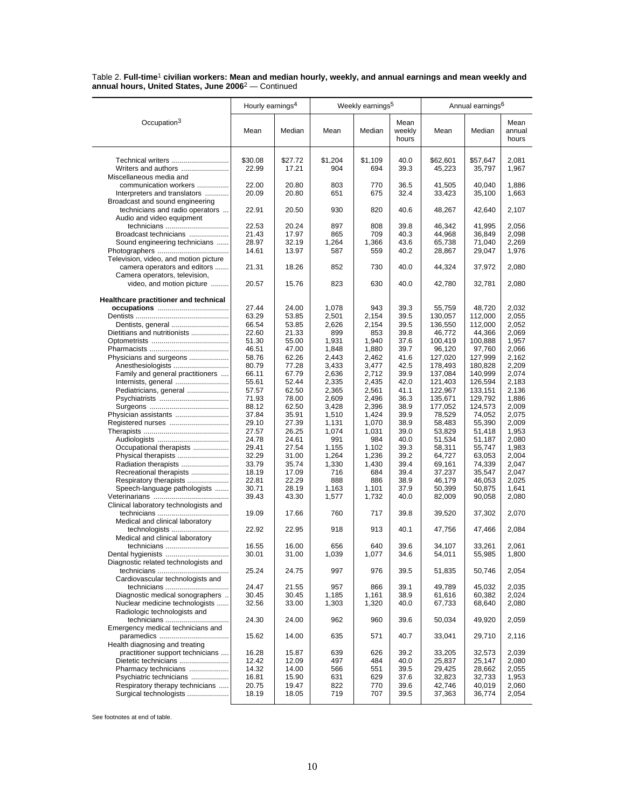|                                                                    | Hourly earnings <sup>4</sup> |                  |                | Weekly earnings <sup>5</sup> |                         |                    | Annual earnings <sup>6</sup> |                         |
|--------------------------------------------------------------------|------------------------------|------------------|----------------|------------------------------|-------------------------|--------------------|------------------------------|-------------------------|
| Occupation <sup>3</sup>                                            | Mean                         | Median           | Mean           | Median                       | Mean<br>weekly<br>hours | Mean               | Median                       | Mean<br>annual<br>hours |
| Technical writers<br>Writers and authors                           | \$30.08<br>22.99             | \$27.72<br>17.21 | \$1,204<br>904 | \$1,109<br>694               | 40.0<br>39.3            | \$62,601<br>45,223 | \$57,647<br>35,797           | 2,081<br>1,967          |
| Miscellaneous media and                                            |                              |                  |                |                              |                         |                    |                              |                         |
| communication workers<br>Interpreters and translators              | 22.00<br>20.09               | 20.80<br>20.80   | 803<br>651     | 770<br>675                   | 36.5<br>32.4            | 41,505<br>33,423   | 40,040<br>35,100             | 1,886<br>1,663          |
| Broadcast and sound engineering<br>technicians and radio operators | 22.91                        | 20.50            | 930            | 820                          | 40.6                    | 48,267             | 42,640                       | 2,107                   |
| Audio and video equipment<br>technicians                           | 22.53                        | 20.24            | 897            | 808                          | 39.8                    | 46,342             | 41,995                       | 2,056                   |
| Broadcast technicians                                              | 21.43                        | 17.97            | 865            | 709                          | 40.3                    | 44,968             | 36.849                       | 2,098                   |
| Sound engineering technicians                                      | 28.97                        | 32.19            | 1,264          | 1,366                        | 43.6                    | 65,738             | 71,040                       | 2,269                   |
|                                                                    | 14.61                        | 13.97            | 587            | 559                          | 40.2                    | 28,867             | 29,047                       | 1,976                   |
| Television, video, and motion picture                              |                              |                  |                |                              |                         |                    |                              |                         |
| camera operators and editors<br>Camera operators, television,      | 21.31                        | 18.26            | 852            | 730                          | 40.0                    | 44,324             | 37,972                       | 2,080                   |
| video, and motion picture                                          | 20.57                        | 15.76            | 823            | 630                          | 40.0                    | 42,780             | 32,781                       | 2,080                   |
| Healthcare practitioner and technical                              |                              |                  |                |                              |                         |                    |                              |                         |
|                                                                    | 27.44                        | 24.00            | 1,078          | 943                          | 39.3                    | 55,759             | 48,720                       | 2,032                   |
|                                                                    | 63.29<br>66.54               | 53.85            | 2,501          | 2,154                        | 39.5<br>39.5            | 130,057<br>136,550 | 112,000<br>112,000           | 2,055<br>2,052          |
| Dentists, general<br>Dietitians and nutritionists                  | 22.60                        | 53.85<br>21.33   | 2,626<br>899   | 2,154<br>853                 | 39.8                    |                    | 44,366                       | 2,069                   |
|                                                                    | 51.30                        | 55.00            | 1,931          | 1,940                        | 37.6                    | 46,772<br>100,419  | 100,888                      | 1,957                   |
|                                                                    | 46.51                        | 47.00            | 1,848          | 1,880                        | 39.7                    | 96,120             | 97,760                       | 2,066                   |
| Physicians and surgeons                                            | 58.76                        | 62.26            | 2,443          | 2,462                        | 41.6                    | 127,020            | 127,999                      | 2,162                   |
| Anesthesiologists                                                  | 80.79                        | 77.28            | 3,433          | 3,477                        | 42.5                    | 178,493            | 180,828                      | 2,209                   |
| Family and general practitioners                                   | 66.11                        | 67.79            | 2,636          | 2.712                        | 39.9                    | 137,084            | 140,999                      | 2,074                   |
| Internists, general                                                | 55.61                        | 52.44            | 2,335          | 2,435                        | 42.0                    | 121,403            | 126,594                      | 2,183                   |
| Pediatricians, general                                             | 57.57                        | 62.50            | 2,365          | 2,561                        | 41.1                    | 122,967            | 133,151                      | 2,136                   |
|                                                                    | 71.93                        | 78.00            | 2,609          | 2,496                        | 36.3                    | 135,671            | 129,792                      | 1,886                   |
|                                                                    | 88.12                        | 62.50            | 3,428          | 2,396                        | 38.9                    | 177,052            | 124,573                      | 2,009                   |
| Physician assistants                                               | 37.84                        | 35.91            | 1,510          | 1,424                        | 39.9                    | 78,529             | 74,052                       | 2,075                   |
| Registered nurses                                                  | 29.10                        | 27.39            | 1,131          | 1,070                        | 38.9                    | 58,483             | 55,390                       | 2,009                   |
|                                                                    | 27.57                        | 26.25            | 1,074          | 1,031                        | 39.0                    | 53,829             | 51,418                       | 1,953                   |
|                                                                    | 24.78                        | 24.61            | 991            | 984                          | 40.0                    | 51,534             | 51,187                       | 2,080                   |
| Occupational therapists                                            | 29.41                        | 27.54            | 1,155          | 1,102                        | 39.3                    | 58,311             | 55,747                       | 1,983                   |
|                                                                    | 32.29                        | 31.00            | 1,264          | 1,236                        | 39.2                    | 64,727             | 63,053                       | 2,004                   |
| Radiation therapists                                               | 33.79                        | 35.74            | 1,330          | 1,430                        | 39.4                    | 69,161             | 74,339                       | 2,047                   |
| Recreational therapists                                            | 18.19                        | 17.09            | 716            | 684                          | 39.4                    | 37,237             | 35,547                       | 2,047                   |
| Respiratory therapists                                             | 22.81                        | 22.29            | 888            | 886                          | 38.9                    | 46,179             | 46,053                       | 2,025                   |
| Speech-language pathologists                                       | 30.71                        | 28.19            | 1,163          | 1,101                        | 37.9                    | 50,399             | 50,875                       | 1,641                   |
|                                                                    | 39.43                        | 43.30            | 1,577          | 1,732                        | 40.0                    | 82,009             | 90,058                       | 2,080                   |
| Clinical laboratory technologists and                              | 19.09                        | 17.66            | 760            | 717                          | 39.8                    | 39,520             | 37,302                       | 2,070                   |
| Medical and clinical laboratory<br>technologists                   | 22.92                        | 22.95            | 918            | 913                          | 40.1                    | 47,756             | 47,466                       | 2,084                   |
| Medical and clinical laboratory<br>technicians                     | 16.55                        | 16.00            | 656            | 640                          | 39.6                    | 34,107             | 33,261                       | 2,061                   |
| Dental hygienists<br>Diagnostic related technologists and          | 30.01                        | 31.00            | 1,039          | 1,077                        | 34.6                    | 54,011             | 55,985                       | 1,800                   |
| Cardiovascular technologists and                                   | 25.24                        | 24.75            | 997            | 976                          | 39.5                    | 51,835             | 50,746                       | 2,054                   |
| technicians                                                        | 24.47                        | 21.55            | 957            | 866                          | 39.1                    | 49,789             | 45.032                       | 2,035                   |
| Diagnostic medical sonographers                                    | 30.45                        | 30.45            | 1,185          | 1,161                        | 38.9                    | 61,616             | 60,382                       | 2,024                   |
| Nuclear medicine technologists<br>Radiologic technologists and     | 32.56                        | 33.00            | 1,303          | 1,320                        | 40.0                    | 67,733             | 68,640                       | 2,080                   |
| technicians                                                        | 24.30                        | 24.00            | 962            | 960                          | 39.6                    | 50,034             | 49,920                       | 2,059                   |
| Emergency medical technicians and                                  | 15.62                        | 14.00            | 635            | 571                          | 40.7                    | 33,041             | 29,710                       | 2,116                   |
| Health diagnosing and treating                                     |                              |                  |                |                              |                         |                    |                              |                         |
| practitioner support technicians                                   | 16.28                        | 15.87            | 639            | 626                          | 39.2                    | 33,205             | 32,573                       | 2,039                   |
| Dietetic technicians                                               | 12.42                        | 12.09            | 497            | 484                          | 40.0                    | 25,837             | 25,147                       | 2,080                   |
| Pharmacy technicians                                               | 14.32                        | 14.00            | 566            | 551                          | 39.5                    | 29,425             | 28,662                       | 2,055                   |
| Psychiatric technicians                                            | 16.81                        | 15.90            | 631            | 629                          | 37.6                    | 32,823             | 32,733                       | 1,953                   |
| Respiratory therapy technicians                                    | 20.75                        | 19.47            | 822            | 770                          | 39.6                    | 42,746             | 40,019                       | 2,060                   |
| Surgical technologists                                             | 18.19                        | 18.05            | 719            | 707                          | 39.5                    | 37,363             | 36,774                       | 2,054                   |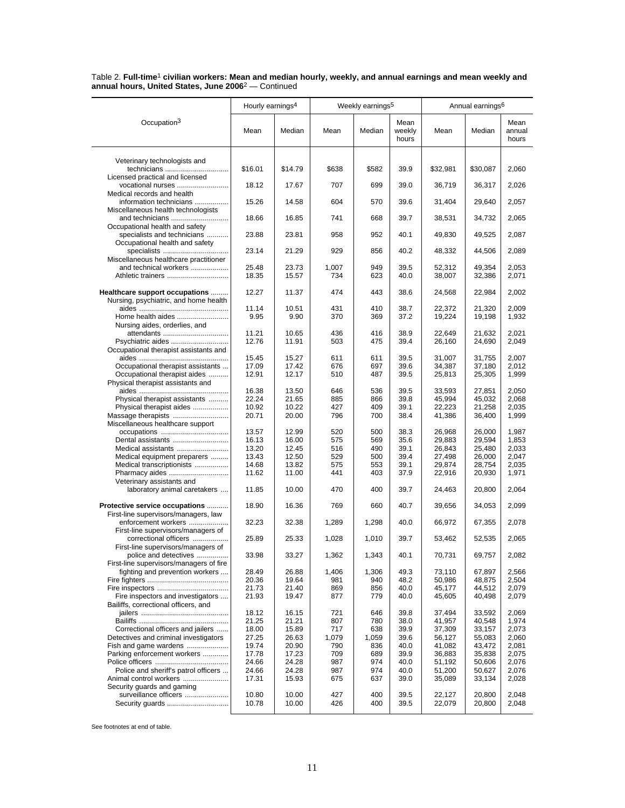|                                                                | Hourly earnings <sup>4</sup> |                |              | Weekly earnings <sup>5</sup> |                         |                  | Annual earnings <sup>6</sup> |                         |
|----------------------------------------------------------------|------------------------------|----------------|--------------|------------------------------|-------------------------|------------------|------------------------------|-------------------------|
| Occupation <sup>3</sup>                                        | Mean                         | Median         | Mean         | Median                       | Mean<br>weekly<br>hours | Mean             | Median                       | Mean<br>annual<br>hours |
| Veterinary technologists and                                   |                              |                |              |                              |                         |                  |                              |                         |
| technicians                                                    | \$16.01                      | \$14.79        | \$638        | \$582                        | 39.9                    | \$32,981         | \$30,087                     | 2,060                   |
| Licensed practical and licensed                                |                              |                |              |                              |                         |                  |                              |                         |
| vocational nurses<br>Medical records and health                | 18.12                        | 17.67          | 707          | 699                          | 39.0                    | 36,719           | 36,317                       | 2,026                   |
| information technicians                                        | 15.26                        | 14.58          | 604          | 570                          | 39.6                    | 31,404           | 29,640                       | 2,057                   |
| Miscellaneous health technologists                             |                              |                |              |                              |                         |                  |                              |                         |
| and technicians                                                | 18.66                        | 16.85          | 741          | 668                          | 39.7                    | 38,531           | 34,732                       | 2,065                   |
| Occupational health and safety                                 |                              |                |              |                              |                         |                  |                              |                         |
| specialists and technicians                                    | 23.88                        | 23.81          | 958          | 952                          | 40.1                    | 49,830           | 49,525                       | 2,087                   |
| Occupational health and safety                                 | 23.14                        | 21.29          | 929          | 856                          | 40.2                    | 48,332           | 44,506                       | 2,089                   |
| Miscellaneous healthcare practitioner                          |                              |                |              |                              |                         |                  |                              |                         |
| and technical workers                                          | 25.48                        | 23.73          | 1,007        | 949                          | 39.5                    | 52,312           | 49,354                       | 2,053                   |
|                                                                | 18.35                        | 15.57          | 734          | 623                          | 40.0                    | 38,007           | 32,386                       | 2,071                   |
|                                                                |                              |                |              |                              |                         |                  |                              |                         |
| Healthcare support occupations                                 | 12.27                        | 11.37          | 474          | 443                          | 38.6                    | 24,568           | 22,984                       | 2,002                   |
| Nursing, psychiatric, and home health                          |                              |                |              |                              |                         |                  |                              |                         |
|                                                                | 11.14                        | 10.51          | 431          | 410                          | 38.7                    | 22,372           | 21,320                       | 2,009                   |
| Home health aides<br>Nursing aides, orderlies, and             | 9.95                         | 9.90           | 370          | 369                          | 37.2                    | 19,224           | 19,198                       | 1,932                   |
| attendants                                                     | 11.21                        | 10.65          | 436          | 416                          | 38.9                    | 22,649           | 21,632                       | 2,021                   |
| Psychiatric aides                                              | 12.76                        | 11.91          | 503          | 475                          | 39.4                    | 26,160           | 24,690                       | 2,049                   |
| Occupational therapist assistants and                          |                              |                |              |                              |                         |                  |                              |                         |
|                                                                | 15.45                        | 15.27          | 611          | 611                          | 39.5                    | 31,007           | 31,755                       | 2,007                   |
| Occupational therapist assistants                              | 17.09                        | 17.42          | 676          | 697                          | 39.6                    | 34,387           | 37,180                       | 2,012                   |
| Occupational therapist aides                                   | 12.91                        | 12.17          | 510          | 487                          | 39.5                    | 25,813           | 25,305                       | 1,999                   |
| Physical therapist assistants and                              | 16.38                        | 13.50          | 646          | 536                          | 39.5                    | 33,593           | 27,851                       | 2,050                   |
| Physical therapist assistants                                  | 22.24                        | 21.65          | 885          | 866                          | 39.8                    | 45,994           | 45,032                       | 2,068                   |
| Physical therapist aides                                       | 10.92                        | 10.22          | 427          | 409                          | 39.1                    | 22,223           | 21,258                       | 2,035                   |
| Massage therapists                                             | 20.71                        | 20.00          | 796          | 700                          | 38.4                    | 41,386           | 36,400                       | 1,999                   |
| Miscellaneous healthcare support                               |                              |                |              |                              |                         |                  |                              |                         |
| occupations                                                    | 13.57                        | 12.99          | 520          | 500                          | 38.3                    | 26,968           | 26,000                       | 1,987                   |
| Dental assistants                                              | 16.13                        | 16.00          | 575          | 569                          | 35.6                    | 29,883           | 29,594                       | 1,853                   |
| Medical assistants<br>Medical equipment preparers              | 13.20<br>13.43               | 12.45<br>12.50 | 516<br>529   | 490<br>500                   | 39.1<br>39.4            | 26,843<br>27,498 | 25,480<br>26,000             | 2,033<br>2,047          |
| Medical transcriptionists                                      | 14.68                        | 13.82          | 575          | 553                          | 39.1                    | 29,874           | 28,754                       | 2,035                   |
| Pharmacy aides                                                 | 11.62                        | 11.00          | 441          | 403                          | 37.9                    | 22,916           | 20,930                       | 1,971                   |
| Veterinary assistants and                                      |                              |                |              |                              |                         |                  |                              |                         |
| laboratory animal caretakers                                   | 11.85                        | 10.00          | 470          | 400                          | 39.7                    | 24,463           | 20,800                       | 2,064                   |
|                                                                |                              |                |              |                              |                         |                  |                              |                         |
| Protective service occupations                                 | 18.90                        | 16.36          | 769          | 660                          | 40.7                    | 39,656           | 34,053                       | 2,099                   |
| First-line supervisors/managers, law<br>enforcement workers    | 32.23                        | 32.38          | 1,289        | 1,298                        | 40.0                    | 66,972           | 67,355                       | 2,078                   |
| First-line supervisors/managers of                             |                              |                |              |                              |                         |                  |                              |                         |
| correctional officers                                          | 25.89                        | 25.33          | 1,028        | 1,010                        | 39.7                    | 53,462           | 52,535                       | 2,065                   |
| First-line supervisors/managers of                             |                              |                |              |                              |                         |                  |                              |                         |
| police and detectives                                          | 33.98                        | 33.27          | 1,362        | 1,343                        | 40.1                    | 70,731           | 69,757                       | 2,082                   |
| First-line supervisors/managers of fire                        |                              |                |              |                              |                         |                  |                              |                         |
| fighting and prevention workers                                | 28.49<br>20.36               | 26.88<br>19.64 | 1,406<br>981 | 1,306<br>940                 | 49.3<br>48.2            | 73,110<br>50,986 | 67,897<br>48,875             | 2,566<br>2,504          |
|                                                                | 21.73                        | 21.40          | 869          | 856                          | 40.0                    | 45,177           | 44,512                       | 2,079                   |
| Fire inspectors and investigators                              | 21.93                        | 19.47          | 877          | 779                          | 40.0                    | 45,605           | 40,498                       | 2,079                   |
| Bailiffs, correctional officers, and                           |                              |                |              |                              |                         |                  |                              |                         |
|                                                                | 18.12                        | 16.15          | 721          | 646                          | 39.8                    | 37,494           | 33,592                       | 2,069                   |
|                                                                | 21.25                        | 21.21          | 807          | 780                          | 38.0                    | 41,957           | 40,548                       | 1,974                   |
| Correctional officers and jailers                              | 18.00                        | 15.89          | 717          | 638                          | 39.9                    | 37,309           | 33,157                       | 2,073                   |
| Detectives and criminal investigators<br>Fish and game wardens | 27.25<br>19.74               | 26.63<br>20.90 | 1,079<br>790 | 1,059<br>836                 | 39.6<br>40.0            | 56,127<br>41,082 | 55,083<br>43,472             | 2,060<br>2,081          |
| Parking enforcement workers                                    | 17.78                        | 17.23          | 709          | 689                          | 39.9                    | 36,883           | 35,838                       | 2,075                   |
|                                                                | 24.66                        | 24.28          | 987          | 974                          | 40.0                    | 51,192           | 50,606                       | 2,076                   |
| Police and sheriff's patrol officers                           | 24.66                        | 24.28          | 987          | 974                          | 40.0                    | 51,200           | 50,627                       | 2,076                   |
| Animal control workers                                         | 17.31                        | 15.93          | 675          | 637                          | 39.0                    | 35,089           | 33,134                       | 2,028                   |
| Security guards and gaming                                     |                              |                |              |                              |                         |                  |                              |                         |
| surveillance officers                                          | 10.80                        | 10.00          | 427          | 400                          | 39.5                    | 22,127           | 20,800                       | 2,048                   |
| Security guards                                                | 10.78                        | 10.00          | 426          | 400                          | 39.5                    | 22,079           | 20,800                       | 2,048                   |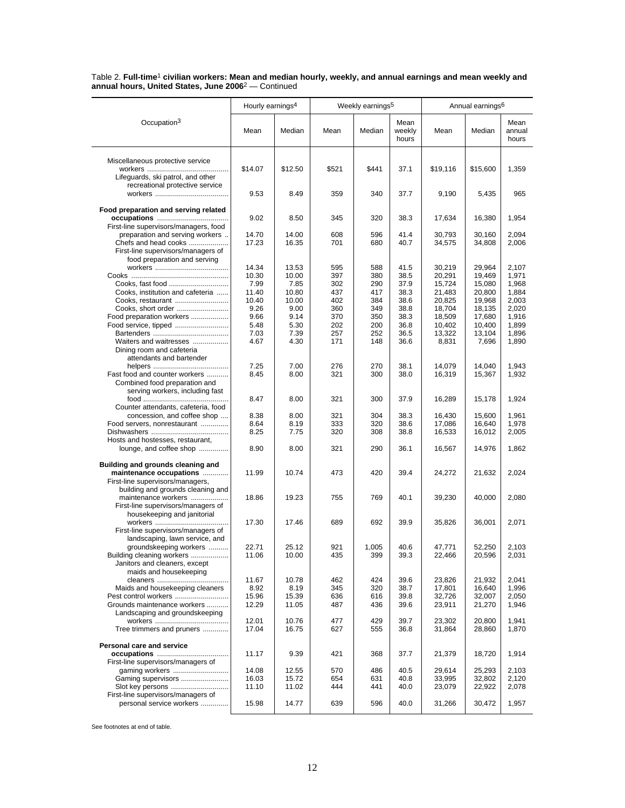|                                                                  | Hourly earnings <sup>4</sup> |                |            | Weekly earnings <sup>5</sup> |                         |                  | Annual earnings <sup>6</sup> |                         |
|------------------------------------------------------------------|------------------------------|----------------|------------|------------------------------|-------------------------|------------------|------------------------------|-------------------------|
|                                                                  |                              |                |            |                              |                         |                  |                              |                         |
| Occupation <sup>3</sup>                                          | Mean                         | Median         | Mean       | Median                       | Mean<br>weekly<br>hours | Mean             | Median                       | Mean<br>annual<br>hours |
| Miscellaneous protective service                                 |                              |                |            |                              |                         |                  |                              |                         |
|                                                                  | \$14.07                      | \$12.50        | \$521      | \$441                        | 37.1                    | \$19,116         | \$15,600                     | 1,359                   |
| Lifeguards, ski patrol, and other                                |                              |                |            |                              |                         |                  |                              |                         |
| recreational protective service                                  | 9.53                         | 8.49           | 359        | 340                          | 37.7                    | 9,190            | 5,435                        | 965                     |
| Food preparation and serving related                             | 9.02                         | 8.50           | 345        | 320                          | 38.3                    | 17,634           | 16,380                       | 1,954                   |
| First-line supervisors/managers, food                            |                              |                |            |                              |                         |                  |                              |                         |
| preparation and serving workers                                  | 14.70                        | 14.00          | 608        | 596                          | 41.4                    | 30,793           | 30,160                       | 2,094                   |
| Chefs and head cooks                                             | 17.23                        | 16.35          | 701        | 680                          | 40.7                    | 34,575           | 34,808                       | 2,006                   |
| First-line supervisors/managers of                               |                              |                |            |                              |                         |                  |                              |                         |
| food preparation and serving                                     | 14.34                        | 13.53          | 595        | 588                          | 41.5                    |                  | 29,964                       |                         |
|                                                                  | 10.30                        | 10.00          | 397        | 380                          | 38.5                    | 30,219<br>20,291 | 19,469                       | 2,107<br>1,971          |
| Cooks, fast food                                                 | 7.99                         | 7.85           | 302        | 290                          | 37.9                    | 15,724           | 15,080                       | 1,968                   |
| Cooks, institution and cafeteria                                 | 11.40                        | 10.80          | 437        | 417                          | 38.3                    | 21,483           | 20,800                       | 1,884                   |
| Cooks, restaurant                                                | 10.40                        | 10.00          | 402        | 384                          | 38.6                    | 20,825           | 19,968                       | 2,003                   |
| Cooks, short order                                               | 9.26                         | 9.00           | 360        | 349                          | 38.8                    | 18,704           | 18,135                       | 2,020                   |
| Food preparation workers                                         | 9.66                         | 9.14           | 370        | 350                          | 38.3                    | 18,509           | 17,680                       | 1,916                   |
| Food service, tipped                                             | 5.48                         | 5.30           | 202        | 200                          | 36.8                    | 10,402           | 10,400                       | 1,899                   |
|                                                                  | 7.03                         | 7.39           | 257        | 252                          | 36.5                    | 13,322           | 13,104                       | 1,896                   |
| Waiters and waitresses<br>Dining room and cafeteria              | 4.67                         | 4.30           | 171        | 148                          | 36.6                    | 8,831            | 7,696                        | 1,890                   |
| attendants and bartender                                         | 7.25                         | 7.00           | 276        | 270                          | 38.1                    | 14.079           | 14,040                       | 1,943                   |
| Fast food and counter workers                                    | 8.45                         | 8.00           | 321        | 300                          | 38.0                    | 16,319           | 15,367                       | 1,932                   |
| Combined food preparation and<br>serving workers, including fast |                              |                |            |                              |                         |                  |                              |                         |
|                                                                  | 8.47                         | 8.00           | 321        | 300                          | 37.9                    | 16,289           | 15,178                       | 1,924                   |
| Counter attendants, cafeteria, food                              |                              |                |            |                              |                         |                  |                              |                         |
| concession, and coffee shop                                      | 8.38                         | 8.00           | 321        | 304                          | 38.3                    | 16,430           | 15,600                       | 1,961                   |
| Food servers, nonrestaurant                                      | 8.64                         | 8.19           | 333        | 320                          | 38.6                    | 17,086           | 16,640                       | 1,978                   |
|                                                                  | 8.25                         | 7.75           | 320        | 308                          | 38.8                    | 16,533           | 16,012                       | 2,005                   |
| Hosts and hostesses, restaurant,                                 |                              |                |            |                              |                         |                  |                              |                         |
| lounge, and coffee shop                                          | 8.90                         | 8.00           | 321        | 290                          | 36.1                    | 16,567           | 14,976                       | 1,862                   |
| Building and grounds cleaning and                                |                              |                |            |                              |                         |                  |                              |                         |
| maintenance occupations                                          | 11.99                        | 10.74          | 473        | 420                          | 39.4                    | 24,272           | 21,632                       | 2,024                   |
| First-line supervisors/managers,                                 |                              |                |            |                              |                         |                  |                              |                         |
| building and grounds cleaning and                                |                              |                |            |                              |                         |                  |                              |                         |
| maintenance workers                                              | 18.86                        | 19.23          | 755        | 769                          | 40.1                    | 39,230           | 40,000                       | 2,080                   |
| First-line supervisors/managers of                               |                              |                |            |                              |                         |                  |                              |                         |
| housekeeping and janitorial                                      |                              |                |            |                              |                         |                  |                              |                         |
|                                                                  | 17.30                        | 17.46          | 689        | 692                          | 39.9                    | 35,826           | 36,001                       | 2,071                   |
| First-line supervisors/managers of                               |                              |                |            |                              |                         |                  |                              |                         |
| landscaping, lawn service, and                                   |                              |                |            |                              | 40.6                    |                  |                              |                         |
| groundskeeping workers<br>Building cleaning workers              | 22.71<br>11.06               | 25.12<br>10.00 | 921<br>435 | 1,005<br>399                 | 39.3                    | 47,771<br>22,466 | 52,250<br>20,596             | 2,103<br>2,031          |
| Janitors and cleaners, except                                    |                              |                |            |                              |                         |                  |                              |                         |
| maids and housekeeping                                           |                              |                |            |                              |                         |                  |                              |                         |
|                                                                  | 11.67                        | 10.78          | 462        | 424                          | 39.6                    | 23,826           | 21,932                       | 2,041                   |
| Maids and housekeeping cleaners                                  | 8.92                         | 8.19           | 345        | 320                          | 38.7                    | 17,801           | 16,640                       | 1,996                   |
| Pest control workers                                             | 15.96                        | 15.39          | 636        | 616                          | 39.8                    | 32,726           | 32,007                       | 2,050                   |
| Grounds maintenance workers                                      | 12.29                        | 11.05          | 487        | 436                          | 39.6                    | 23,911           | 21,270                       | 1,946                   |
| Landscaping and groundskeeping                                   |                              |                |            |                              |                         |                  |                              |                         |
|                                                                  | 12.01                        | 10.76          | 477        | 429                          | 39.7                    | 23,302           | 20,800                       | 1,941                   |
| Tree trimmers and pruners                                        | 17.04                        | 16.75          | 627        | 555                          | 36.8                    | 31,864           | 28,860                       | 1,870                   |
| Personal care and service                                        |                              |                |            |                              |                         |                  |                              |                         |
|                                                                  | 11.17                        | 9.39           | 421        | 368                          | 37.7                    | 21,379           | 18,720                       | 1,914                   |
| First-line supervisors/managers of                               |                              |                |            |                              |                         |                  |                              |                         |
| gaming workers                                                   | 14.08                        | 12.55          | 570        | 486                          | 40.5                    | 29,614           | 25,293                       | 2,103                   |
| Gaming supervisors                                               | 16.03                        | 15.72          | 654        | 631                          | 40.8                    | 33,995           | 32,802                       | 2,120                   |
| Slot key persons                                                 | 11.10                        | 11.02          | 444        | 441                          | 40.0                    | 23,079           | 22,922                       | 2,078                   |
| First-line supervisors/managers of                               |                              |                |            |                              |                         |                  |                              |                         |
| personal service workers                                         | 15.98                        | 14.77          | 639        | 596                          | 40.0                    | 31,266           | 30,472                       | 1,957                   |
|                                                                  |                              |                |            |                              |                         |                  |                              |                         |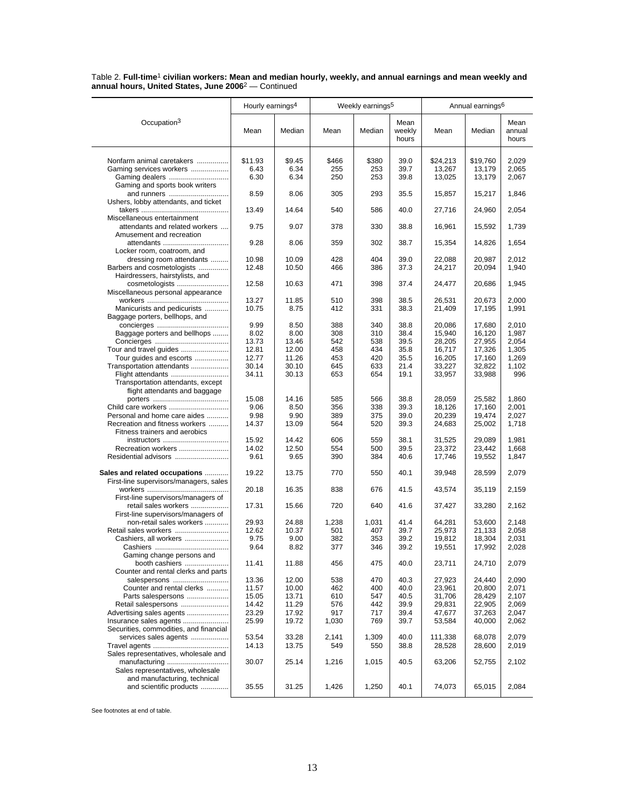|                                                     | Hourly earnings <sup>4</sup> |              |            | Weekly earnings <sup>5</sup> |                         |                  | Annual earnings <sup>6</sup> |                         |  |
|-----------------------------------------------------|------------------------------|--------------|------------|------------------------------|-------------------------|------------------|------------------------------|-------------------------|--|
| Occupation <sup>3</sup>                             | Mean                         | Median       | Mean       | Median                       | Mean<br>weekly<br>hours | Mean             | Median                       | Mean<br>annual<br>hours |  |
|                                                     |                              |              |            |                              |                         |                  |                              |                         |  |
| Nonfarm animal caretakers                           | \$11.93                      | \$9.45       | \$466      | \$380                        | 39.0                    | \$24,213         | \$19,760                     | 2,029                   |  |
| Gaming services workers                             | 6.43                         | 6.34         | 255        | 253                          | 39.7                    | 13,267           | 13,179                       | 2,065                   |  |
|                                                     | 6.30                         | 6.34         | 250        | 253                          | 39.8                    | 13,025           | 13,179                       | 2,067                   |  |
| Gaming and sports book writers                      |                              |              |            |                              |                         |                  |                              |                         |  |
| and runners<br>Ushers, lobby attendants, and ticket | 8.59                         | 8.06         | 305        | 293                          | 35.5                    | 15,857           | 15,217                       | 1,846                   |  |
|                                                     | 13.49                        | 14.64        | 540        | 586                          | 40.0                    | 27,716           | 24,960                       | 2,054                   |  |
| Miscellaneous entertainment                         |                              |              |            |                              |                         |                  |                              |                         |  |
| attendants and related workers                      | 9.75                         | 9.07         | 378        | 330                          | 38.8                    | 16,961           | 15,592                       | 1,739                   |  |
| Amusement and recreation                            |                              |              |            |                              |                         |                  |                              |                         |  |
| attendants                                          | 9.28                         | 8.06         | 359        | 302                          | 38.7                    | 15,354           | 14,826                       | 1,654                   |  |
| Locker room, coatroom, and                          |                              |              |            |                              |                         |                  |                              |                         |  |
| dressing room attendants                            | 10.98                        | 10.09        | 428        | 404                          | 39.0                    | 22,088           | 20,987                       | 2,012                   |  |
| Barbers and cosmetologists                          | 12.48                        | 10.50        | 466        | 386                          | 37.3                    | 24,217           | 20,094                       | 1,940                   |  |
| Hairdressers, hairstylists, and                     |                              |              |            |                              |                         |                  |                              |                         |  |
| cosmetologists                                      | 12.58                        | 10.63        | 471        | 398                          | 37.4                    | 24,477           | 20,686                       | 1,945                   |  |
| Miscellaneous personal appearance                   |                              |              |            |                              |                         |                  |                              |                         |  |
|                                                     | 13.27                        | 11.85        | 510        | 398                          | 38.5                    | 26,531           | 20,673                       | 2.000                   |  |
| Manicurists and pedicurists                         | 10.75                        | 8.75         | 412        | 331                          | 38.3                    | 21,409           | 17,195                       | 1,991                   |  |
| Baggage porters, bellhops, and                      | 9.99                         | 8.50         | 388        | 340                          | 38.8                    | 20,086           | 17,680                       | 2,010                   |  |
| Baggage porters and bellhops                        | 8.02                         | 8.00         | 308        | 310                          | 38.4                    | 15,940           | 16,120                       | 1,987                   |  |
|                                                     | 13.73                        | 13.46        | 542        | 538                          | 39.5                    | 28,205           | 27,955                       | 2,054                   |  |
| Tour and travel guides                              | 12.81                        | 12.00        | 458        | 434                          | 35.8                    | 16,717           | 17,326                       | 1,305                   |  |
| Tour guides and escorts                             | 12.77                        | 11.26        | 453        | 420                          | 35.5                    | 16,205           | 17,160                       | 1,269                   |  |
| Transportation attendants                           | 30.14                        | 30.10        | 645        | 633                          | 21.4                    | 33,227           | 32,822                       | 1,102                   |  |
| Flight attendants                                   | 34.11                        | 30.13        | 653        | 654                          | 19.1                    | 33,957           | 33,988                       | 996                     |  |
| Transportation attendants, except                   |                              |              |            |                              |                         |                  |                              |                         |  |
| flight attendants and baggage                       |                              |              |            |                              |                         |                  |                              |                         |  |
|                                                     | 15.08                        | 14.16        | 585        | 566                          | 38.8                    | 28,059           | 25,582                       | 1,860                   |  |
| Child care workers                                  | 9.06                         | 8.50         | 356        | 338                          | 39.3                    | 18,126           | 17,160                       | 2,001                   |  |
| Personal and home care aides                        | 9.98                         | 9.90         | 389        | 375                          | 39.0                    | 20,239           | 19,474                       | 2,027                   |  |
| Recreation and fitness workers                      | 14.37                        | 13.09        | 564        | 520                          | 39.3                    | 24,683           | 25,002                       | 1,718                   |  |
| Fitness trainers and aerobics                       |                              |              |            |                              |                         |                  |                              |                         |  |
| instructors                                         | 15.92                        | 14.42        | 606        | 559                          | 38.1                    | 31,525           | 29,089                       | 1,981                   |  |
| Recreation workers                                  | 14.02                        | 12.50        | 554<br>390 | 500                          | 39.5                    | 23,372           | 23,442                       | 1,668                   |  |
| Residential advisors                                | 9.61                         | 9.65         |            | 384                          | 40.6                    | 17,746           | 19,552                       | 1,847                   |  |
| Sales and related occupations                       | 19.22                        | 13.75        | 770        | 550                          | 40.1                    | 39,948           | 28,599                       | 2,079                   |  |
| First-line supervisors/managers, sales              |                              |              |            |                              |                         |                  |                              |                         |  |
|                                                     | 20.18                        | 16.35        | 838        | 676                          | 41.5                    | 43,574           | 35,119                       | 2,159                   |  |
| First-line supervisors/managers of                  |                              |              |            |                              |                         |                  |                              |                         |  |
| retail sales workers                                | 17.31                        | 15.66        | 720        | 640                          | 41.6                    | 37,427           | 33,280                       | 2,162                   |  |
| First-line supervisors/managers of                  |                              |              |            |                              |                         |                  |                              |                         |  |
| non-retail sales workers                            | 29.93                        | 24.88        | 1,238      | 1,031                        | 41.4                    | 64,281           | 53,600                       | 2,148                   |  |
|                                                     | 12.62                        | 10.37        | 501        | 407                          | 39.7                    | 25,973           | 21,133                       | 2,058                   |  |
| Cashiers, all workers                               | 9.75<br>9.64                 | 9.00<br>8.82 | 382<br>377 | 353<br>346                   | 39.2<br>39.2            | 19,812<br>19,551 | 18,304<br>17,992             | 2,031<br>2,028          |  |
| Gaming change persons and                           |                              |              |            |                              |                         |                  |                              |                         |  |
| booth cashiers                                      | 11.41                        | 11.88        | 456        | 475                          | 40.0                    | 23,711           | 24,710                       | 2,079                   |  |
| Counter and rental clerks and parts                 |                              |              |            |                              |                         |                  |                              |                         |  |
| salespersons                                        | 13.36                        | 12.00        | 538        | 470                          | 40.3                    | 27,923           | 24,440                       | 2,090                   |  |
| Counter and rental clerks                           | 11.57                        | 10.00        | 462        | 400                          | 40.0                    | 23,961           | 20,800                       | 2,071                   |  |
| Parts salespersons                                  | 15.05                        | 13.71        | 610        | 547                          | 40.5                    | 31,706           | 28,429                       | 2,107                   |  |
| Retail salespersons                                 | 14.42                        | 11.29        | 576        | 442                          | 39.9                    | 29,831           | 22,905                       | 2,069                   |  |
| Advertising sales agents                            | 23.29                        | 17.92        | 917        | 717                          | 39.4                    | 47,677           | 37,263                       | 2,047                   |  |
| Insurance sales agents                              | 25.99                        | 19.72        | 1,030      | 769                          | 39.7                    | 53,584           | 40,000                       | 2,062                   |  |
| Securities, commodities, and financial              |                              |              |            |                              |                         |                  |                              |                         |  |
| services sales agents                               | 53.54                        | 33.28        | 2,141      | 1,309                        | 40.0                    | 111,338          | 68,078                       | 2,079                   |  |
|                                                     | 14.13                        | 13.75        | 549        | 550                          | 38.8                    | 28,528           | 28,600                       | 2,019                   |  |
| Sales representatives, wholesale and                |                              |              |            |                              |                         |                  |                              |                         |  |
| manufacturing                                       | 30.07                        | 25.14        | 1,216      | 1,015                        | 40.5                    | 63,206           | 52,755                       | 2,102                   |  |
| Sales representatives, wholesale                    |                              |              |            |                              |                         |                  |                              |                         |  |
| and manufacturing, technical                        |                              |              |            |                              |                         |                  |                              |                         |  |
| and scientific products                             | 35.55                        | 31.25        | 1,426      | 1,250                        | 40.1                    | 74,073           | 65,015                       | 2,084                   |  |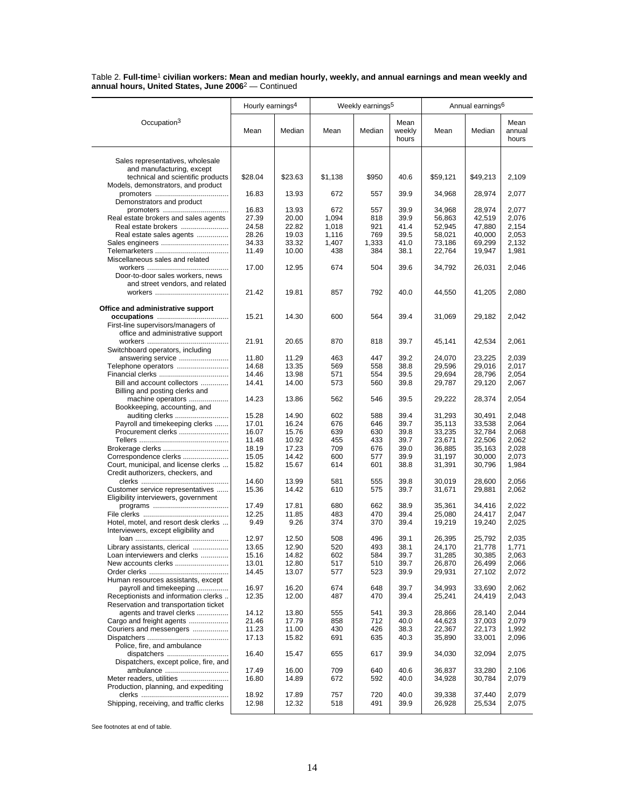|                                                                              | Hourly earnings <sup>4</sup> |                |              | Weekly earnings <sup>5</sup> |                         |                  | Annual earnings <sup>6</sup> |                         |
|------------------------------------------------------------------------------|------------------------------|----------------|--------------|------------------------------|-------------------------|------------------|------------------------------|-------------------------|
|                                                                              |                              |                |              |                              |                         |                  |                              |                         |
| Occupation <sup>3</sup>                                                      | Mean                         | Median         | Mean         | Median                       | Mean<br>weekly<br>hours | Mean             | Median                       | Mean<br>annual<br>hours |
| Sales representatives, wholesale                                             |                              |                |              |                              |                         |                  |                              |                         |
| and manufacturing, except<br>technical and scientific products               | \$28.04                      | \$23.63        | \$1,138      | \$950                        | 40.6                    | \$59,121         | \$49,213                     | 2,109                   |
| Models, demonstrators, and product                                           |                              |                |              |                              |                         |                  |                              |                         |
| Demonstrators and product                                                    | 16.83                        | 13.93          | 672          | 557                          | 39.9                    | 34,968           | 28,974                       | 2,077                   |
| promoters                                                                    | 16.83                        | 13.93          | 672          | 557                          | 39.9                    | 34,968           | 28.974                       | 2,077                   |
| Real estate brokers and sales agents                                         | 27.39                        | 20.00          | 1,094        | 818                          | 39.9                    | 56,863           | 42,519                       | 2,076                   |
| Real estate brokers                                                          | 24.58                        | 22.82          | 1,018        | 921                          | 41.4                    | 52,945           | 47.880                       | 2,154                   |
| Real estate sales agents                                                     | 28.26                        | 19.03          | 1,116        | 769                          | 39.5                    | 58,021           | 40,000                       | 2,053                   |
|                                                                              | 34.33<br>11.49               | 33.32<br>10.00 | 1,407<br>438 | 1,333<br>384                 | 41.0<br>38.1            | 73,186<br>22,764 | 69,299<br>19,947             | 2,132<br>1,981          |
| Miscellaneous sales and related                                              |                              |                |              |                              |                         |                  |                              |                         |
|                                                                              | 17.00                        | 12.95          | 674          | 504                          | 39.6                    | 34,792           | 26,031                       | 2,046                   |
| Door-to-door sales workers, news                                             |                              |                |              |                              |                         |                  |                              |                         |
| and street vendors, and related                                              |                              |                |              |                              |                         |                  |                              |                         |
|                                                                              | 21.42                        | 19.81          | 857          | 792                          | 40.0                    | 44,550           | 41,205                       | 2,080                   |
| Office and administrative support                                            |                              |                |              |                              |                         |                  |                              |                         |
| First-line supervisors/managers of                                           | 15.21                        | 14.30          | 600          | 564                          | 39.4                    | 31,069           | 29,182                       | 2,042                   |
| office and administrative support                                            |                              |                |              |                              |                         |                  |                              |                         |
|                                                                              | 21.91                        | 20.65          | 870          | 818                          | 39.7                    | 45,141           | 42,534                       | 2,061                   |
| Switchboard operators, including                                             |                              |                |              |                              |                         |                  |                              |                         |
| answering service                                                            | 11.80                        | 11.29          | 463          | 447                          | 39.2                    | 24,070           | 23,225                       | 2,039                   |
| Telephone operators                                                          | 14.68                        | 13.35          | 569          | 558                          | 38.8                    | 29,596           | 29,016                       | 2,017                   |
|                                                                              | 14.46                        | 13.98          | 571          | 554                          | 39.5                    | 29,694           | 28,796                       | 2,054                   |
| Bill and account collectors                                                  | 14.41                        | 14.00          | 573          | 560                          | 39.8                    | 29,787           | 29,120                       | 2,067                   |
| Billing and posting clerks and                                               | 14.23                        | 13.86          | 562          | 546                          | 39.5                    |                  |                              |                         |
| machine operators<br>Bookkeeping, accounting, and                            |                              |                |              |                              |                         | 29,222           | 28,374                       | 2,054                   |
| auditing clerks                                                              | 15.28                        | 14.90          | 602          | 588                          | 39.4                    | 31,293           | 30,491                       | 2,048                   |
| Payroll and timekeeping clerks                                               | 17.01                        | 16.24          | 676          | 646                          | 39.7                    | 35,113           | 33,538                       | 2,064                   |
| Procurement clerks                                                           | 16.07                        | 15.76          | 639          | 630                          | 39.8                    | 33,235           | 32,784                       | 2,068                   |
|                                                                              | 11.48                        | 10.92          | 455          | 433                          | 39.7                    | 23,671           | 22,506                       | 2,062                   |
|                                                                              | 18.19                        | 17.23          | 709          | 676                          | 39.0                    | 36,885           | 35,163                       | 2,028                   |
| Correspondence clerks                                                        | 15.05                        | 14.42          | 600          | 577                          | 39.9                    | 31,197           | 30,000                       | 2,073                   |
| Court, municipal, and license clerks<br>Credit authorizers, checkers, and    | 15.82                        | 15.67          | 614          | 601                          | 38.8                    | 31,391           | 30,796                       | 1,984                   |
|                                                                              | 14.60                        | 13.99          | 581          | 555                          | 39.8                    | 30,019           | 28,600                       | 2,056                   |
| Customer service representatives                                             | 15.36                        | 14.42          | 610          | 575                          | 39.7                    | 31,671           | 29,881                       | 2,062                   |
| Eligibility interviewers, government                                         |                              |                |              |                              |                         |                  |                              |                         |
|                                                                              | 17.49                        | 17.81          | 680          | 662                          | 38.9                    | 35,361           | 34,416                       | 2,022                   |
|                                                                              | 12.25                        | 11.85          | 483          | 470                          | 39.4                    | 25,080           | 24,417                       | 2,047                   |
| Hotel, motel, and resort desk clerks<br>Interviewers, except eligibility and | 9.49                         | 9.26           | 374          | 370                          | 39.4                    | 19,219           | 19,240                       | 2,025                   |
|                                                                              | 12.97                        | 12.50          | 508          | 496                          | 39.1                    | 26,395           | 25,792                       | 2,035                   |
| Library assistants, clerical                                                 | 13.65                        | 12.90          | 520          | 493                          | 38.1                    | 24,170           | 21,778                       | 1,771                   |
| Loan interviewers and clerks                                                 | 15.16                        | 14.82          | 602          | 584                          | 39.7                    | 31,285           | 30,385                       | 2,063                   |
|                                                                              | 13.01                        | 12.80          | 517          | 510                          | 39.7                    | 26,870           | 26,499                       | 2,066                   |
|                                                                              | 14.45                        | 13.07          | 577          | 523                          | 39.9                    | 29,931           | 27,102                       | 2,072                   |
| Human resources assistants, except                                           |                              |                |              |                              |                         |                  | 33.690                       |                         |
| payroll and timekeeping<br>Receptionists and information clerks              | 16.97<br>12.35               | 16.20<br>12.00 | 674<br>487   | 648<br>470                   | 39.7<br>39.4            | 34,993<br>25,241 | 24,419                       | 2,062<br>2,043          |
| Reservation and transportation ticket                                        |                              |                |              |                              |                         |                  |                              |                         |
| agents and travel clerks                                                     | 14.12                        | 13.80          | 555          | 541                          | 39.3                    | 28,866           | 28,140                       | 2,044                   |
| Cargo and freight agents                                                     | 21.46                        | 17.79          | 858          | 712                          | 40.0                    | 44,623           | 37,003                       | 2,079                   |
| Couriers and messengers                                                      | 11.23                        | 11.00          | 430          | 426                          | 38.3                    | 22,367           | 22,173                       | 1,992                   |
|                                                                              | 17.13                        | 15.82          | 691          | 635                          | 40.3                    | 35,890           | 33,001                       | 2,096                   |
| Police, fire, and ambulance                                                  |                              |                |              |                              |                         |                  |                              |                         |
| dispatchers<br>Dispatchers, except police, fire, and                         | 16.40                        | 15.47          | 655          | 617                          | 39.9                    | 34,030           | 32,094                       | 2,075                   |
| ambulance                                                                    | 17.49                        | 16.00          | 709          | 640                          | 40.6                    | 36,837           | 33,280                       | 2,106                   |
| Meter readers, utilities                                                     | 16.80                        | 14.89          | 672          | 592                          | 40.0                    | 34,928           | 30,784                       | 2,079                   |
| Production, planning, and expediting                                         |                              |                |              |                              |                         |                  |                              |                         |
|                                                                              | 18.92                        | 17.89          | 757          | 720                          | 40.0                    | 39,338           | 37,440                       | 2,079                   |
| Shipping, receiving, and traffic clerks                                      | 12.98                        | 12.32          | 518          | 491                          | 39.9                    | 26,928           | 25,534                       | 2,075                   |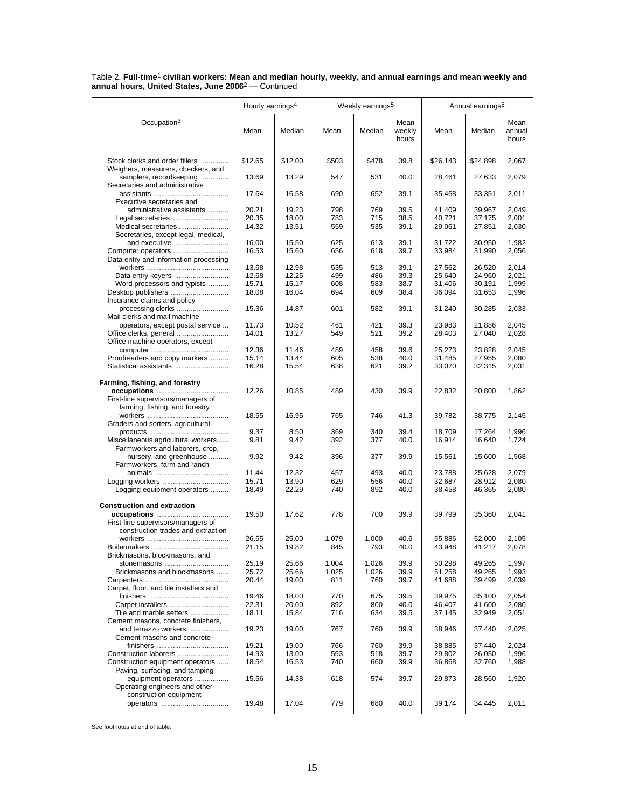|                                                                          | Hourly earnings <sup>4</sup> |                |              | Weekly earnings <sup>5</sup> |                | Annual earnings <sup>6</sup> |                  |                |  |
|--------------------------------------------------------------------------|------------------------------|----------------|--------------|------------------------------|----------------|------------------------------|------------------|----------------|--|
| Occupation <sup>3</sup>                                                  | Mean                         | Median         | Mean         | Median                       | Mean<br>weekly | Mean                         | Median           | Mean<br>annual |  |
|                                                                          |                              |                |              |                              | hours          |                              |                  | hours          |  |
| Stock clerks and order fillers<br>Weighers, measurers, checkers, and     | \$12.65                      | \$12.00        | \$503        | \$478                        | 39.8           | \$26,143                     | \$24,898         | 2,067          |  |
| samplers, recordkeeping<br>Secretaries and administrative                | 13.69                        | 13.29          | 547          | 531                          | 40.0           | 28,461                       | 27,633           | 2,079          |  |
| Executive secretaries and                                                | 17.64                        | 16.58          | 690          | 652                          | 39.1           | 35,468                       | 33,351           | 2,011          |  |
| administrative assistants                                                | 20.21<br>20.35               | 19.23<br>18.00 | 798<br>783   | 769<br>715                   | 39.5<br>38.5   | 41,409<br>40,721             | 39,967           | 2,049<br>2,001 |  |
| Legal secretaries<br>Medical secretaries                                 | 14.32                        | 13.51          | 559          | 535                          | 39.1           | 29,061                       | 37,175<br>27,851 | 2,030          |  |
| Secretaries, except legal, medical,<br>and executive                     | 16.00                        | 15.50          | 625          | 613                          | 39.1           | 31,722                       | 30,950           | 1,982          |  |
| Computer operators                                                       | 16.53                        | 15.60          | 656          | 618                          | 39.7           | 33,984                       | 31,990           | 2,056          |  |
| Data entry and information processing                                    | 13.68                        | 12.98          | 535          | 513                          | 39.1           | 27,562                       | 26,520           | 2,014          |  |
| Data entry keyers                                                        | 12.68                        | 12.25          | 499          | 486                          | 39.3           | 25,640                       | 24,960           | 2,021          |  |
| Word processors and typists                                              | 15.71                        | 15.17          | 608          | 583                          | 38.7           | 31,406                       | 30,191           | 1,999          |  |
| Desktop publishers                                                       | 18.08                        | 16.04          | 694          | 609                          | 38.4           | 36,094                       | 31,653           | 1,996          |  |
| Insurance claims and policy<br>processing clerks                         | 15.36                        | 14.87          | 601          | 582                          | 39.1           | 31,240                       | 30,285           | 2,033          |  |
| Mail clerks and mail machine                                             |                              |                |              |                              |                |                              |                  |                |  |
| operators, except postal service                                         | 11.73                        | 10.52          | 461          | 421                          | 39.3           | 23,983                       | 21,886           | 2,045          |  |
| Office machine operators, except                                         | 14.01                        | 13.27          | 549          | 521                          | 39.2           | 28,403                       | 27,040           | 2,028          |  |
|                                                                          | 12.36                        | 11.46          | 489          | 458                          | 39.6           | 25,273                       | 23,828           | 2,045          |  |
| Proofreaders and copy markers                                            | 15.14                        | 13.44          | 605          | 538                          | 40.0           | 31,485                       | 27,955           | 2,080          |  |
| Statistical assistants                                                   | 16.28                        | 15.54          | 638          | 621                          | 39.2           | 33,070                       | 32,315           | 2,031          |  |
| Farming, fishing, and forestry                                           |                              |                |              |                              |                |                              |                  |                |  |
|                                                                          | 12.26                        | 10.85          | 489          | 430                          | 39.9           | 22,832                       | 20,800           | 1,862          |  |
| First-line supervisors/managers of<br>farming, fishing, and forestry     |                              |                |              |                              |                |                              |                  |                |  |
|                                                                          | 18.55                        | 16.95          | 765          | 746                          | 41.3           | 39,782                       | 38,775           | 2,145          |  |
| Graders and sorters, agricultural                                        | 9.37                         | 8.50           | 369          | 340                          | 39.4           | 18,709                       | 17,264           | 1,996          |  |
| Miscellaneous agricultural workers                                       | 9.81                         | 9.42           | 392          | 377                          | 40.0           | 16,914                       | 16,640           | 1,724          |  |
| Farmworkers and laborers, crop,                                          |                              |                |              |                              |                |                              |                  |                |  |
| nursery, and greenhouse                                                  | 9.92                         | 9.42           | 396          | 377                          | 39.9           | 15,561                       | 15,600           | 1,568          |  |
| Farmworkers, farm and ranch                                              | 11.44                        | 12.32          | 457          | 493                          | 40.0           | 23,788                       | 25,628           | 2,079          |  |
| Logging workers                                                          | 15.71                        | 13.90          | 629          | 556                          | 40.0           | 32,687                       | 28,912           | 2,080          |  |
| Logging equipment operators                                              | 18.49                        | 22.29          | 740          | 892                          | 40.0           | 38,458                       | 46,365           | 2,080          |  |
| <b>Construction and extraction</b>                                       |                              |                |              |                              |                |                              |                  |                |  |
| occupations                                                              | 19.50                        | 17.62          | 778          | 700                          | 39.9           | 39,799                       | 35,360           | 2,041          |  |
| First-line supervisors/managers of<br>construction trades and extraction |                              |                |              |                              |                |                              |                  |                |  |
|                                                                          | 26.55                        | 25.00          | 1,079        | 1,000                        | 40.6           | 55,886                       | 52,000           | 2,105          |  |
|                                                                          | 21.15                        | 19.82          | 845          | 793                          | 40.0           | 43,948                       | 41,217           | 2,078          |  |
| Brickmasons, blockmasons, and                                            |                              |                |              |                              |                |                              |                  |                |  |
| stonemasons                                                              | 25.19                        | 25.66          | 1,004        | 1.026                        | 39.9           | 50,298                       | 49,265           | 1,997          |  |
| Brickmasons and blockmasons                                              | 25.72<br>20.44               | 25.66<br>19.00 | 1,025<br>811 | 1,026<br>760                 | 39.9<br>39.7   | 51,258<br>41,688             | 49,265           | 1,993<br>2,039 |  |
| Carpet, floor, and tile installers and                                   |                              |                |              |                              |                |                              | 39,499           |                |  |
|                                                                          | 19.46                        | 18.00          | 770          | 675                          | 39.5           | 39,975                       | 35,100           | 2,054          |  |
| Carpet installers                                                        | 22.31                        | 20.00          | 892          | 800                          | 40.0           | 46,407                       | 41,600           | 2,080          |  |
| Tile and marble setters                                                  | 18.11                        | 15.84          | 716          | 634                          | 39.5           | 37,145                       | 32,949           | 2,051          |  |
| Cement masons, concrete finishers,<br>and terrazzo workers               | 19.23                        | 19.00          | 767          | 760                          | 39.9           | 38,946                       | 37,440           | 2,025          |  |
| Cement masons and concrete                                               |                              |                |              |                              |                |                              |                  |                |  |
|                                                                          | 19.21                        | 19.00          | 766          | 760                          | 39.9           | 38,885                       | 37,440           | 2,024          |  |
| Construction laborers                                                    | 14.93                        | 13.00          | 593          | 518                          | 39.7           | 29,802                       | 26,050           | 1,996          |  |
| Construction equipment operators<br>Paving, surfacing, and tamping       | 18.54                        | 16.53          | 740          | 660                          | 39.9           | 36,868                       | 32,760           | 1,988          |  |
| equipment operators                                                      | 15.56                        | 14.38          | 618          | 574                          | 39.7           | 29,873                       | 28,560           | 1,920          |  |
| Operating engineers and other                                            |                              |                |              |                              |                |                              |                  |                |  |
| construction equipment                                                   | 19.48                        | 17.04          | 779          | 680                          | 40.0           | 39,174                       | 34,445           | 2,011          |  |
|                                                                          |                              |                |              |                              |                |                              |                  |                |  |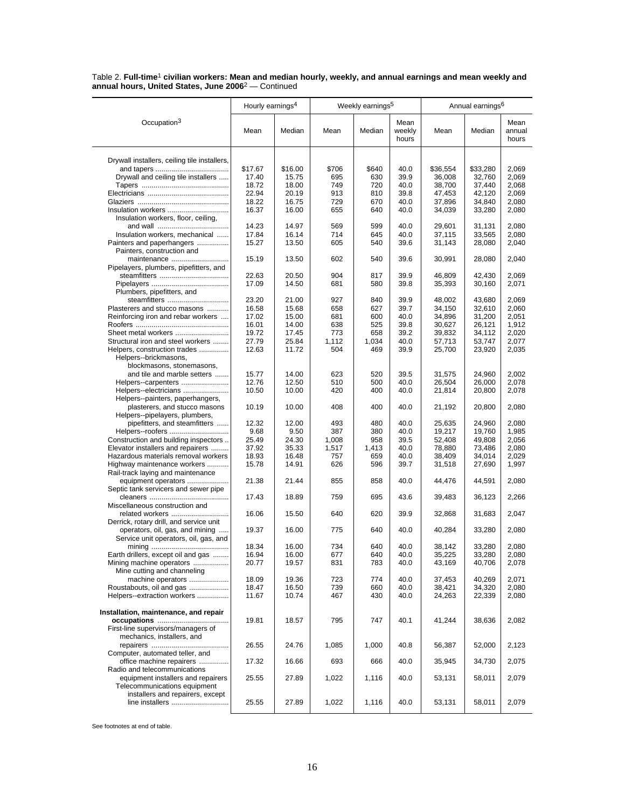|                                                                          | Hourly earnings <sup>4</sup> |                | Weekly earnings <sup>5</sup> |              | Annual earnings <sup>6</sup> |                  |                  |                         |
|--------------------------------------------------------------------------|------------------------------|----------------|------------------------------|--------------|------------------------------|------------------|------------------|-------------------------|
| Occupation <sup>3</sup>                                                  | Mean                         | Median         | Mean                         | Median       | Mean<br>weekly<br>hours      | Mean             | Median           | Mean<br>annual<br>hours |
| Drywall installers, ceiling tile installers,                             |                              |                |                              |              |                              |                  |                  |                         |
|                                                                          | \$17.67                      | \$16.00        | \$706                        | \$640        | 40.0                         | \$36,554         | \$33,280         | 2,069                   |
| Drywall and ceiling tile installers                                      | 17.40                        | 15.75          | 695                          | 630          | 39.9                         | 36,008           | 32,760           | 2,069                   |
|                                                                          | 18.72                        | 18.00          | 749                          | 720          | 40.0                         | 38,700           | 37,440           | 2,068                   |
|                                                                          | 22.94                        | 20.19          | 913                          | 810          | 39.8                         | 47,453           | 42.120           | 2,069                   |
|                                                                          | 18.22                        | 16.75          | 729                          | 670          | 40.0                         | 37,896           | 34,840           | 2,080                   |
| Insulation workers                                                       | 16.37                        | 16.00          | 655                          | 640          | 40.0                         | 34,039           | 33,280           | 2,080                   |
| Insulation workers, floor, ceiling,                                      |                              |                |                              |              |                              |                  |                  |                         |
|                                                                          | 14.23                        | 14.97          | 569                          | 599          | 40.0                         | 29,601           | 31,131           | 2,080                   |
| Insulation workers, mechanical                                           | 17.84                        | 16.14          | 714                          | 645          | 40.0                         | 37.115           | 33,565           | 2,080                   |
| Painters and paperhangers                                                | 15.27                        | 13.50          | 605                          | 540          | 39.6                         | 31,143           | 28,080           | 2,040                   |
| Painters, construction and<br>maintenance                                | 15.19                        | 13.50          | 602                          | 540          | 39.6                         | 30,991           | 28,080           | 2,040                   |
| Pipelayers, plumbers, pipefitters, and                                   |                              |                |                              |              |                              |                  |                  |                         |
|                                                                          | 22.63                        | 20.50          | 904                          | 817          | 39.9                         | 46,809           | 42,430           | 2,069                   |
|                                                                          | 17.09                        | 14.50          | 681                          | 580          | 39.8                         | 35,393           | 30,160           | 2,071                   |
| Plumbers, pipefitters, and                                               |                              |                |                              |              |                              |                  |                  |                         |
| steamfitters                                                             | 23.20                        | 21.00          | 927                          | 840          | 39.9                         | 48,002           | 43.680           | 2,069                   |
| Plasterers and stucco masons                                             | 16.58                        | 15.68          | 658                          | 627          | 39.7                         | 34,150           | 32,610           | 2,060                   |
| Reinforcing iron and rebar workers                                       | 17.02                        | 15.00          | 681                          | 600          | 40.0                         | 34,896           | 31,200           | 2,051                   |
|                                                                          | 16.01<br>19.72               | 14.00<br>17.45 | 638<br>773                   | 525<br>658   | 39.8<br>39.2                 | 30,627           | 26,121           | 1,912<br>2,020          |
| Structural iron and steel workers                                        | 27.79                        | 25.84          | 1,112                        | 1.034        | 40.0                         | 39,832           | 34,112<br>53.747 | 2,077                   |
| Helpers, construction trades                                             | 12.63                        | 11.72          | 504                          | 469          | 39.9                         | 57,713<br>25,700 | 23,920           | 2,035                   |
| Helpers--brickmasons,                                                    |                              |                |                              |              |                              |                  |                  |                         |
| blockmasons, stonemasons,                                                |                              |                |                              |              |                              |                  |                  |                         |
| and tile and marble setters                                              | 15.77                        | 14.00          | 623                          | 520          | 39.5                         | 31,575           | 24,960           | 2.002                   |
| Helpers--carpenters                                                      | 12.76                        | 12.50          | 510                          | 500          | 40.0                         | 26,504           | 26,000           | 2,078                   |
| Helpers--electricians                                                    | 10.50                        | 10.00          | 420                          | 400          | 40.0                         | 21,814           | 20,800           | 2,078                   |
| Helpers--painters, paperhangers,                                         |                              |                |                              |              |                              |                  |                  |                         |
| plasterers, and stucco masons                                            | 10.19                        | 10.00          | 408                          | 400          | 40.0                         | 21,192           | 20,800           | 2,080                   |
| Helpers--pipelayers, plumbers,                                           |                              |                |                              |              |                              |                  |                  |                         |
| pipefitters, and steamfitters                                            | 12.32                        | 12.00          | 493                          | 480          | 40.0                         | 25,635           | 24,960           | 2,080                   |
| Helpers--roofers                                                         | 9.68                         | 9.50           | 387                          | 380<br>958   | 40.0                         | 19,217           | 19,760           | 1,985                   |
| Construction and building inspectors                                     | 25.49                        | 24.30          | 1,008                        |              | 39.5                         | 52,408           | 49,808           | 2,056                   |
| Elevator installers and repairers<br>Hazardous materials removal workers | 37.92<br>18.93               | 35.33<br>16.48 | 1,517<br>757                 | 1,413<br>659 | 40.0<br>40.0                 | 78,880<br>38,409 | 73,486<br>34,014 | 2,080<br>2,029          |
| Highway maintenance workers                                              | 15.78                        | 14.91          | 626                          | 596          | 39.7                         | 31,518           | 27,690           | 1,997                   |
| Rail-track laying and maintenance                                        |                              |                |                              |              |                              |                  |                  |                         |
| equipment operators                                                      | 21.38                        | 21.44          | 855                          | 858          | 40.0                         | 44,476           | 44,591           | 2,080                   |
| Septic tank servicers and sewer pipe                                     |                              |                |                              |              |                              |                  |                  |                         |
|                                                                          | 17.43                        | 18.89          | 759                          | 695          | 43.6                         | 39,483           | 36,123           | 2,266                   |
| Miscellaneous construction and                                           |                              |                |                              |              |                              |                  |                  |                         |
| related workers                                                          | 16.06                        | 15.50          | 640                          | 620          | 39.9                         | 32,868           | 31,683           | 2,047                   |
| Derrick, rotary drill, and service unit                                  |                              |                |                              |              |                              |                  |                  |                         |
| operators, oil, gas, and mining                                          | 19.37                        | 16.00          | 775                          | 640          | 40.0                         | 40,284           | 33,280           | 2,080                   |
| Service unit operators, oil, gas, and                                    |                              |                |                              |              |                              |                  |                  |                         |
|                                                                          | 18.34                        | 16.00          | 734                          | 640          | 40.0                         | 38,142           | 33,280           | 2,080                   |
| Earth drillers, except oil and gas                                       | 16.94                        | 16.00          | 677                          | 640          | 40.0                         | 35,225           | 33,280           | 2,080                   |
| Mining machine operators                                                 | 20.77                        | 19.57          | 831                          | 783          | 40.0                         | 43,169           | 40,706           | 2,078                   |
| Mine cutting and channeling                                              |                              |                |                              |              |                              |                  |                  |                         |
| machine operators                                                        | 18.09                        | 19.36          | 723                          | 774          | 40.0                         | 37,453           | 40.269           | 2,071                   |
| Roustabouts, oil and gas                                                 | 18.47                        | 16.50          | 739                          | 660          | 40.0                         | 38,421           | 34,320           | 2,080                   |
| Helpers--extraction workers                                              | 11.67                        | 10.74          | 467                          | 430          | 40.0                         | 24,263           | 22,339           | 2,080                   |
| Installation, maintenance, and repair                                    |                              |                |                              |              |                              |                  |                  |                         |
|                                                                          | 19.81                        | 18.57          | 795                          | 747          | 40.1                         | 41,244           | 38,636           | 2,082                   |
| First-line supervisors/managers of                                       |                              |                |                              |              |                              |                  |                  |                         |
| mechanics, installers, and                                               |                              |                |                              |              |                              |                  |                  |                         |
|                                                                          | 26.55                        | 24.76          | 1,085                        | 1,000        | 40.8                         | 56,387           | 52,000           | 2,123                   |
| Computer, automated teller, and                                          |                              |                |                              |              |                              |                  |                  |                         |
| office machine repairers                                                 | 17.32                        | 16.66          | 693                          | 666          | 40.0                         | 35,945           | 34,730           | 2,075                   |
| Radio and telecommunications                                             |                              |                |                              |              |                              |                  |                  |                         |
| equipment installers and repairers                                       | 25.55                        | 27.89          | 1,022                        | 1,116        | 40.0                         | 53,131           | 58,011           | 2,079                   |
| Telecommunications equipment                                             |                              |                |                              |              |                              |                  |                  |                         |
| installers and repairers, except                                         |                              |                |                              |              |                              |                  |                  |                         |
| line installers                                                          | 25.55                        | 27.89          | 1,022                        | 1,116        | 40.0                         | 53,131           | 58,011           | 2,079                   |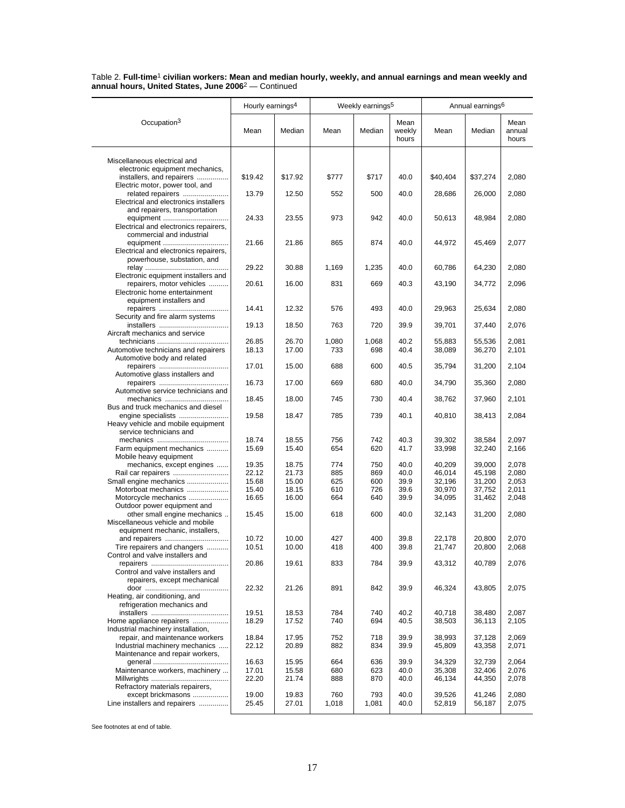|                                                                                       | Hourly earnings <sup>4</sup> |                | Weekly earnings <sup>5</sup> |              |                         | Annual earnings <sup>6</sup> |                  |                         |
|---------------------------------------------------------------------------------------|------------------------------|----------------|------------------------------|--------------|-------------------------|------------------------------|------------------|-------------------------|
| Occupation <sup>3</sup>                                                               | Mean                         | Median         | Mean                         | Median       | Mean<br>weekly<br>hours | Mean                         | Median           | Mean<br>annual<br>hours |
| Miscellaneous electrical and                                                          |                              |                |                              |              |                         |                              |                  |                         |
| electronic equipment mechanics,<br>installers, and repairers                          | \$19.42                      | \$17.92        | \$777                        | \$717        | 40.0                    | \$40,404                     | \$37,274         | 2,080                   |
| Electric motor, power tool, and<br>related repairers                                  | 13.79                        | 12.50          | 552                          | 500          | 40.0                    | 28,686                       | 26,000           | 2,080                   |
| Electrical and electronics installers<br>and repairers, transportation                |                              |                |                              |              |                         |                              |                  |                         |
| equipment<br>Electrical and electronics repairers,                                    | 24.33                        | 23.55          | 973                          | 942          | 40.0                    | 50,613                       | 48,984           | 2,080                   |
| commercial and industrial<br>equipment<br>Electrical and electronics repairers,       | 21.66                        | 21.86          | 865                          | 874          | 40.0                    | 44,972                       | 45,469           | 2,077                   |
| powerhouse, substation, and                                                           | 29.22                        | 30.88          | 1,169                        | 1,235        | 40.0                    | 60,786                       | 64,230           | 2,080                   |
| Electronic equipment installers and<br>repairers, motor vehicles                      | 20.61                        | 16.00          | 831                          | 669          | 40.3                    | 43,190                       | 34,772           | 2,096                   |
| Electronic home entertainment<br>equipment installers and                             |                              |                |                              |              |                         |                              |                  |                         |
| Security and fire alarm systems                                                       | 14.41                        | 12.32          | 576                          | 493          | 40.0                    | 29,963                       | 25,634           | 2,080                   |
| Aircraft mechanics and service                                                        | 19.13                        | 18.50          | 763                          | 720          | 39.9                    | 39,701                       | 37,440           | 2,076                   |
| technicians<br>Automotive technicians and repairers                                   | 26.85<br>18.13               | 26.70<br>17.00 | 1,080<br>733                 | 1,068<br>698 | 40.2<br>40.4            | 55,883<br>38,089             | 55,536<br>36,270 | 2,081<br>2,101          |
| Automotive body and related                                                           | 17.01                        | 15.00          | 688                          | 600          | 40.5                    | 35.794                       | 31,200           | 2,104                   |
| Automotive glass installers and                                                       | 16.73                        | 17.00          | 669                          | 680          | 40.0                    | 34,790                       | 35,360           | 2,080                   |
| Automotive service technicians and<br>mechanics<br>Bus and truck mechanics and diesel | 18.45                        | 18.00          | 745                          | 730          | 40.4                    | 38,762                       | 37,960           | 2,101                   |
| engine specialists<br>Heavy vehicle and mobile equipment                              | 19.58                        | 18.47          | 785                          | 739          | 40.1                    | 40,810                       | 38,413           | 2,084                   |
| service technicians and                                                               | 18.74                        | 18.55          | 756                          | 742          | 40.3                    | 39,302                       | 38,584           | 2,097                   |
| Farm equipment mechanics<br>Mobile heavy equipment                                    | 15.69                        | 15.40          | 654                          | 620          | 41.7                    | 33,998                       | 32,240           | 2,166                   |
| mechanics, except engines                                                             | 19.35<br>22.12               | 18.75<br>21.73 | 774<br>885                   | 750<br>869   | 40.0<br>40.0            | 40,209<br>46,014             | 39,000<br>45,198 | 2,078<br>2,080          |
| Rail car repairers<br>Small engine mechanics                                          | 15.68                        | 15.00          | 625                          | 600          | 39.9                    | 32,196                       | 31,200           | 2,053                   |
| Motorboat mechanics                                                                   | 15.40                        | 18.15          | 610                          | 726          | 39.6                    | 30,970                       | 37,752           | 2,011                   |
| Motorcycle mechanics<br>Outdoor power equipment and                                   | 16.65                        | 16.00          | 664                          | 640          | 39.9                    | 34,095                       | 31,462           | 2,048                   |
| other small engine mechanics<br>Miscellaneous vehicle and mobile                      | 15.45                        | 15.00          | 618                          | 600          | 40.0                    | 32,143                       | 31,200           | 2,080                   |
| equipment mechanic, installers,                                                       |                              |                |                              |              |                         |                              |                  |                         |
| and repairers<br>Tire repairers and changers                                          | 10.72<br>10.51               | 10.00<br>10.00 | 427<br>418                   | 400<br>400   | 39.8<br>39.8            | 22,178<br>21,747             | 20,800<br>20,800 | 2,070<br>2,068          |
| Control and valve installers and                                                      | 20.86                        | 19.61          | 833                          | 784          | 39.9                    | 43,312                       | 40,789           | 2,076                   |
| Control and valve installers and<br>repairers, except mechanical                      |                              |                |                              |              |                         |                              |                  |                         |
| Heating, air conditioning, and<br>refrigeration mechanics and                         | 22.32                        | 21.26          | 891                          | 842          | 39.9                    | 46,324                       | 43,805           | 2,075                   |
|                                                                                       | 19.51                        | 18.53          | 784                          | 740          | 40.2                    | 40,718                       | 38,480           | 2,087                   |
| Home appliance repairers<br>Industrial machinery installation,                        | 18.29                        | 17.52          | 740                          | 694          | 40.5                    | 38,503                       | 36,113           | 2,105                   |
| repair, and maintenance workers                                                       | 18.84                        | 17.95          | 752                          | 718          | 39.9                    | 38,993                       | 37,128           | 2,069                   |
| Industrial machinery mechanics<br>Maintenance and repair workers,                     | 22.12                        | 20.89          | 882                          | 834          | 39.9                    | 45,809                       | 43,358           | 2,071                   |
|                                                                                       | 16.63                        | 15.95          | 664                          | 636          | 39.9                    | 34,329                       | 32,739           | 2,064                   |
| Maintenance workers, machinery                                                        | 17.01                        | 15.58          | 680                          | 623          | 40.0                    | 35,308                       | 32,406           | 2,076                   |
| Refractory materials repairers,                                                       | 22.20                        | 21.74          | 888                          | 870          | 40.0                    | 46,134                       | 44,350           | 2,078                   |
| except brickmasons                                                                    | 19.00                        | 19.83          | 760                          | 793          | 40.0                    | 39,526                       | 41,246           | 2,080                   |
| Line installers and repairers                                                         | 25.45                        | 27.01          | 1,018                        | 1,081        | 40.0                    | 52,819                       | 56,187           | 2,075                   |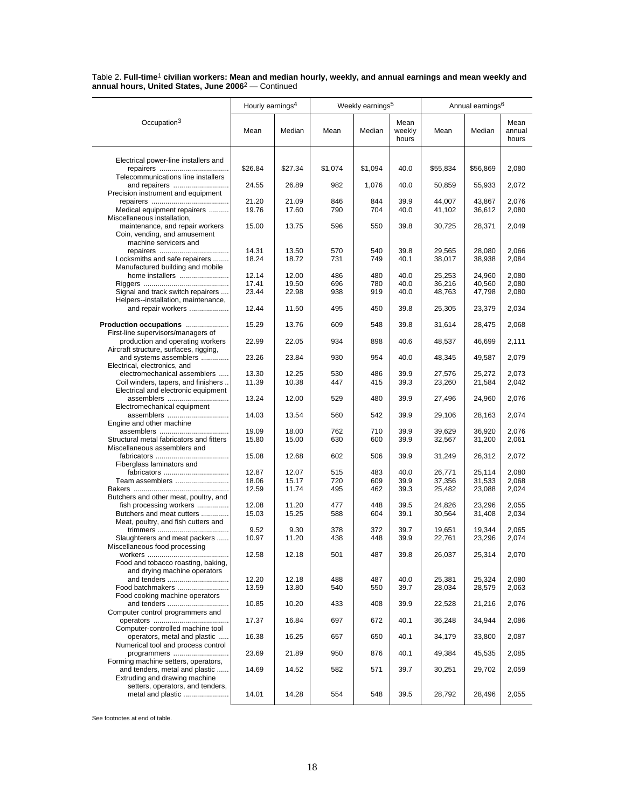|                                                                                                  | Hourly earnings <sup>4</sup> |                | Weekly earnings <sup>5</sup> |            |                         | Annual earnings <sup>6</sup> |                  |                         |
|--------------------------------------------------------------------------------------------------|------------------------------|----------------|------------------------------|------------|-------------------------|------------------------------|------------------|-------------------------|
| Occupation <sup>3</sup>                                                                          | Mean                         | Median         | Mean                         | Median     | Mean<br>weekly<br>hours | Mean                         | Median           | Mean<br>annual<br>hours |
| Electrical power-line installers and                                                             |                              |                |                              |            |                         |                              |                  |                         |
|                                                                                                  | \$26.84                      | \$27.34        | \$1,074                      | \$1,094    | 40.0                    | \$55,834                     | \$56,869         | 2,080                   |
| Telecommunications line installers<br>and repairers                                              | 24.55                        | 26.89          | 982                          | 1,076      | 40.0                    | 50,859                       | 55,933           | 2,072                   |
| Precision instrument and equipment                                                               |                              |                |                              |            |                         |                              |                  |                         |
| Medical equipment repairers<br>Miscellaneous installation,                                       | 21.20<br>19.76               | 21.09<br>17.60 | 846<br>790                   | 844<br>704 | 39.9<br>40.0            | 44,007<br>41,102             | 43,867<br>36,612 | 2,076<br>2,080          |
| maintenance, and repair workers<br>Coin, vending, and amusement<br>machine servicers and         | 15.00                        | 13.75          | 596                          | 550        | 39.8                    | 30,725                       | 28,371           | 2,049                   |
|                                                                                                  | 14.31                        | 13.50          | 570                          | 540        | 39.8                    | 29,565                       | 28,080           | 2,066                   |
| Locksmiths and safe repairers<br>Manufactured building and mobile                                | 18.24                        | 18.72          | 731                          | 749        | 40.1                    | 38,017                       | 38,938           | 2,084                   |
| home installers                                                                                  | 12.14<br>17.41               | 12.00<br>19.50 | 486<br>696                   | 480<br>780 | 40.0<br>40.0            | 25,253<br>36,216             | 24,960<br>40,560 | 2,080<br>2,080          |
| Signal and track switch repairers                                                                | 23.44                        | 22.98          | 938                          | 919        | 40.0                    | 48,763                       | 47,798           | 2,080                   |
| Helpers--installation, maintenance,                                                              |                              |                |                              |            |                         |                              |                  |                         |
| and repair workers                                                                               | 12.44                        | 11.50          | 495                          | 450        | 39.8                    | 25,305                       | 23,379           | 2,034                   |
| Production occupations<br>First-line supervisors/managers of                                     | 15.29                        | 13.76          | 609                          | 548        | 39.8                    | 31,614                       | 28,475           | 2,068                   |
| production and operating workers                                                                 | 22.99                        | 22.05          | 934                          | 898        | 40.6                    | 48,537                       | 46,699           | 2,111                   |
| Aircraft structure, surfaces, rigging,<br>and systems assemblers<br>Electrical, electronics, and | 23.26                        | 23.84          | 930                          | 954        | 40.0                    | 48,345                       | 49,587           | 2,079                   |
| electromechanical assemblers                                                                     | 13.30                        | 12.25          | 530                          | 486        | 39.9                    | 27,576                       | 25,272           | 2,073                   |
| Coil winders, tapers, and finishers                                                              | 11.39                        | 10.38          | 447                          | 415        | 39.3                    | 23,260                       | 21,584           | 2,042                   |
| Electrical and electronic equipment<br>assemblers                                                | 13.24                        | 12.00          | 529                          | 480        | 39.9                    | 27,496                       | 24,960           | 2,076                   |
| Electromechanical equipment<br>assemblers                                                        | 14.03                        | 13.54          | 560                          | 542        | 39.9                    | 29,106                       | 28,163           | 2,074                   |
| Engine and other machine                                                                         |                              |                |                              |            |                         |                              |                  |                         |
| Structural metal fabricators and fitters                                                         | 19.09<br>15.80               | 18.00<br>15.00 | 762<br>630                   | 710<br>600 | 39.9<br>39.9            | 39,629<br>32,567             | 36,920<br>31,200 | 2,076<br>2,061          |
| Miscellaneous assemblers and                                                                     | 15.08                        | 12.68          | 602                          | 506        | 39.9                    | 31,249                       | 26,312           | 2,072                   |
| Fiberglass laminators and<br>fabricators                                                         | 12.87                        | 12.07          | 515                          | 483        | 40.0                    | 26,771                       | 25,114           | 2,080                   |
| Team assemblers                                                                                  | 18.06                        | 15.17          | 720                          | 609        | 39.9                    | 37,356                       | 31,533           | 2,068                   |
|                                                                                                  | 12.59                        | 11.74          | 495                          | 462        | 39.3                    | 25,482                       | 23,088           | 2,024                   |
| Butchers and other meat, poultry, and<br>fish processing workers                                 | 12.08                        | 11.20          | 477                          | 448        | 39.5                    | 24,826                       | 23,296           | 2,055                   |
| Butchers and meat cutters                                                                        | 15.03                        | 15.25          | 588                          | 604        | 39.1                    | 30,564                       | 31,408           | 2,034                   |
| Meat, poultry, and fish cutters and                                                              | 9.52                         | 9.30           | 378                          | 372        | 39.7                    | 19,651                       | 19,344           | 2,065                   |
| Slaughterers and meat packers                                                                    | 10.97                        | 11.20          | 438                          | 448        | 39.9                    | 22,761                       | 23,296           | 2,074                   |
| Miscellaneous food processing                                                                    | 12.58                        | 12.18          | 501                          | 487        | 39.8                    | 26,037                       | 25,314           | 2,070                   |
| Food and tobacco roasting, baking,<br>and drying machine operators                               |                              |                |                              |            |                         |                              |                  |                         |
| and tenders                                                                                      | 12.20                        | 12.18          | 488                          | 487        | 40.0                    | 25,381                       | 25,324           | 2,080                   |
| Food batchmakers                                                                                 | 13.59                        | 13.80          | 540                          | 550        | 39.7                    | 28,034                       | 28,579           | 2,063                   |
| Food cooking machine operators<br>and tenders                                                    | 10.85                        | 10.20          | 433                          | 408        | 39.9                    | 22,528                       | 21,216           | 2,076                   |
| Computer control programmers and                                                                 |                              |                | 697                          |            | 40.1                    |                              | 34,944           |                         |
| Computer-controlled machine tool                                                                 | 17.37                        | 16.84          |                              | 672        |                         | 36,248                       |                  | 2,086                   |
| operators, metal and plastic<br>Numerical tool and process control                               | 16.38                        | 16.25          | 657                          | 650        | 40.1                    | 34,179                       | 33,800           | 2,087                   |
| programmers<br>Forming machine setters, operators,                                               | 23.69                        | 21.89          | 950                          | 876        | 40.1                    | 49,384                       | 45,535           | 2,085                   |
| and tenders, metal and plastic<br>Extruding and drawing machine                                  | 14.69                        | 14.52          | 582                          | 571        | 39.7                    | 30,251                       | 29,702           | 2,059                   |
| setters, operators, and tenders,<br>metal and plastic                                            | 14.01                        | 14.28          | 554                          | 548        | 39.5                    | 28,792                       | 28,496           | 2,055                   |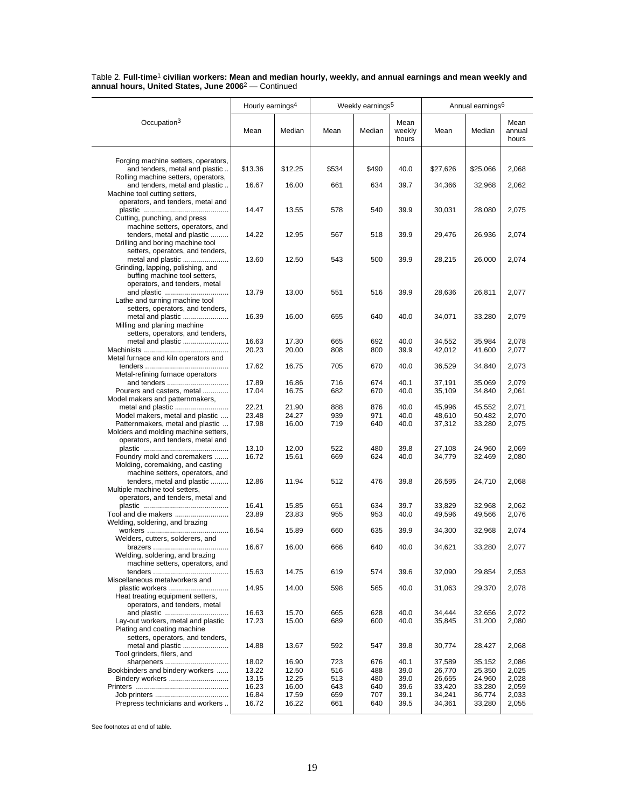|                                                                                                                             | Hourly earnings <sup>4</sup> |                |            | Weekly earnings <sup>5</sup> |                         |                  | Annual earnings <sup>6</sup> |                         |  |
|-----------------------------------------------------------------------------------------------------------------------------|------------------------------|----------------|------------|------------------------------|-------------------------|------------------|------------------------------|-------------------------|--|
| Occupation <sup>3</sup>                                                                                                     | Mean                         | Median         | Mean       | Median                       | Mean<br>weekly<br>hours | Mean             | Median                       | Mean<br>annual<br>hours |  |
| Forging machine setters, operators,<br>and tenders, metal and plastic                                                       | \$13.36                      | \$12.25        | \$534      | \$490                        | 40.0                    | \$27,626         | \$25,066                     | 2,068                   |  |
| Rolling machine setters, operators,<br>and tenders, metal and plastic                                                       | 16.67                        | 16.00          | 661        | 634                          | 39.7                    | 34,366           | 32,968                       | 2,062                   |  |
| Machine tool cutting setters,<br>operators, and tenders, metal and                                                          |                              |                |            |                              |                         |                  |                              |                         |  |
| Cutting, punching, and press<br>machine setters, operators, and                                                             | 14.47                        | 13.55          | 578        | 540                          | 39.9                    | 30,031           | 28,080                       | 2,075                   |  |
| tenders, metal and plastic<br>Drilling and boring machine tool                                                              | 14.22                        | 12.95          | 567        | 518                          | 39.9                    | 29,476           | 26,936                       | 2,074                   |  |
| setters, operators, and tenders,<br>metal and plastic<br>Grinding, lapping, polishing, and<br>buffing machine tool setters, | 13.60                        | 12.50          | 543        | 500                          | 39.9                    | 28,215           | 26,000                       | 2,074                   |  |
| operators, and tenders, metal<br>and plastic<br>Lathe and turning machine tool                                              | 13.79                        | 13.00          | 551        | 516                          | 39.9                    | 28,636           | 26,811                       | 2,077                   |  |
| setters, operators, and tenders,<br>metal and plastic<br>Milling and planing machine                                        | 16.39                        | 16.00          | 655        | 640                          | 40.0                    | 34,071           | 33,280                       | 2,079                   |  |
| setters, operators, and tenders,<br>metal and plastic                                                                       | 16.63                        | 17.30          | 665        | 692                          | 40.0                    | 34,552           | 35,984                       | 2,078                   |  |
| Metal furnace and kiln operators and                                                                                        | 20.23                        | 20.00          | 808        | 800                          | 39.9                    | 42,012           | 41,600                       | 2,077                   |  |
| Metal-refining furnace operators                                                                                            | 17.62                        | 16.75          | 705        | 670                          | 40.0                    | 36,529           | 34,840                       | 2,073                   |  |
| and tenders<br>Pourers and casters, metal<br>Model makers and patternmakers,                                                | 17.89<br>17.04               | 16.86<br>16.75 | 716<br>682 | 674<br>670                   | 40.1<br>40.0            | 37,191<br>35,109 | 35,069<br>34,840             | 2,079<br>2,061          |  |
| metal and plastic<br>Model makers, metal and plastic                                                                        | 22.21<br>23.48               | 21.90<br>24.27 | 888<br>939 | 876<br>971                   | 40.0<br>40.0            | 45,996<br>48,610 | 45,552<br>50,482             | 2,071<br>2,070          |  |
| Patternmakers, metal and plastic<br>Molders and molding machine setters,<br>operators, and tenders, metal and               | 17.98                        | 16.00          | 719        | 640                          | 40.0                    | 37,312           | 33,280                       | 2,075                   |  |
| Foundry mold and coremakers<br>Molding, coremaking, and casting<br>machine setters, operators, and                          | 13.10<br>16.72               | 12.00<br>15.61 | 522<br>669 | 480<br>624                   | 39.8<br>40.0            | 27,108<br>34,779 | 24,960<br>32,469             | 2,069<br>2,080          |  |
| tenders, metal and plastic<br>Multiple machine tool setters,                                                                | 12.86                        | 11.94          | 512        | 476                          | 39.8                    | 26,595           | 24,710                       | 2,068                   |  |
| operators, and tenders, metal and                                                                                           | 16.41                        | 15.85          | 651        | 634                          | 39.7                    | 33,829           | 32,968                       | 2,062                   |  |
| Tool and die makers<br>Welding, soldering, and brazing                                                                      | 23.89<br>16.54               | 23.83<br>15.89 | 955<br>660 | 953<br>635                   | 40.0<br>39.9            | 49,596<br>34,300 | 49,566<br>32,968             | 2,076<br>2,074          |  |
| Welders, cutters, solderers, and                                                                                            | 16.67                        | 16.00          | 666        | 640                          | 40.0                    | 34,621           | 33,280                       | 2,077                   |  |
| Welding, soldering, and brazing<br>machine setters, operators, and                                                          |                              |                |            |                              |                         |                  |                              |                         |  |
| Miscellaneous metalworkers and                                                                                              | 15.63                        | 14.75          | 619        | 574                          | 39.6                    | 32,090           | 29,854                       | 2,053                   |  |
| plastic workers<br>Heat treating equipment setters,<br>operators, and tenders, metal                                        | 14.95                        | 14.00          | 598        | 565                          | 40.0                    | 31,063           | 29,370                       | 2,078                   |  |
| Lay-out workers, metal and plastic<br>Plating and coating machine                                                           | 16.63<br>17.23               | 15.70<br>15.00 | 665<br>689 | 628<br>600                   | 40.0<br>40.0            | 34,444<br>35,845 | 32,656<br>31,200             | 2,072<br>2,080          |  |
| setters, operators, and tenders,<br>metal and plastic<br>Tool grinders, filers, and                                         | 14.88                        | 13.67          | 592        | 547                          | 39.8                    | 30,774           | 28,427                       | 2,068                   |  |
| sharpeners<br>Bookbinders and bindery workers                                                                               | 18.02<br>13.22               | 16.90<br>12.50 | 723<br>516 | 676<br>488                   | 40.1<br>39.0            | 37,589<br>26,770 | 35,152<br>25,350             | 2,086<br>2,025          |  |
| Bindery workers                                                                                                             | 13.15                        | 12.25          | 513        | 480                          | 39.0                    | 26,655           | 24,960                       | 2,028                   |  |
|                                                                                                                             | 16.23                        | 16.00          | 643        | 640                          | 39.6                    | 33,420           | 33,280                       | 2,059                   |  |
| Prepress technicians and workers                                                                                            | 16.84<br>16.72               | 17.59<br>16.22 | 659<br>661 | 707<br>640                   | 39.1<br>39.5            | 34,241<br>34,361 | 36,774<br>33,280             | 2,033<br>2,055          |  |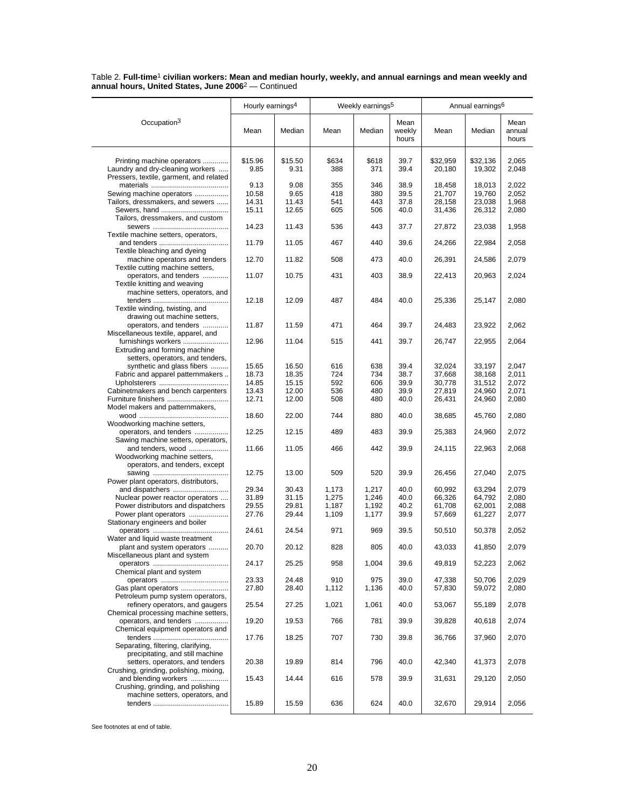|                                                                                              | Hourly earnings <sup>4</sup> |                 | Weekly earnings <sup>5</sup> |              |                         | Annual earnings <sup>6</sup> |                    |                         |
|----------------------------------------------------------------------------------------------|------------------------------|-----------------|------------------------------|--------------|-------------------------|------------------------------|--------------------|-------------------------|
| Occupation <sup>3</sup>                                                                      | Mean                         | Median          | Mean                         | Median       | Mean<br>weekly<br>hours | Mean                         | Median             | Mean<br>annual<br>hours |
| Printing machine operators<br>Laundry and dry-cleaning workers                               | \$15.96<br>9.85              | \$15.50<br>9.31 | \$634<br>388                 | \$618<br>371 | 39.7<br>39.4            | \$32,959<br>20,180           | \$32,136<br>19,302 | 2,065<br>2,048          |
| Pressers, textile, garment, and related                                                      | 9.13                         | 9.08            | 355                          | 346          | 38.9                    | 18,458                       | 18,013             | 2,022                   |
| Sewing machine operators                                                                     | 10.58                        | 9.65            | 418                          | 380          | 39.5                    | 21,707                       | 19,760             | 2,052                   |
| Tailors, dressmakers, and sewers                                                             | 14.31                        | 11.43           | 541                          | 443          | 37.8                    | 28,158                       | 23,038             | 1,968                   |
| Sewers, hand<br>Tailors, dressmakers, and custom                                             | 15.11                        | 12.65           | 605                          | 506          | 40.0                    | 31,436                       | 26,312             | 2,080                   |
| Textile machine setters, operators,                                                          | 14.23                        | 11.43           | 536                          | 443          | 37.7                    | 27,872                       | 23,038             | 1,958                   |
| Textile bleaching and dyeing                                                                 | 11.79                        | 11.05           | 467                          | 440          | 39.6                    | 24,266                       | 22,984             | 2,058                   |
| machine operators and tenders<br>Textile cutting machine setters,                            | 12.70                        | 11.82           | 508                          | 473          | 40.0                    | 26,391                       | 24,586             | 2,079                   |
| operators, and tenders<br>Textile knitting and weaving<br>machine setters, operators, and    | 11.07                        | 10.75           | 431                          | 403          | 38.9                    | 22,413                       | 20,963             | 2,024                   |
| Textile winding, twisting, and<br>drawing out machine setters,                               | 12.18                        | 12.09           | 487                          | 484          | 40.0                    | 25,336                       | 25,147             | 2,080                   |
| operators, and tenders<br>Miscellaneous textile, apparel, and                                | 11.87                        | 11.59           | 471                          | 464          | 39.7                    | 24,483                       | 23,922             | 2,062                   |
| furnishings workers<br>Extruding and forming machine                                         | 12.96                        | 11.04           | 515                          | 441          | 39.7                    | 26,747                       | 22,955             | 2,064                   |
| setters, operators, and tenders,                                                             |                              |                 |                              |              |                         |                              |                    |                         |
| synthetic and glass fibers<br>Fabric and apparel patternmakers                               | 15.65<br>18.73               | 16.50<br>18.35  | 616<br>724                   | 638<br>734   | 39.4<br>38.7            | 32,024<br>37,668             | 33.197<br>38,168   | 2.047<br>2,011          |
|                                                                                              | 14.85                        | 15.15           | 592                          | 606          | 39.9                    | 30.778                       | 31.512             | 2,072                   |
| Cabinetmakers and bench carpenters                                                           | 13.43                        | 12.00           | 536                          | 480          | 39.9                    | 27,819                       | 24,960             | 2,071                   |
| Furniture finishers                                                                          | 12.71                        | 12.00           | 508                          | 480          | 40.0                    | 26,431                       | 24,960             | 2,080                   |
| Model makers and patternmakers,                                                              | 18.60                        | 22.00           | 744                          | 880          | 40.0                    | 38,685                       | 45,760             | 2,080                   |
| Woodworking machine setters,                                                                 | 12.25                        | 12.15           | 489                          | 483          | 39.9                    |                              |                    |                         |
| operators, and tenders<br>Sawing machine setters, operators,                                 |                              |                 |                              |              |                         | 25,383                       | 24,960             | 2,072                   |
| and tenders, wood<br>Woodworking machine setters,<br>operators, and tenders, except          | 11.66                        | 11.05           | 466                          | 442          | 39.9                    | 24,115                       | 22,963             | 2,068                   |
| Power plant operators, distributors,                                                         | 12.75                        | 13.00           | 509                          | 520          | 39.9                    | 26,456                       | 27,040             | 2,075                   |
| and dispatchers                                                                              | 29.34                        | 30.43           | 1,173                        | 1,217        | 40.0                    | 60,992                       | 63,294             | 2,079                   |
| Nuclear power reactor operators                                                              | 31.89                        | 31.15           | 1,275                        | 1,246        | 40.0                    | 66,326                       | 64,792             | 2,080                   |
| Power distributors and dispatchers                                                           | 29.55                        | 29.81           | 1,187                        | 1,192        | 40.2                    | 61,708                       | 62,001             | 2,088                   |
| Power plant operators<br>Stationary engineers and boiler                                     | 27.76<br>24.61               | 29.44<br>24.54  | 1,109<br>971                 | 1,177<br>969 | 39.9<br>39.5            | 57,669<br>50,510             | 61,227<br>50,378   | 2,077<br>2,052          |
| Water and liquid waste treatment<br>plant and system operators                               | 20.70                        | 20.12           | 828                          | 805          | 40.0                    | 43,033                       | 41,850             | 2,079                   |
| Miscellaneous plant and system                                                               | 24.17                        | 25.25           | 958                          | 1,004        | 39.6                    | 49,819                       | 52,223             | 2,062                   |
| Chemical plant and system                                                                    | 23.33                        | 24.48           | 910                          | 975          | 39.0                    | 47,338                       | 50,706             | 2,029                   |
| Gas plant operators<br>Petroleum pump system operators,                                      | 27.80                        | 28.40           | 1,112                        | 1,136        | 40.0                    | 57,830                       | 59,072             | 2,080                   |
| refinery operators, and gaugers<br>Chemical processing machine setters,                      | 25.54                        | 27.25           | 1,021                        | 1,061        | 40.0                    | 53,067                       | 55,189             | 2,078                   |
| operators, and tenders<br>Chemical equipment operators and                                   | 19.20                        | 19.53           | 766                          | 781          | 39.9                    | 39,828                       | 40,618             | 2,074                   |
| Separating, filtering, clarifying,<br>precipitating, and still machine                       | 17.76                        | 18.25           | 707                          | 730          | 39.8                    | 36,766                       | 37,960             | 2,070                   |
| setters, operators, and tenders<br>Crushing, grinding, polishing, mixing,                    | 20.38                        | 19.89           | 814                          | 796          | 40.0                    | 42,340                       | 41,373             | 2,078                   |
| and blending workers<br>Crushing, grinding, and polishing<br>machine setters, operators, and | 15.43                        | 14.44           | 616                          | 578          | 39.9                    | 31,631                       | 29,120             | 2,050                   |
|                                                                                              | 15.89                        | 15.59           | 636                          | 624          | 40.0                    | 32,670                       | 29,914             | 2,056                   |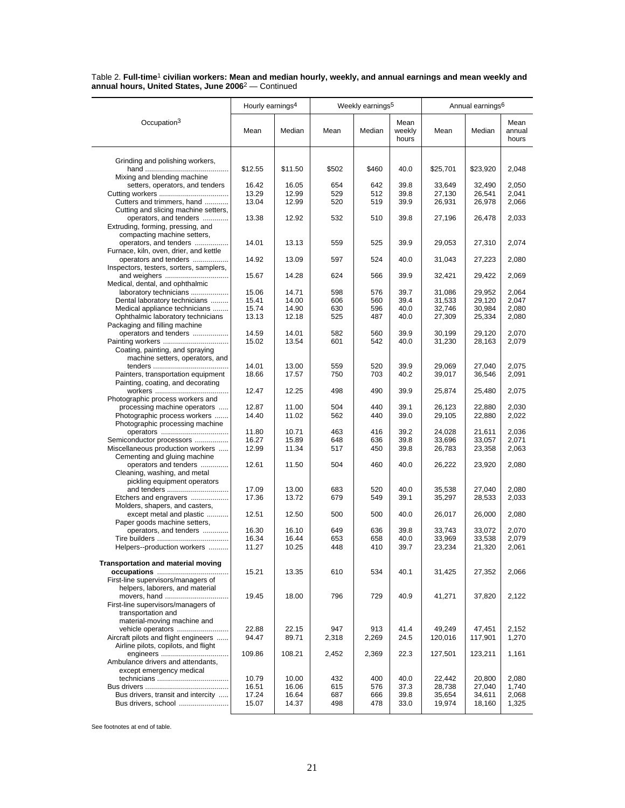|                                                                 | Hourly earnings <sup>4</sup> |                | Weekly earnings <sup>5</sup> |            |                         | Annual earnings <sup>6</sup> |                  |                         |
|-----------------------------------------------------------------|------------------------------|----------------|------------------------------|------------|-------------------------|------------------------------|------------------|-------------------------|
| Occupation <sup>3</sup>                                         | Mean                         | Median         | Mean                         | Median     | Mean<br>weekly<br>hours | Mean                         | Median           | Mean<br>annual<br>hours |
| Grinding and polishing workers,                                 |                              |                |                              |            |                         |                              |                  |                         |
|                                                                 | \$12.55                      | \$11.50        | \$502                        | \$460      | 40.0                    | \$25,701                     | \$23,920         | 2,048                   |
| Mixing and blending machine                                     | 16.42                        | 16.05          | 654                          | 642        | 39.8                    | 33,649                       | 32,490           | 2,050                   |
| setters, operators, and tenders                                 | 13.29                        | 12.99          | 529                          | 512        | 39.8                    | 27,130                       | 26,541           | 2,041                   |
| Cutters and trimmers, hand                                      | 13.04                        | 12.99          | 520                          | 519        | 39.9                    | 26,931                       | 26,978           | 2,066                   |
| Cutting and slicing machine setters,                            |                              |                |                              |            |                         |                              |                  |                         |
| operators, and tenders                                          | 13.38                        | 12.92          | 532                          | 510        | 39.8                    | 27,196                       | 26,478           | 2,033                   |
| Extruding, forming, pressing, and                               |                              |                |                              |            |                         |                              |                  |                         |
| compacting machine setters,                                     |                              |                |                              |            |                         |                              |                  |                         |
| operators, and tenders                                          | 14.01                        | 13.13          | 559                          | 525        | 39.9                    | 29,053                       | 27,310           | 2,074                   |
| Furnace, kiln, oven, drier, and kettle<br>operators and tenders | 14.92                        | 13.09          | 597                          | 524        | 40.0                    | 31,043                       | 27,223           | 2,080                   |
| Inspectors, testers, sorters, samplers,                         |                              |                |                              |            |                         |                              |                  |                         |
|                                                                 | 15.67                        | 14.28          | 624                          | 566        | 39.9                    | 32,421                       | 29,422           | 2,069                   |
| Medical, dental, and ophthalmic                                 |                              |                |                              |            |                         |                              |                  |                         |
| laboratory technicians                                          | 15.06                        | 14.71          | 598                          | 576        | 39.7                    | 31,086                       | 29,952           | 2,064                   |
| Dental laboratory technicians                                   | 15.41                        | 14.00          | 606                          | 560        | 39.4                    | 31,533                       | 29,120           | 2,047                   |
| Medical appliance technicians                                   | 15.74                        | 14.90          | 630                          | 596        | 40.0                    | 32,746                       | 30,984           | 2,080                   |
| Ophthalmic laboratory technicians                               | 13.13                        | 12.18          | 525                          | 487        | 40.0                    | 27,309                       | 25,334           | 2,080                   |
| Packaging and filling machine                                   |                              |                |                              |            |                         |                              |                  |                         |
| operators and tenders                                           | 14.59<br>15.02               | 14.01<br>13.54 | 582<br>601                   | 560<br>542 | 39.9<br>40.0            | 30,199<br>31,230             | 29,120<br>28,163 | 2,070<br>2,079          |
| Coating, painting, and spraying                                 |                              |                |                              |            |                         |                              |                  |                         |
| machine setters, operators, and                                 |                              |                |                              |            |                         |                              |                  |                         |
|                                                                 | 14.01                        | 13.00          | 559                          | 520        | 39.9                    | 29,069                       | 27,040           | 2,075                   |
| Painters, transportation equipment                              | 18.66                        | 17.57          | 750                          | 703        | 40.2                    | 39,017                       | 36,546           | 2,091                   |
| Painting, coating, and decorating                               |                              |                |                              |            |                         |                              |                  |                         |
|                                                                 | 12.47                        | 12.25          | 498                          | 490        | 39.9                    | 25,874                       | 25,480           | 2,075                   |
| Photographic process workers and                                |                              |                |                              |            |                         |                              |                  |                         |
| processing machine operators                                    | 12.87                        | 11.00          | 504                          | 440        | 39.1                    | 26,123                       | 22,880           | 2,030                   |
| Photographic process workers<br>Photographic processing machine | 14.40                        | 11.02          | 562                          | 440        | 39.0                    | 29,105                       | 22,880           | 2,022                   |
|                                                                 | 11.80                        | 10.71          | 463                          | 416        | 39.2                    | 24,028                       | 21,611           | 2,036                   |
| Semiconductor processors                                        | 16.27                        | 15.89          | 648                          | 636        | 39.8                    | 33,696                       | 33,057           | 2,071                   |
| Miscellaneous production workers                                | 12.99                        | 11.34          | 517                          | 450        | 39.8                    | 26,783                       | 23,358           | 2,063                   |
| Cementing and gluing machine                                    |                              |                |                              |            |                         |                              |                  |                         |
| operators and tenders                                           | 12.61                        | 11.50          | 504                          | 460        | 40.0                    | 26,222                       | 23,920           | 2,080                   |
| Cleaning, washing, and metal                                    |                              |                |                              |            |                         |                              |                  |                         |
| pickling equipment operators                                    |                              |                |                              |            |                         |                              |                  |                         |
| and tenders<br>Etchers and engravers                            | 17.09                        | 13.00          | 683                          | 520        | 40.0                    | 35,538                       | 27,040           | 2,080                   |
| Molders, shapers, and casters,                                  | 17.36                        | 13.72          | 679                          | 549        | 39.1                    | 35,297                       | 28,533           | 2,033                   |
| except metal and plastic                                        | 12.51                        | 12.50          | 500                          | 500        | 40.0                    | 26,017                       | 26,000           | 2,080                   |
| Paper goods machine setters,                                    |                              |                |                              |            |                         |                              |                  |                         |
| operators, and tenders                                          | 16.30                        | 16.10          | 649                          | 636        | 39.8                    | 33,743                       | 33,072           | 2,070                   |
|                                                                 | 16.34                        | 16.44          | 653                          | 658        | 40.0                    | 33,969                       | 33,538           | 2,079                   |
| Helpers--production workers                                     | 11.27                        | 10.25          | 448                          | 410        | 39.7                    | 23,234                       | 21,320           | 2,061                   |
|                                                                 |                              |                |                              |            |                         |                              |                  |                         |
| <b>Transportation and material moving</b>                       |                              |                |                              |            |                         |                              |                  |                         |
| First-line supervisors/managers of                              | 15.21                        | 13.35          | 610                          | 534        | 40.1                    | 31,425                       | 27,352           | 2,066                   |
| helpers, laborers, and material                                 |                              |                |                              |            |                         |                              |                  |                         |
| movers, hand                                                    | 19.45                        | 18.00          | 796                          | 729        | 40.9                    | 41,271                       | 37,820           | 2,122                   |
| First-line supervisors/managers of                              |                              |                |                              |            |                         |                              |                  |                         |
| transportation and                                              |                              |                |                              |            |                         |                              |                  |                         |
| material-moving machine and                                     |                              |                |                              |            |                         |                              |                  |                         |
| vehicle operators                                               | 22.88                        | 22.15          | 947                          | 913        | 41.4                    | 49,249                       | 47,451           | 2,152                   |
| Aircraft pilots and flight engineers                            | 94.47                        | 89.71          | 2,318                        | 2,269      | 24.5                    | 120,016                      | 117,901          | 1,270                   |
| Airline pilots, copilots, and flight                            |                              |                |                              |            | 22.3                    |                              |                  |                         |
| Ambulance drivers and attendants,                               | 109.86                       | 108.21         | 2,452                        | 2,369      |                         | 127,501                      | 123,211          | 1,161                   |
| except emergency medical                                        |                              |                |                              |            |                         |                              |                  |                         |
|                                                                 | 10.79                        | 10.00          | 432                          | 400        | 40.0                    | 22,442                       | 20,800           | 2,080                   |
|                                                                 | 16.51                        | 16.06          | 615                          | 576        | 37.3                    | 28,738                       | 27,040           | 1,740                   |
| Bus drivers, transit and intercity                              | 17.24                        | 16.64          | 687                          | 666        | 39.8                    | 35,654                       | 34,611           | 2,068                   |
| Bus drivers, school                                             | 15.07                        | 14.37          | 498                          | 478        | 33.0                    | 19,974                       | 18,160           | 1,325                   |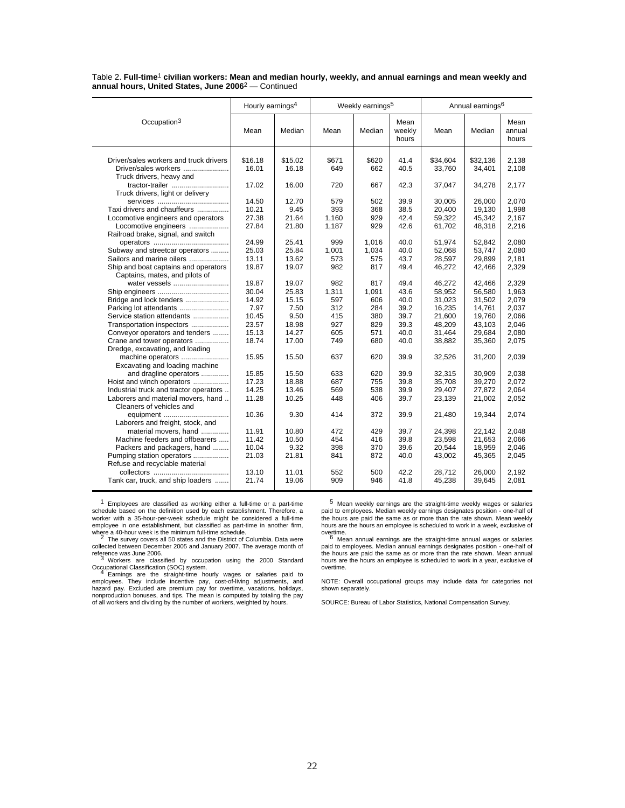|                                                                | Hourly earnings <sup>4</sup> |                  |              | Weekly earnings <sup>5</sup> |                         |                    | Annual earnings <sup>6</sup> |                         |
|----------------------------------------------------------------|------------------------------|------------------|--------------|------------------------------|-------------------------|--------------------|------------------------------|-------------------------|
| Occupation <sup>3</sup>                                        | Mean                         | Median           | Mean         | Median                       | Mean<br>weekly<br>hours | Mean               | Median                       | Mean<br>annual<br>hours |
|                                                                |                              |                  |              |                              |                         |                    |                              |                         |
| Driver/sales workers and truck drivers<br>Driver/sales workers | \$16.18<br>16.01             | \$15.02<br>16.18 | \$671<br>649 | \$620<br>662                 | 41.4<br>40.5            | \$34.604<br>33,760 | \$32,136<br>34,401           | 2.138<br>2,108          |
| Truck drivers, heavy and                                       |                              |                  |              |                              |                         |                    |                              |                         |
| tractor-trailer                                                | 17.02                        | 16.00            | 720          | 667                          | 42.3                    | 37,047             | 34,278                       | 2,177                   |
| Truck drivers, light or delivery                               |                              |                  |              |                              |                         |                    |                              |                         |
|                                                                | 14.50                        | 12.70            | 579          | 502                          | 39.9                    | 30,005             | 26,000                       | 2,070                   |
| Taxi drivers and chauffeurs                                    | 10.21                        | 9.45             | 393          | 368                          | 38.5                    | 20,400             | 19,130                       | 1,998                   |
| Locomotive engineers and operators                             | 27.38                        | 21.64            | 1,160        | 929                          | 42.4                    | 59,322             | 45,342                       | 2,167                   |
| Locomotive engineers                                           | 27.84                        | 21.80            | 1,187        | 929                          | 42.6                    | 61,702             | 48,318                       | 2,216                   |
| Railroad brake, signal, and switch                             |                              |                  |              |                              |                         |                    |                              |                         |
|                                                                | 24.99                        | 25.41            | 999          | 1,016                        | 40.0                    | 51,974             | 52,842                       | 2,080                   |
| Subway and streetcar operators                                 | 25.03                        | 25.84            | 1,001        | 1,034                        | 40.0                    | 52,068             | 53,747                       | 2,080                   |
| Sailors and marine oilers                                      | 13.11                        | 13.62            | 573          | 575                          | 43.7                    | 28,597             | 29,899                       | 2,181                   |
| Ship and boat captains and operators                           | 19.87                        | 19.07            | 982          | 817                          | 49.4                    | 46,272             | 42,466                       | 2,329                   |
| Captains, mates, and pilots of                                 |                              |                  |              |                              |                         |                    |                              |                         |
| water vessels                                                  | 19.87                        | 19.07            | 982          | 817                          | 49.4                    | 46,272             | 42,466                       | 2,329                   |
|                                                                | 30.04                        | 25.83            | 1,311        | 1,091                        | 43.6                    | 58,952             | 56,580                       | 1,963                   |
| Bridge and lock tenders                                        | 14.92                        | 15.15            | 597          | 606                          | 40.0                    | 31,023             | 31,502                       | 2,079                   |
| Parking lot attendants                                         | 7.97                         | 7.50             | 312          | 284                          | 39.2                    | 16.235             | 14.761                       | 2.037                   |
| Service station attendants                                     | 10.45                        | 9.50             | 415          | 380                          | 39.7                    | 21,600             | 19,760                       | 2.066                   |
| Transportation inspectors                                      | 23.57                        | 18.98            | 927          | 829                          | 39.3                    | 48,209             | 43,103                       | 2.046                   |
| Conveyor operators and tenders                                 | 15.13                        | 14.27            | 605          | 571                          | 40.0                    | 31,464             | 29,684                       | 2,080                   |
| Crane and tower operators                                      | 18.74                        | 17.00            | 749          | 680                          | 40.0                    | 38,882             | 35,360                       | 2,075                   |
| Dredge, excavating, and loading                                |                              |                  |              |                              |                         |                    |                              |                         |
| machine operators                                              | 15.95                        | 15.50            | 637          | 620                          | 39.9                    | 32,526             | 31,200                       | 2,039                   |
| Excavating and loading machine                                 |                              |                  |              |                              |                         |                    |                              |                         |
| and dragline operators                                         | 15.85                        | 15.50            | 633          | 620                          | 39.9                    | 32,315             | 30.909                       | 2.038                   |
| Hoist and winch operators                                      | 17.23                        | 18.88            | 687          | 755                          | 39.8                    | 35,708             | 39,270                       | 2,072                   |
| Industrial truck and tractor operators                         | 14.25                        | 13.46            | 569          | 538                          | 39.9                    | 29,407             | 27,872                       | 2,064                   |
| Laborers and material movers, hand                             | 11.28                        | 10.25            | 448          | 406                          | 39.7                    | 23,139             | 21,002                       | 2,052                   |
| Cleaners of vehicles and                                       |                              |                  |              |                              |                         |                    |                              |                         |
| equipment                                                      | 10.36                        | 9.30             | 414          | 372                          | 39.9                    | 21,480             | 19,344                       | 2.074                   |
| Laborers and freight, stock, and                               |                              |                  |              |                              |                         |                    |                              |                         |
| material movers, hand                                          | 11.91                        | 10.80            | 472          | 429                          | 39.7                    | 24,398             | 22,142                       | 2.048                   |
| Machine feeders and offbearers                                 | 11.42                        | 10.50            | 454          | 416                          | 39.8                    | 23,598             | 21,653                       | 2,066                   |
| Packers and packagers, hand                                    | 10.04                        | 9.32             | 398          | 370                          | 39.6                    | 20,544             | 18,959                       | 2,046                   |
| Pumping station operators<br>Refuse and recyclable material    | 21.03                        | 21.81            | 841          | 872                          | 40.0                    | 43,002             | 45,365                       | 2,045                   |
|                                                                | 13.10                        | 11.01            |              |                              | 42.2                    |                    |                              |                         |
| Tank car, truck, and ship loaders                              | 21.74                        | 19.06            | 552<br>909   | 500<br>946                   | 41.8                    | 28.712<br>45,238   | 26.000<br>39,645             | 2,192<br>2,081          |
|                                                                |                              |                  |              |                              |                         |                    |                              |                         |

1 Employees are classified as working either a full-time or a part-time schedule based on the definition used by each establishment. Therefore, a<br>worker with a 35-hour-per-week schedule might be considered a full-time<br>employee in one establishment, but classified as part-time in another firm,

where a 40-hour week is the minimum full-time schedule.<br><sup>2</sup> The survey covers all 50 states and the District of Columbia. Data were collected between December 2005 and January 2007. The average month of

reference was June 2006.<br><sup>3</sup> Workers are classified by occupation using the 2000 Standard

Occupational Classification (SOC) system.<br>4 Earnings are the straight-time hourly wages or salaries paid to<br>employees. They include incentive pay, cost-of-living adjustments, and<br>hazard pay. Excluded are premium pay for ov of all workers and dividing by the number of workers, weighted by hours.

5 Mean weekly earnings are the straight-time weekly wages or salaries paid to employees. Median weekly earnings designates position - one-half of<br>the hours are paid the same as or more than the rate shown. Mean weekly<br>hours are the hours an employee is scheduled to work in a week, exclusive overtime.<br>
<sup>6</sup> Mean annual earnings are the straight-time annual wages or salaries

paid to employees. Median annual earnings designates position - one-half of the hours are paid the same as or more than the rate shown. Mean annual hours are the hours an employee is scheduled to work in a year, exclusive of overtime.

NOTE: Overall occupational groups may include data for categories not shown separately.

SOURCE: Bureau of Labor Statistics, National Compensation Survey.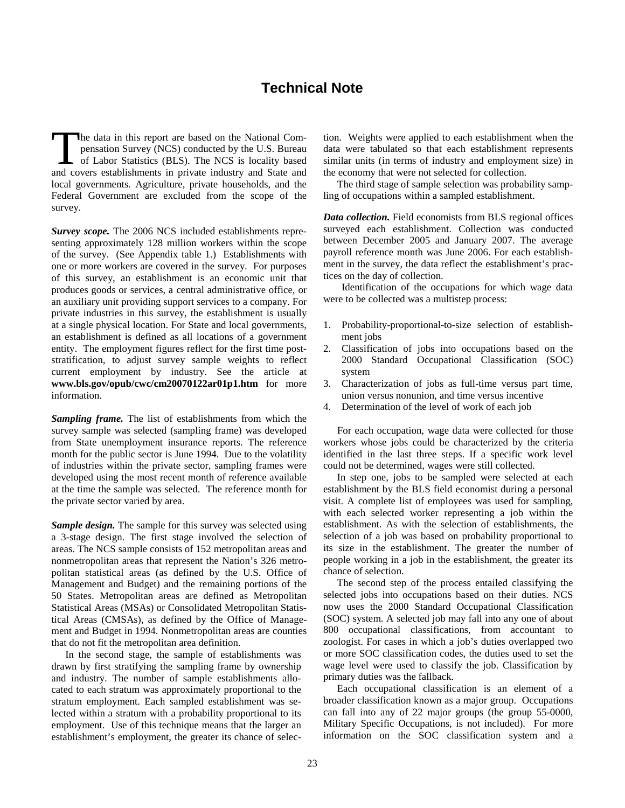## **Technical Note**

he data in this report are based on the National Compensation Survey (NCS) conducted by the U.S. Bureau of Labor Statistics (BLS). The NCS is locality based The data in this report are based on the National Compensation Survey (NCS) conducted by the U.S. Bureau of Labor Statistics (BLS). The NCS is locality based and covers establishments in private industry and State and local governments. Agriculture, private households, and the Federal Government are excluded from the scope of the survey.

*Survey scope.* The 2006 NCS included establishments representing approximately 128 million workers within the scope of the survey. (See Appendix table 1.) Establishments with one or more workers are covered in the survey. For purposes of this survey, an establishment is an economic unit that produces goods or services, a central administrative office, or an auxiliary unit providing support services to a company. For private industries in this survey, the establishment is usually at a single physical location. For State and local governments, an establishment is defined as all locations of a government entity. The employment figures reflect for the first time poststratification, to adjust survey sample weights to reflect current employment by industry. See the article at **www.bls.gov/opub/cwc/cm20070122ar01p1.htm** for more information.

*Sampling frame.* The list of establishments from which the survey sample was selected (sampling frame) was developed from State unemployment insurance reports. The reference month for the public sector is June 1994. Due to the volatility of industries within the private sector, sampling frames were developed using the most recent month of reference available at the time the sample was selected. The reference month for the private sector varied by area.

*Sample design.* The sample for this survey was selected using a 3-stage design. The first stage involved the selection of areas. The NCS sample consists of 152 metropolitan areas and nonmetropolitan areas that represent the Nation's 326 metropolitan statistical areas (as defined by the U.S. Office of Management and Budget) and the remaining portions of the 50 States. Metropolitan areas are defined as Metropolitan Statistical Areas (MSAs) or Consolidated Metropolitan Statistical Areas (CMSAs), as defined by the Office of Management and Budget in 1994. Nonmetropolitan areas are counties that do not fit the metropolitan area definition.

In the second stage, the sample of establishments was drawn by first stratifying the sampling frame by ownership and industry. The number of sample establishments allocated to each stratum was approximately proportional to the stratum employment. Each sampled establishment was selected within a stratum with a probability proportional to its employment. Use of this technique means that the larger an establishment's employment, the greater its chance of selection. Weights were applied to each establishment when the data were tabulated so that each establishment represents similar units (in terms of industry and employment size) in the economy that were not selected for collection.

The third stage of sample selection was probability sampling of occupations within a sampled establishment.

*Data collection.* Field economists from BLS regional offices surveyed each establishment. Collection was conducted between December 2005 and January 2007. The average payroll reference month was June 2006. For each establishment in the survey, the data reflect the establishment's practices on the day of collection.

Identification of the occupations for which wage data were to be collected was a multistep process:

- 1. Probability-proportional-to-size selection of establishment jobs
- 2. Classification of jobs into occupations based on the 2000 Standard Occupational Classification (SOC) system
- 3. Characterization of jobs as full-time versus part time, union versus nonunion, and time versus incentive
- 4. Determination of the level of work of each job

For each occupation, wage data were collected for those workers whose jobs could be characterized by the criteria identified in the last three steps. If a specific work level could not be determined, wages were still collected.

In step one, jobs to be sampled were selected at each establishment by the BLS field economist during a personal visit. A complete list of employees was used for sampling, with each selected worker representing a job within the establishment. As with the selection of establishments, the selection of a job was based on probability proportional to its size in the establishment. The greater the number of people working in a job in the establishment, the greater its chance of selection.

The second step of the process entailed classifying the selected jobs into occupations based on their duties. NCS now uses the 2000 Standard Occupational Classification (SOC) system. A selected job may fall into any one of about 800 occupational classifications, from accountant to zoologist. For cases in which a job's duties overlapped two or more SOC classification codes, the duties used to set the wage level were used to classify the job. Classification by primary duties was the fallback.

Each occupational classification is an element of a broader classification known as a major group. Occupations can fall into any of 22 major groups (the group 55-0000, Military Specific Occupations, is not included). For more information on the SOC classification system and a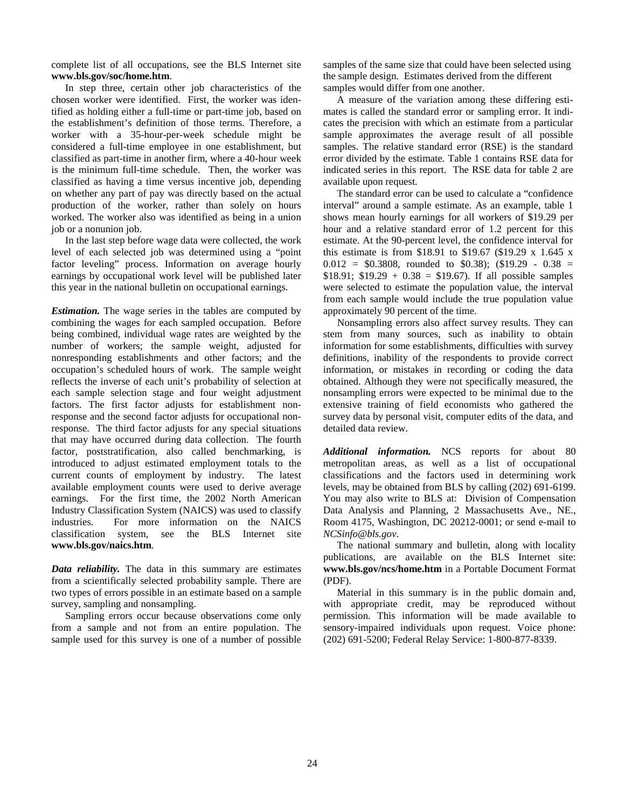complete list of all occupations, see the BLS Internet site **www.bls.gov/soc/home.htm**.

In step three, certain other job characteristics of the chosen worker were identified. First, the worker was identified as holding either a full-time or part-time job, based on the establishment's definition of those terms. Therefore, a worker with a 35-hour-per-week schedule might be considered a full-time employee in one establishment, but classified as part-time in another firm, where a 40-hour week is the minimum full-time schedule. Then, the worker was classified as having a time versus incentive job, depending on whether any part of pay was directly based on the actual production of the worker, rather than solely on hours worked. The worker also was identified as being in a union job or a nonunion job.

In the last step before wage data were collected, the work level of each selected job was determined using a "point factor leveling" process. Information on average hourly earnings by occupational work level will be published later this year in the national bulletin on occupational earnings.

*Estimation.* The wage series in the tables are computed by combining the wages for each sampled occupation. Before being combined, individual wage rates are weighted by the number of workers; the sample weight, adjusted for nonresponding establishments and other factors; and the occupation's scheduled hours of work. The sample weight reflects the inverse of each unit's probability of selection at each sample selection stage and four weight adjustment factors. The first factor adjusts for establishment nonresponse and the second factor adjusts for occupational nonresponse. The third factor adjusts for any special situations that may have occurred during data collection. The fourth factor, poststratification, also called benchmarking, is introduced to adjust estimated employment totals to the current counts of employment by industry. The latest available employment counts were used to derive average earnings. For the first time, the 2002 North American Industry Classification System (NAICS) was used to classify industries. For more information on the NAICS classification system, see the BLS Internet site **www.bls.gov/naics.htm**.

*Data reliability.* The data in this summary are estimates from a scientifically selected probability sample. There are two types of errors possible in an estimate based on a sample survey, sampling and nonsampling.

Sampling errors occur because observations come only from a sample and not from an entire population. The sample used for this survey is one of a number of possible

samples of the same size that could have been selected using the sample design. Estimates derived from the different samples would differ from one another.

A measure of the variation among these differing estimates is called the standard error or sampling error. It indicates the precision with which an estimate from a particular sample approximates the average result of all possible samples. The relative standard error (RSE) is the standard error divided by the estimate. Table 1 contains RSE data for indicated series in this report. The RSE data for table 2 are available upon request.

The standard error can be used to calculate a "confidence interval" around a sample estimate. As an example, table 1 shows mean hourly earnings for all workers of \$19.29 per hour and a relative standard error of 1.2 percent for this estimate. At the 90-percent level, the confidence interval for this estimate is from \$18.91 to \$19.67 (\$19.29 x 1.645 x  $0.012 = $0.3808$ , rounded to \$0.38); (\$19.29 - 0.38 =  $$18.91$ ;  $$19.29 + 0.38 = $19.67$ ). If all possible samples were selected to estimate the population value, the interval from each sample would include the true population value approximately 90 percent of the time.

Nonsampling errors also affect survey results. They can stem from many sources, such as inability to obtain information for some establishments, difficulties with survey definitions, inability of the respondents to provide correct information, or mistakes in recording or coding the data obtained. Although they were not specifically measured, the nonsampling errors were expected to be minimal due to the extensive training of field economists who gathered the survey data by personal visit, computer edits of the data, and detailed data review.

*Additional information.* NCS reports for about 80 metropolitan areas, as well as a list of occupational classifications and the factors used in determining work levels, may be obtained from BLS by calling (202) 691-6199. You may also write to BLS at: Division of Compensation Data Analysis and Planning, 2 Massachusetts Ave., NE., Room 4175, Washington, DC 20212-0001; or send e-mail to *NCSinfo@bls.gov*.

The national summary and bulletin, along with locality publications, are available on the BLS Internet site: **www.bls.gov/ncs/home.htm** in a Portable Document Format (PDF).

Material in this summary is in the public domain and, with appropriate credit, may be reproduced without permission. This information will be made available to sensory-impaired individuals upon request. Voice phone: (202) 691-5200; Federal Relay Service: 1-800-877-8339.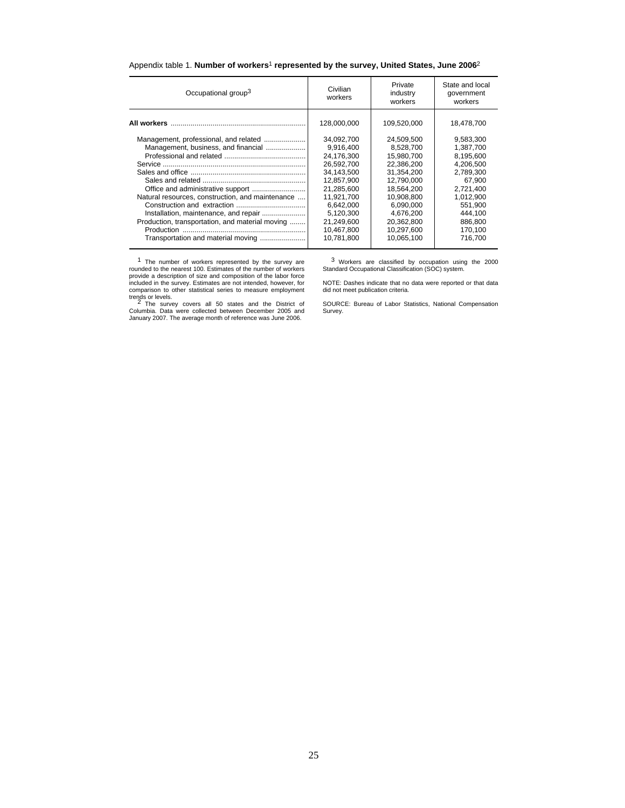| Occupational group <sup>3</sup>                  | Civilian<br>workers | Private<br>industry<br>workers | State and local<br>government<br>workers |
|--------------------------------------------------|---------------------|--------------------------------|------------------------------------------|
|                                                  | 128,000,000         | 109,520,000                    | 18,478,700                               |
| Management, professional, and related            | 34,092,700          | 24,509,500                     | 9,583,300                                |
| Management, business, and financial              | 9,916,400           | 8,528,700                      | 1,387,700                                |
|                                                  | 24,176,300          | 15,980,700                     | 8,195,600                                |
|                                                  | 26.592.700          | 22.386.200                     | 4.206.500                                |
|                                                  | 34.143.500          | 31.354.200                     | 2,789,300                                |
|                                                  | 12,857,900          | 12,790,000                     | 67,900                                   |
| Office and administrative support                | 21,285,600          | 18,564,200                     | 2,721,400                                |
| Natural resources, construction, and maintenance | 11,921,700          | 10,908,800                     | 1,012,900                                |
|                                                  | 6.642.000           | 6.090.000                      | 551.900                                  |
| Installation, maintenance, and repair            | 5,120,300           | 4,676,200                      | 444,100                                  |
| Production, transportation, and material moving  | 21.249.600          | 20,362,800                     | 886,800                                  |
|                                                  | 10,467,800          | 10,297,600                     | 170,100                                  |
| Transportation and material moving               | 10,781,800          | 10,065,100                     | 716,700                                  |
|                                                  |                     |                                |                                          |

## Appendix table 1. **Number of workers**1 **represented by the survey, United States, June 2006**2

<sup>1</sup> The number of workers represented by the survey are<br>rounded to the nearest 100. Estimates of the number of workers<br>provide a description of size and composition of the labor force<br>included in the survey. Estimates are

3 Workers are classified by occupation using the 2000 Standard Occupational Classification (SOC) system.

NOTE: Dashes indicate that no data were reported or that data did not meet publication criteria.

SOURCE: Bureau of Labor Statistics, National Compensation Survey.